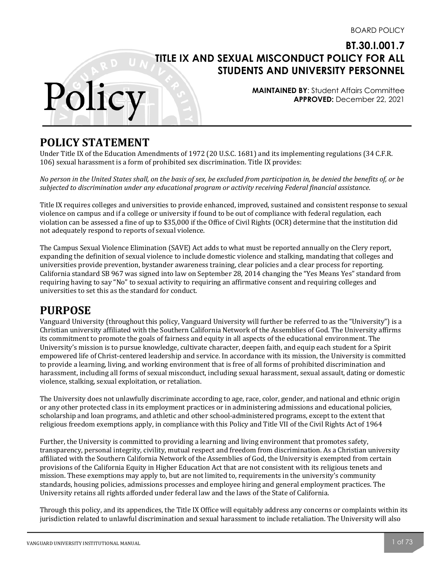**MAINTAINED BY**: Student Affairs Committee **APPROVED:** December 22, 2021

# **POLICY STATEMENT**

Polic

Under Title IX of the Education Amendments of 1972 (20 U.S.C. 1681) and its implementing regulations (34 C.F.R. 106) sexual harassment is a form of prohibited sex discrimination. Title IX provides:

No person in the United States shall, on the basis of sex, be excluded from participation in, be denied the benefits of, or be *subjected to discrimination under any educational program or activity receiving Federal financial assistance*.

Title IX requires colleges and universities to provide enhanced, improved, sustained and consistent response to sexual violence on campus and if a college or university if found to be out of compliance with federal regulation, each violation can be assessed a fine of up to \$35,000 if the Office of Civil Rights (OCR) determine that the institution did not adequately respond to reports of sexual violence.

The Campus Sexual Violence Elimination (SAVE) Act adds to what must be reported annually on the Clery report, expanding the definition of sexual violence to include domestic violence and stalking, mandating that colleges and universities provide prevention, bystander awareness training, clear policies and a clear process for reporting. California standard SB 967 was signed into law on September 28, 2014 changing the "Yes Means Yes" standard from requiring having to say "No" to sexual activity to requiring an affirmative consent and requiring colleges and universities to set this as the standard for conduct.

# **PURPOSE**

Vanguard University (throughout this policy, Vanguard University will further be referred to as the "University") is a Christian university affiliated with the Southern California Network of the Assemblies of God. The University affirms its commitment to promote the goals of fairness and equity in all aspects of the educational environment. The University's mission is to pursue knowledge, cultivate character, deepen faith, and equip each student for a Spirit empowered life of Christ-centered leadership and service. In accordance with its mission, the University is committed to provide a learning, living, and working environment that is free of all forms of prohibited discrimination and harassment, including all forms of sexual misconduct, including sexual harassment, sexual assault, dating or domestic violence, stalking, sexual exploitation, or retaliation.

The University does not unlawfully discriminate according to age, race, color, gender, and national and ethnic origin or any other protected class in its employment practices or in administering admissions and educational policies, scholarship and loan programs, and athletic and other school-administered programs, except to the extent that religious freedom exemptions apply, in compliance with this Policy and Title VII of the Civil Rights Act of 1964

Further, the University is committed to providing a learning and living environment that promotes safety, transparency, personal integrity, civility, mutual respect and freedom from discrimination. As a Christian university affiliated with the Southern California Network of the Assemblies of God, the University is exempted from certain provisions of the California Equity in Higher Education Act that are not consistent with its religious tenets and mission. These exemptions may apply to, but are not limited to, requirements in the university's community standards, housing policies, admissions processes and employee hiring and general employment practices. The University retains all rights afforded under federal law and the laws of the State of California.

Through this policy, and its appendices, the Title IX Office will equitably address any concerns or complaints within its jurisdiction related to unlawful discrimination and sexual harassment to include retaliation. The University will also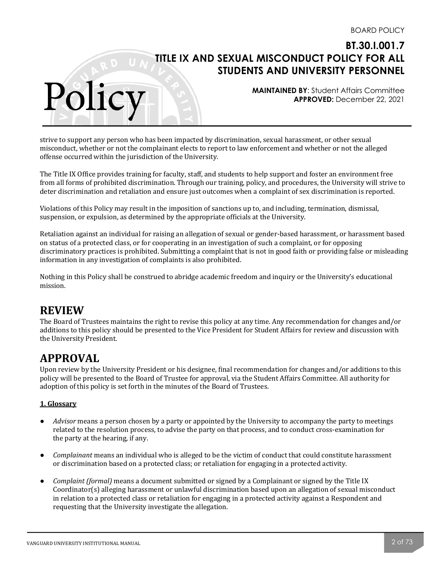**MAINTAINED BY**: Student Affairs Committee **APPROVED:** December 22, 2021

strive to support any person who has been impacted by discrimination, sexual harassment, or other sexual misconduct, whether or not the complainant elects to report to law enforcement and whether or not the alleged offense occurred within the jurisdiction of the University.

The Title IX Office provides training for faculty, staff, and students to help support and foster an environment free from all forms of prohibited discrimination. Through our training, policy, and procedures, the University will strive to deter discrimination and retaliation and ensure just outcomes when a complaint of sex discrimination is reported.

Violations of this Policy may result in the imposition of sanctions up to, and including, termination, dismissal, suspension, or expulsion, as determined by the appropriate officials at the University.

Retaliation against an individual for raising an allegation of sexual or gender-based harassment, or harassment based on status of a protected class, or for cooperating in an investigation of such a complaint, or for opposing discriminatory practices is prohibited. Submitting a complaint that is not in good faith or providing false or misleading information in any investigation of complaints is also prohibited.

Nothing in this Policy shall be construed to abridge academic freedom and inquiry or the University's educational mission.

# **REVIEW**

Polic

The Board of Trustees maintains the right to revise this policy at any time. Any recommendation for changes and/or additions to this policy should be presented to the Vice President for Student Affairs for review and discussion with the University President.

# **APPROVAL**

Upon review by the University President or his designee, final recommendation for changes and/or additions to this policy will be presented to the Board of Trustee for approval, via the Student Affairs Committee. All authority for adoption of this policy is set forth in the minutes of the Board of Trustees.

## **1. Glossary**

- *Advisor* means a person chosen by a party or appointed by the University to accompany the party to meetings related to the resolution process, to advise the party on that process, and to conduct cross-examination for the party at the hearing, if any.
- *Complainant* means an individual who is alleged to be the victim of conduct that could constitute harassment or discrimination based on a protected class; or retaliation for engaging in a protected activity.
- *Complaint (formal)* means a document submitted or signed by a Complainant or signed by the Title IX  $Coordinator(s)$  alleging harassment or unlawful discrimination based upon an allegation of sexual misconduct in relation to a protected class or retaliation for engaging in a protected activity against a Respondent and requesting that the University investigate the allegation.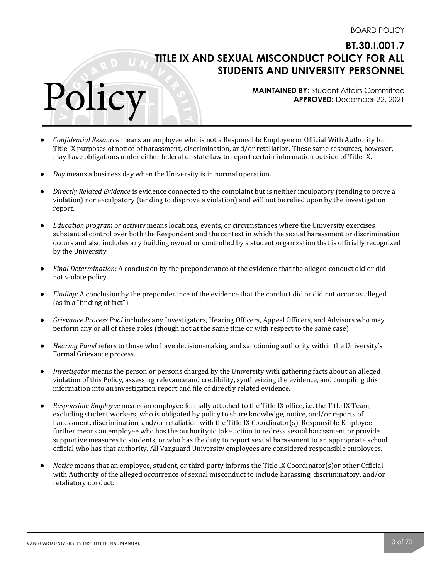**MAINTAINED BY**: Student Affairs Committee **APPROVED:** December 22, 2021

- *Confidential Resource* means an employee who is not a Responsible Employee or Official With Authority for Title IX purposes of notice of harassment, discrimination, and/or retaliation. These same resources, however, may have obligations under either federal or state law to report certain information outside of Title IX.
- *Day* means a business day when the University is in normal operation.

Polic

- *Directly Related Evidence* is evidence connected to the complaint but is neither inculpatory (tending to prove a violation) nor exculpatory (tending to disprove a violation) and will not be relied upon by the investigation report.
- *Education program or activity* means locations, events, or circumstances where the University exercises substantial control over both the Respondent and the context in which the sexual harassment or discrimination occurs and also includes any building owned or controlled by a student organization that is officially recognized by the University.
- *Final Determination:* A conclusion by the preponderance of the evidence that the alleged conduct did or did not violate policy.
- *Finding:* A conclusion by the preponderance of the evidence that the conduct did or did not occur as alleged (as in a "finding of fact").
- *Grievance Process Pool* includes any Investigators, Hearing Officers, Appeal Officers, and Advisors who may perform any or all of these roles (though not at the same time or with respect to the same case).
- *Hearing Panel* refers to those who have decision-making and sanctioning authority within the University's Formal Grievance process.
- *Investigator* means the person or persons charged by the University with gathering facts about an alleged violation of this Policy, assessing relevance and credibility, synthesizing the evidence, and compiling this information into an investigation report and file of directly related evidence.
- Responsible *Employee* means an employee formally attached to the Title IX office, i.e. the Title IX Team, excluding student workers, who is obligated by policy to share knowledge, notice, and/or reports of harassment, discrimination, and/or retaliation with the Title IX Coordinator(s). Responsible Employee further means an employee who has the authority to take action to redress sexual harassment or provide supportive measures to students, or who has the duty to report sexual harassment to an appropriate school official who has that authority. All Vanguard University employees are considered responsible employees.
- *Notice* means that an employee, student, or third-party informs the Title IX Coordinator(s)or other Official with Authority of the alleged occurrence of sexual misconduct to include harassing, discriminatory, and/or retaliatory conduct.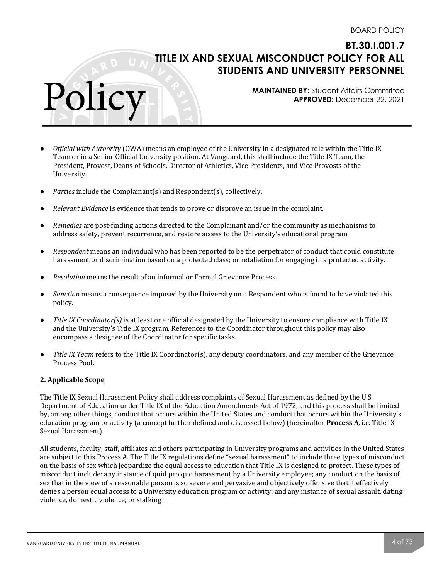**MAINTAINED BY**: Student Affairs Committee **APPROVED:** December 22, 2021

- *Official with Authority* (OWA) means an employee of the University in a designated role within the Title IX Team or in a Senior Official University position. At Vanguard, this shall include the Title IX Team, the President, Provost, Deans of Schools, Director of Athletics, Vice Presidents, and Vice Provosts of the University.
- *Parties* include the Complainant(s) and Respondent(s), collectively.
- *Relevant Evidence* is evidence that tends to prove or disprove an issue in the complaint.
- *Remedies* are post-finding actions directed to the Complainant and/or the community as mechanisms to address safety, prevent recurrence, and restore access to the University's educational program.
- *Respondent* means an individual who has been reported to be the perpetrator of conduct that could constitute harassment or discrimination based on a protected class; or retaliation for engaging in a protected activity.
- *Resolution* means the result of an informal or Formal Grievance Process.
- *Sanction* means a consequence imposed by the University on a Respondent who is found to have violated this policy.
- *Title IX Coordinator(s)* is at least one official designated by the University to ensure compliance with Title IX and the University's Title IX program. References to the Coordinator throughout this policy may also encompass a designee of the Coordinator for specific tasks.
- *Title IX Team* refers to the Title IX Coordinator(s), any deputy coordinators, and any member of the Grievance Process Pool.

#### **2. Applicable Scope**

Polic

The Title IX Sexual Harassment Policy shall address complaints of Sexual Harassment as defined by the U.S. Department of Education under Title IX of the Education Amendments Act of 1972, and this process shall be limited by, among other things, conduct that occurs within the United States and conduct that occurs within the University's education program or activity (a concept further defined and discussed below) (hereinafter **Process A**, i.e. Title IX Sexual Harassment).

All students, faculty, staff, affiliates and others participating in University programs and activities in the United States are subject to this Process A. The Title IX regulations define "sexual harassment" to include three types of misconduct on the basis of sex which jeopardize the equal access to education that Title IX is designed to protect. These types of misconduct include: any instance of quid pro quo harassment by a University employee; any conduct on the basis of sex that in the view of a reasonable person is so severe and pervasive and objectively offensive that it effectively denies a person equal access to a University education program or activity; and any instance of sexual assault, dating violence, domestic violence, or stalking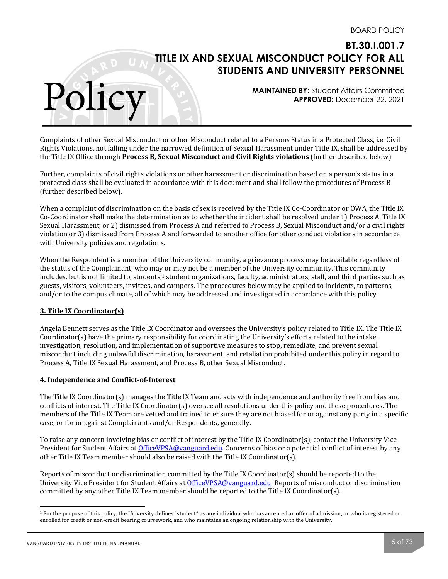**MAINTAINED BY**: Student Affairs Committee **APPROVED:** December 22, 2021

Complaints of other Sexual Misconduct or other Misconduct related to a Persons Status in a Protected Class, i.e. Civil Rights Violations, not falling under the narrowed definition of Sexual Harassment under Title IX, shall be addressed by the Title IX Office through **Process B, Sexual Misconduct and Civil Rights violations** (further described below).

Further, complaints of civil rights violations or other harassment or discrimination based on a person's status in a protected class shall be evaluated in accordance with this document and shall follow the procedures of Process B (further described below).

When a complaint of discrimination on the basis of sex is received by the Title IX Co-Coordinator or OWA, the Title IX Co-Coordinator shall make the determination as to whether the incident shall be resolved under 1) Process A, Title IX Sexual Harassment, or 2) dismissed from Process A and referred to Process B, Sexual Misconduct and/or a civil rights violation or 3) dismissed from Process A and forwarded to another office for other conduct violations in accordance with University policies and regulations.

When the Respondent is a member of the University community, a grievance process may be available regardless of the status of the Complainant, who may or may not be a member of the University community. This community includes, but is not limited to, students,<sup>1</sup> student organizations, faculty, administrators, staff, and third parties such as guests, visitors, volunteers, invitees, and campers. The procedures below may be applied to incidents, to patterns, and/or to the campus climate, all of which may be addressed and investigated in accordance with this policy.

## **3. Title IX Coordinator(s)**

Polic

Angela Bennett serves as the Title IX Coordinator and oversees the University's policy related to Title IX. The Title IX Coordinator(s) have the primary responsibility for coordinating the University's efforts related to the intake, investigation, resolution, and implementation of supportive measures to stop, remediate, and prevent sexual misconduct including unlawful discrimination, harassment, and retaliation prohibited under this policy in regard to Process A, Title IX Sexual Harassment, and Process B, other Sexual Misconduct.

#### **4. Independence and Conflict-of-Interest**

The Title IX Coordinator(s) manages the Title IX Team and acts with independence and authority free from bias and conflicts of interest. The Title IX Coordinator(s) oversee all resolutions under this policy and these procedures. The members of the Title IX Team are vetted and trained to ensure they are not biased for or against any party in a specific case, or for or against Complainants and/or Respondents, generally.

To raise any concern involving bias or conflict of interest by the Title IX Coordinator(s), contact the University Vice President for Student Affairs at OfficeVPSA@vanguard.edu. Concerns of bias or a potential conflict of interest by any other Title IX Team member should also be raised with the Title IX Coordinator(s).

Reports of misconduct or discrimination committed by the Title IX Coordinator(s) should be reported to the University Vice President for Student Affairs at OfficeVPSA@vanguard.edu. Reports of misconduct or discrimination committed by any other Title IX Team member should be reported to the Title IX Coordinator(s).

 $1$  For the purpose of this policy, the University defines "student" as any individual who has accepted an offer of admission, or who is registered or enrolled for credit or non-credit bearing coursework, and who maintains an ongoing relationship with the University.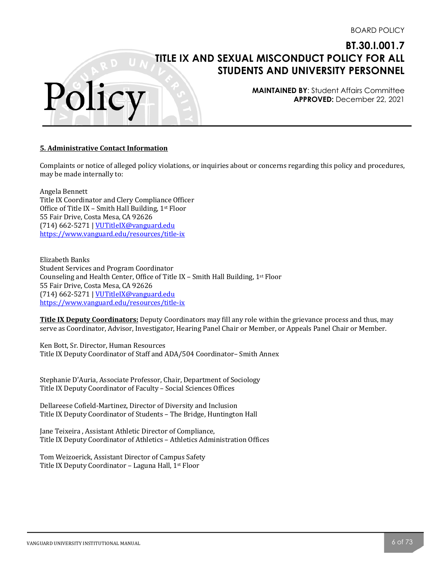**MAINTAINED BY**: Student Affairs Committee **APPROVED:** December 22, 2021

#### **5. Administrative Contact Information**

Polic

Complaints or notice of alleged policy violations, or inquiries about or concerns regarding this policy and procedures, may be made internally to:

Angela Bennett Title IX Coordinator and Clery Compliance Officer Office of Title IX – Smith Hall Building,  $1<sup>st</sup>$  Floor 55 Fair Drive, Costa Mesa, CA 92626 (714) 662-5271 | VUTitleIX@vanguard.edu https://www.vanguard.edu/resources/title-ix

Elizabeth Banks Student Services and Program Coordinator Counseling and Health Center, Office of Title IX - Smith Hall Building, 1st Floor 55 Fair Drive, Costa Mesa, CA 92626 (714) 662-5271 | VUTitleIX@vanguard.edu https://www.vanguard.edu/resources/title-ix

**Title IX Deputy Coordinators:** Deputy Coordinators may fill any role within the grievance process and thus, may serve as Coordinator, Advisor, Investigator, Hearing Panel Chair or Member, or Appeals Panel Chair or Member.

Ken Bott, Sr. Director, Human Resources Title IX Deputy Coordinator of Staff and ADA/504 Coordinator- Smith Annex

Stephanie D'Auria, Associate Professor, Chair, Department of Sociology Title IX Deputy Coordinator of Faculty - Social Sciences Offices

Dellareese Cofield-Martinez, Director of Diversity and Inclusion Title IX Deputy Coordinator of Students - The Bridge, Huntington Hall

Jane Teixeira, Assistant Athletic Director of Compliance, Title IX Deputy Coordinator of Athletics - Athletics Administration Offices

Tom Weizoerick, Assistant Director of Campus Safety Title IX Deputy Coordinator - Laguna Hall, 1st Floor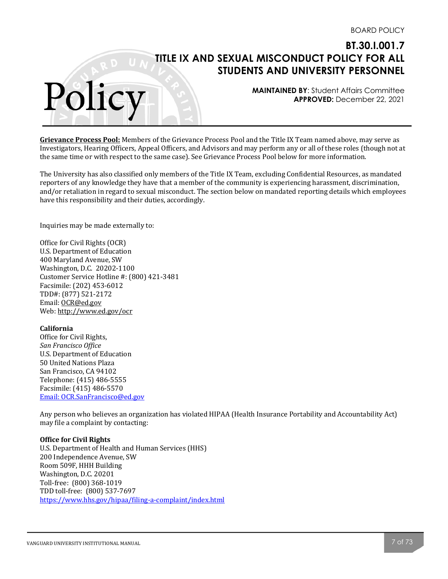**MAINTAINED BY**: Student Affairs Committee **APPROVED:** December 22, 2021

**Grievance Process Pool:** Members of the Grievance Process Pool and the Title IX Team named above, may serve as Investigators, Hearing Officers, Appeal Officers, and Advisors and may perform any or all of these roles (though not at the same time or with respect to the same case). See Grievance Process Pool below for more information.

The University has also classified only members of the Title IX Team, excluding Confidential Resources, as mandated reporters of any knowledge they have that a member of the community is experiencing harassment, discrimination, and/or retaliation in regard to sexual misconduct. The section below on mandated reporting details which employees have this responsibility and their duties, accordingly.

Inquiries may be made externally to:

Polic

Office for Civil Rights (OCR) U.S. Department of Education 400 Maryland Avenue, SW Washington, D.C. 20202-1100 Customer Service Hotline #: (800) 421-3481 Facsimile: (202) 453-6012 TDD#: (877) 521-2172 Email: OCR@ed.gov Web: http://www.ed.gov/ocr

#### **California**

Office for Civil Rights, *San Francisco Office* U.S. Department of Education 50 United Nations Plaza San Francisco, CA 94102 Telephone: (415) 486-5555 Facsimile: (415) 486-5570 Email: OCR.SanFrancisco@ed.gov

Any person who believes an organization has violated HIPAA (Health Insurance Portability and Accountability Act) may file a complaint by contacting:

#### **Office for Civil Rights**

U.S. Department of Health and Human Services (HHS) 200 Independence Avenue, SW Room 509F, HHH Building Washington, D.C. 20201 Toll-free: (800) 368-1019 TDD toll-free: (800) 537-7697 https://www.hhs.gov/hipaa/filing-a-complaint/index.html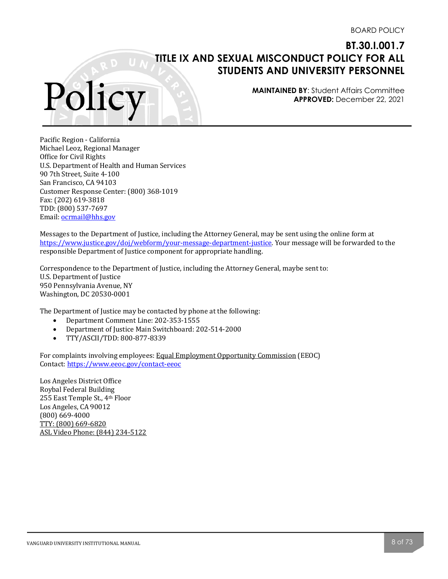**MAINTAINED BY**: Student Affairs Committee **APPROVED:** December 22, 2021

Pacific Region - California Michael Leoz, Regional Manager Office for Civil Rights U.S. Department of Health and Human Services 90 7th Street, Suite 4-100 San Francisco, CA 94103 Customer Response Center: (800) 368-1019 Fax: (202) 619-3818 TDD: (800) 537-7697 Email: ocrmail@hhs.gov

Polic

Messages to the Department of Justice, including the Attorney General, may be sent using the online form at https://www.justice.gov/doj/webform/your-message-department-justice. Your message will be forwarded to the responsible Department of Justice component for appropriate handling.

Correspondence to the Department of Justice, including the Attorney General, maybe sent to: U.S. Department of Justice 950 Pennsylvania Avenue, NY Washington, DC 20530-0001

The Department of Justice may be contacted by phone at the following:

- Department Comment Line: 202-353-1555
- Department of Justice Main Switchboard: 202-514-2000
- TTY/ASCII/TDD: 800-877-8339

For complaints involving employees: Equal Employment Opportunity Commission (EEOC) Contact: https://www.eeoc.gov/contact-eeoc

Los Angeles District Office Roybal Federal Building 255 East Temple St., 4th Floor Los Angeles, CA 90012 (800) 669-4000 TTY: (800) 669-6820 ASL Video Phone: (844) 234-5122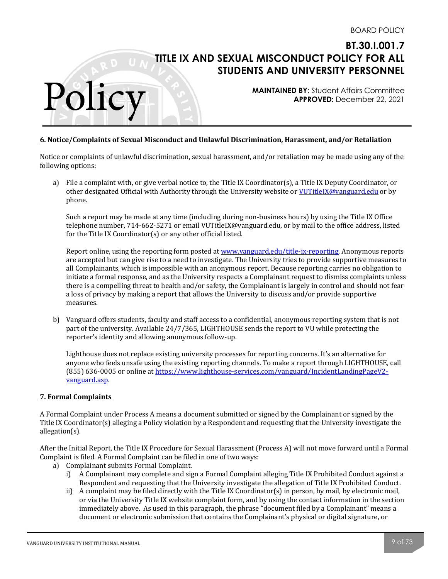**MAINTAINED BY**: Student Affairs Committee **APPROVED:** December 22, 2021

#### **6. Notice/Complaints of Sexual Misconduct and Unlawful Discrimination, Harassment, and/or Retaliation**

Notice or complaints of unlawful discrimination, sexual harassment, and/or retaliation may be made using any of the following options:

a) File a complaint with, or give verbal notice to, the Title IX Coordinator(s), a Title IX Deputy Coordinator, or other designated Official with Authority through the University website or VUTitleIX@vanguard.edu or by phone. 

Such a report may be made at any time (including during non-business hours) by using the Title IX Office telephone number, 714-662-5271 or email VUTitleIX@vanguard.edu, or by mail to the office address, listed for the Title IX Coordinator(s) or any other official listed.

Report online, using the reporting form posted at www.vanguard.edu/title-ix-reporting. Anonymous reports are accepted but can give rise to a need to investigate. The University tries to provide supportive measures to all Complainants, which is impossible with an anonymous report. Because reporting carries no obligation to initiate a formal response, and as the University respects a Complainant request to dismiss complaints unless there is a compelling threat to health and/or safety, the Complainant is largely in control and should not fear a loss of privacy by making a report that allows the University to discuss and/or provide supportive measures.

b) Vanguard offers students, faculty and staff access to a confidential, anonymous reporting system that is not part of the university. Available 24/7/365, LIGHTHOUSE sends the report to VU while protecting the reporter's identity and allowing anonymous follow-up.

Lighthouse does not replace existing university processes for reporting concerns. It's an alternative for anyone who feels unsafe using the existing reporting channels. To make a report through LIGHTHOUSE, call (855) 636-0005 or online at https://www.lighthouse-services.com/vanguard/IncidentLandingPageV2vanguard.asp. 

#### **7. Formal Complaints**

Polic

A Formal Complaint under Process A means a document submitted or signed by the Complainant or signed by the Title IX Coordinator(s) alleging a Policy violation by a Respondent and requesting that the University investigate the allegation(s). 

After the Initial Report, the Title IX Procedure for Sexual Harassment (Process A) will not move forward until a Formal Complaint is filed. A Formal Complaint can be filed in one of two ways:

- a) Complainant submits Formal Complaint.
	- i) A Complainant may complete and sign a Formal Complaint alleging Title IX Prohibited Conduct against a Respondent and requesting that the University investigate the allegation of Title IX Prohibited Conduct.
	- ii) A complaint may be filed directly with the Title IX Coordinator(s) in person, by mail, by electronic mail, or via the University Title IX website complaint form, and by using the contact information in the section immediately above. As used in this paragraph, the phrase "document filed by a Complainant" means a document or electronic submission that contains the Complainant's physical or digital signature, or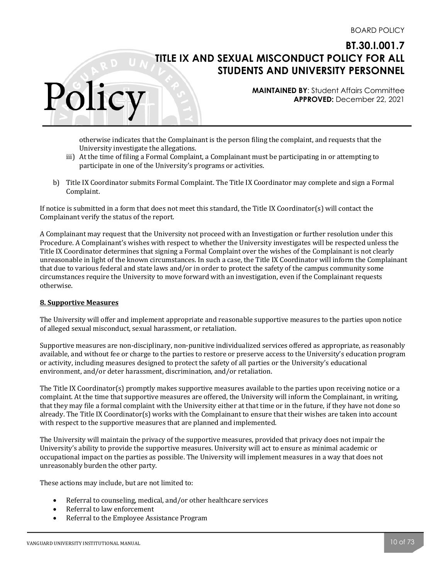**MAINTAINED BY**: Student Affairs Committee **APPROVED:** December 22, 2021

otherwise indicates that the Complainant is the person filing the complaint, and requests that the University investigate the allegations.

- iii) At the time of filing a Formal Complaint, a Complainant must be participating in or attempting to participate in one of the University's programs or activities.
- b) Title IX Coordinator submits Formal Complaint. The Title IX Coordinator may complete and sign a Formal Complaint.

If notice is submitted in a form that does not meet this standard, the Title IX Coordinator(s) will contact the Complainant verify the status of the report.

A Complainant may request that the University not proceed with an Investigation or further resolution under this Procedure. A Complainant's wishes with respect to whether the University investigates will be respected unless the Title IX Coordinator determines that signing a Formal Complaint over the wishes of the Complainant is not clearly unreasonable in light of the known circumstances. In such a case, the Title IX Coordinator will inform the Complainant that due to various federal and state laws and/or in order to protect the safety of the campus community some circumstances require the University to move forward with an investigation, even if the Complainant requests otherwise. 

#### **8. Supportive Measures**

Polic

The University will offer and implement appropriate and reasonable supportive measures to the parties upon notice of alleged sexual misconduct, sexual harassment, or retaliation.

Supportive measures are non-disciplinary, non-punitive individualized services offered as appropriate, as reasonably available, and without fee or charge to the parties to restore or preserve access to the University's education program or activity, including measures designed to protect the safety of all parties or the University's educational environment, and/or deter harassment, discrimination, and/or retaliation.

The Title IX Coordinator(s) promptly makes supportive measures available to the parties upon receiving notice or a complaint. At the time that supportive measures are offered, the University will inform the Complainant, in writing, that they may file a formal complaint with the University either at that time or in the future, if they have not done so already. The Title IX Coordinator(s) works with the Complainant to ensure that their wishes are taken into account with respect to the supportive measures that are planned and implemented.

The University will maintain the privacy of the supportive measures, provided that privacy does not impair the University's ability to provide the supportive measures. University will act to ensure as minimal academic or occupational impact on the parties as possible. The University will implement measures in a way that does not unreasonably burden the other party.

These actions may include, but are not limited to:

- Referral to counseling, medical, and/or other healthcare services
- Referral to law enforcement
- Referral to the Employee Assistance Program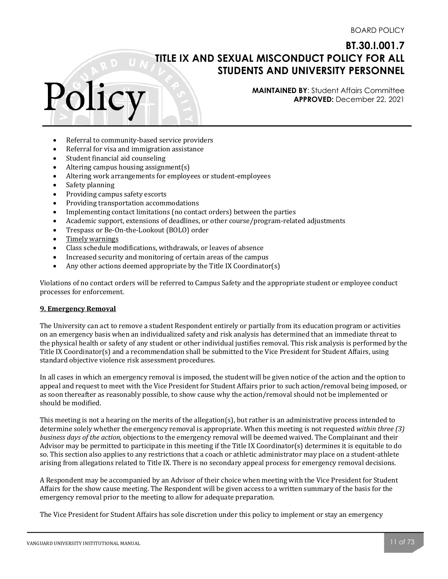# Polic

**MAINTAINED BY**: Student Affairs Committee **APPROVED:** December 22, 2021

- Referral to community-based service providers
- Referral for visa and immigration assistance
- Student financial aid counseling
- Altering campus housing assignment(s)
- Altering work arrangements for employees or student-employees
- Safety planning
- Providing campus safety escorts
- Providing transportation accommodations
- Implementing contact limitations (no contact orders) between the parties
- Academic support, extensions of deadlines, or other course/program-related adjustments
- Trespass or Be-On-the-Lookout (BOLO) order
- Timely warnings
- Class schedule modifications, withdrawals, or leaves of absence
- Increased security and monitoring of certain areas of the campus
- Any other actions deemed appropriate by the Title IX Coordinator(s)

Violations of no contact orders will be referred to Campus Safety and the appropriate student or employee conduct processes for enforcement.

#### **9. Emergency Removal**

The University can act to remove a student Respondent entirely or partially from its education program or activities on an emergency basis when an individualized safety and risk analysis has determined that an immediate threat to the physical health or safety of any student or other individual justifies removal. This risk analysis is performed by the Title IX Coordinator(s) and a recommendation shall be submitted to the Vice President for Student Affairs, using standard objective violence risk assessment procedures.

In all cases in which an emergency removal is imposed, the student will be given notice of the action and the option to appeal and request to meet with the Vice President for Student Affairs prior to such action/removal being imposed, or as soon thereafter as reasonably possible, to show cause why the action/removal should not be implemented or should be modified.

This meeting is not a hearing on the merits of the allegation(s), but rather is an administrative process intended to determine solely whether the emergency removal is appropriate. When this meeting is not requested *within three* (3) *business days of the action,* objections to the emergency removal will be deemed waived. The Complainant and their Advisor may be permitted to participate in this meeting if the Title IX Coordinator(s) determines it is equitable to do so. This section also applies to any restrictions that a coach or athletic administrator may place on a student-athlete arising from allegations related to Title IX. There is no secondary appeal process for emergency removal decisions.

A Respondent may be accompanied by an Advisor of their choice when meeting with the Vice President for Student Affairs for the show cause meeting. The Respondent will be given access to a written summary of the basis for the emergency removal prior to the meeting to allow for adequate preparation.

The Vice President for Student Affairs has sole discretion under this policy to implement or stay an emergency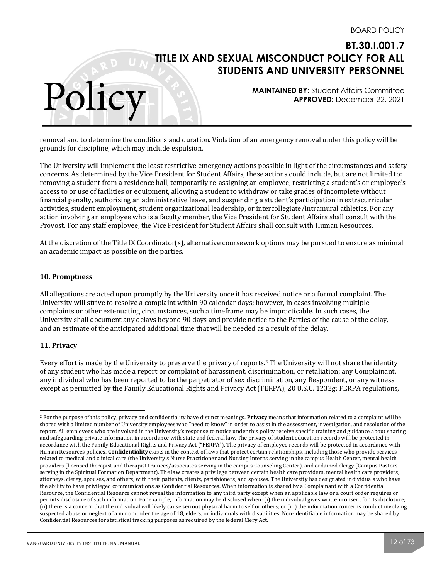**MAINTAINED BY**: Student Affairs Committee **APPROVED:** December 22, 2021

removal and to determine the conditions and duration. Violation of an emergency removal under this policy will be grounds for discipline, which may include expulsion.

The University will implement the least restrictive emergency actions possible in light of the circumstances and safety concerns. As determined by the Vice President for Student Affairs, these actions could include, but are not limited to: removing a student from a residence hall, temporarily re-assigning an employee, restricting a student's or employee's access to or use of facilities or equipment, allowing a student to withdraw or take grades of incomplete without financial penalty, authorizing an administrative leave, and suspending a student's participation in extracurricular activities, student employment, student organizational leadership, or intercollegiate/intramural athletics. For any action involving an employee who is a faculty member, the Vice President for Student Affairs shall consult with the Provost. For any staff employee, the Vice President for Student Affairs shall consult with Human Resources.

At the discretion of the Title IX Coordinator(s), alternative coursework options may be pursued to ensure as minimal an academic impact as possible on the parties.

#### **10. Promptness**

Polic

All allegations are acted upon promptly by the University once it has received notice or a formal complaint. The University will strive to resolve a complaint within 90 calendar days; however, in cases involving multiple complaints or other extenuating circumstances, such a timeframe may be impracticable. In such cases, the University shall document any delays beyond 90 days and provide notice to the Parties of the cause of the delay, and an estimate of the anticipated additional time that will be needed as a result of the delay.

## **11. Privacy**

Every effort is made by the University to preserve the privacy of reports.<sup>2</sup> The University will not share the identity of any student who has made a report or complaint of harassment, discrimination, or retaliation; any Complainant, any individual who has been reported to be the perpetrator of sex discrimination, any Respondent, or any witness, except as permitted by the Family Educational Rights and Privacy Act (FERPA), 20 U.S.C. 1232g; FERPA regulations,

<sup>&</sup>lt;sup>2</sup> For the purpose of this policy, privacy and confidentiality have distinct meanings. **Privacy** means that information related to a complaint will be shared with a limited number of University employees who "need to know" in order to assist in the assessment, investigation, and resolution of the report. All employees who are involved in the University's response to notice under this policy receive specific training and guidance about sharing and safeguarding private information in accordance with state and federal law. The privacy of student education records will be protected in accordance with the Family Educational Rights and Privacy Act ("FERPA"). The privacy of employee records will be protected in accordance with Human Resources policies. **Confidentiality** exists in the context of laws that protect certain relationships, including those who provide services related to medical and clinical care (the University's Nurse Practitioner and Nursing Interns serving in the campus Health Center, mental health providers (licensed therapist and therapist trainees/associates serving in the campus Counseling Center), and ordained clergy (Campus Pastors serving in the Spiritual Formation Department). The law creates a privilege between certain health care providers, mental health care providers, attorneys, clergy, spouses, and others, with their patients, clients, parishioners, and spouses. The University has designated individuals who have the ability to have privileged communications as Confidential Resources. When information is shared by a Complainant with a Confidential Resource, the Confidential Resource cannot reveal the information to any third party except when an applicable law or a court order requires or permits disclosure of such information. For example, information may be disclosed when: (i) the individual gives written consent for its disclosure; (ii) there is a concern that the individual will likely cause serious physical harm to self or others; or (iii) the information concerns conduct involving suspected abuse or neglect of a minor under the age of 18, elders, or individuals with disabilities. Non-identifiable information may be shared by Confidential Resources for statistical tracking purposes as required by the federal Clery Act.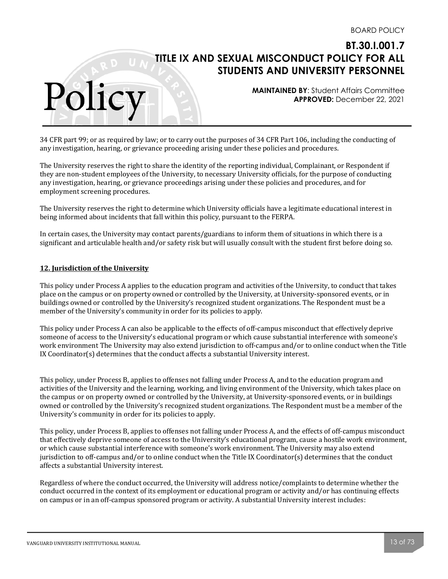**MAINTAINED BY**: Student Affairs Committee **APPROVED:** December 22, 2021

34 CFR part 99; or as required by law; or to carry out the purposes of 34 CFR Part 106, including the conducting of any investigation, hearing, or grievance proceeding arising under these policies and procedures.

The University reserves the right to share the identity of the reporting individual, Complainant, or Respondent if they are non-student employees of the University, to necessary University officials, for the purpose of conducting any investigation, hearing, or grievance proceedings arising under these policies and procedures, and for employment screening procedures.

The University reserves the right to determine which University officials have a legitimate educational interest in being informed about incidents that fall within this policy, pursuant to the FERPA.

In certain cases, the University may contact parents/guardians to inform them of situations in which there is a significant and articulable health and/or safety risk but will usually consult with the student first before doing so.

#### **12. Jurisdiction of the University**

Polic

This policy under Process A applies to the education program and activities of the University, to conduct that takes place on the campus or on property owned or controlled by the University, at University-sponsored events, or in buildings owned or controlled by the University's recognized student organizations. The Respondent must be a member of the University's community in order for its policies to apply.

This policy under Process A can also be applicable to the effects of off-campus misconduct that effectively deprive someone of access to the University's educational program or which cause substantial interference with someone's work environment The University may also extend jurisdiction to off-campus and/or to online conduct when the Title IX Coordinator(s) determines that the conduct affects a substantial University interest.

This policy, under Process B, applies to offenses not falling under Process A, and to the education program and activities of the University and the learning, working, and living environment of the University, which takes place on the campus or on property owned or controlled by the University, at University-sponsored events, or in buildings owned or controlled by the University's recognized student organizations. The Respondent must be a member of the University's community in order for its policies to apply.

This policy, under Process B, applies to offenses not falling under Process A, and the effects of off-campus misconduct that effectively deprive someone of access to the University's educational program, cause a hostile work environment, or which cause substantial interference with someone's work environment. The University may also extend jurisdiction to off-campus and/or to online conduct when the Title IX Coordinator(s) determines that the conduct affects a substantial University interest.

Regardless of where the conduct occurred, the University will address notice/complaints to determine whether the conduct occurred in the context of its employment or educational program or activity and/or has continuing effects on campus or in an off-campus sponsored program or activity. A substantial University interest includes: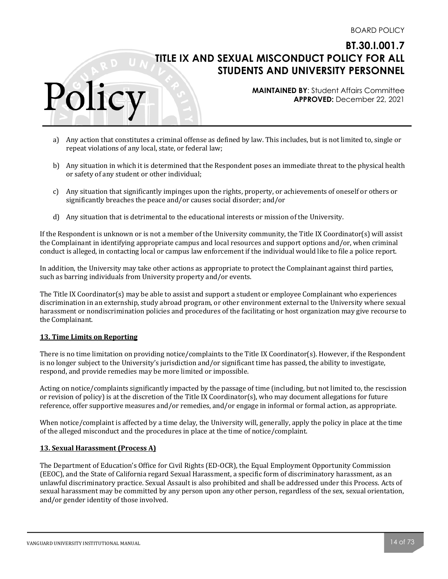**MAINTAINED BY**: Student Affairs Committee **APPROVED:** December 22, 2021

- a) Any action that constitutes a criminal offense as defined by law. This includes, but is not limited to, single or repeat violations of any local, state, or federal law;
- b) Any situation in which it is determined that the Respondent poses an immediate threat to the physical health or safety of any student or other individual:
- c) Any situation that significantly impinges upon the rights, property, or achievements of oneself or others or significantly breaches the peace and/or causes social disorder; and/or
- d) Any situation that is detrimental to the educational interests or mission of the University.

If the Respondent is unknown or is not a member of the University community, the Title IX Coordinator(s) will assist the Complainant in identifying appropriate campus and local resources and support options and/or, when criminal conduct is alleged, in contacting local or campus law enforcement if the individual would like to file a police report.

In addition, the University may take other actions as appropriate to protect the Complainant against third parties, such as barring individuals from University property and/or events.

The Title IX Coordinator(s) may be able to assist and support a student or employee Complainant who experiences discrimination in an externship, study abroad program, or other environment external to the University where sexual harassment or nondiscrimination policies and procedures of the facilitating or host organization may give recourse to the Complainant.

#### **13. Time Limits on Reporting**

Polic

There is no time limitation on providing notice/complaints to the Title IX Coordinator(s). However, if the Respondent is no longer subject to the University's jurisdiction and/or significant time has passed, the ability to investigate, respond, and provide remedies may be more limited or impossible.

Acting on notice/complaints significantly impacted by the passage of time (including, but not limited to, the rescission or revision of policy) is at the discretion of the Title IX Coordinator(s), who may document allegations for future reference, offer supportive measures and/or remedies, and/or engage in informal or formal action, as appropriate.

When notice/complaint is affected by a time delay, the University will, generally, apply the policy in place at the time of the alleged misconduct and the procedures in place at the time of notice/complaint.

## **13. Sexual Harassment (Process A)**

The Department of Education's Office for Civil Rights (ED-OCR), the Equal Employment Opportunity Commission (EEOC), and the State of California regard Sexual Harassment, a specific form of discriminatory harassment, as an unlawful discriminatory practice. Sexual Assault is also prohibited and shall be addressed under this Process. Acts of sexual harassment may be committed by any person upon any other person, regardless of the sex, sexual orientation, and/or gender identity of those involved.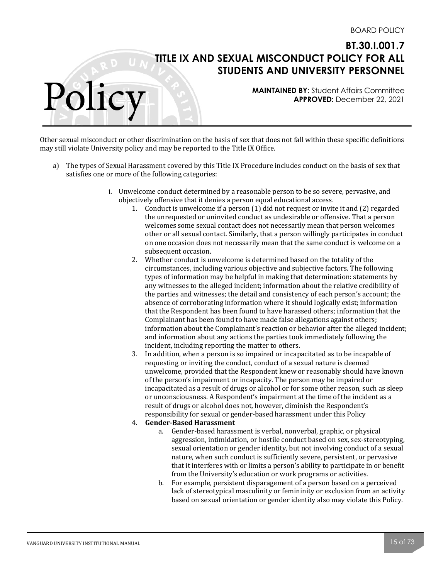**MAINTAINED BY**: Student Affairs Committee **APPROVED:** December 22, 2021

Other sexual misconduct or other discrimination on the basis of sex that does not fall within these specific definitions may still violate University policy and may be reported to the Title IX Office.

- a) The types of Sexual Harassment covered by this Title IX Procedure includes conduct on the basis of sex that satisfies one or more of the following categories:
	- i. Unwelcome conduct determined by a reasonable person to be so severe, pervasive, and objectively offensive that it denies a person equal educational access.
		- 1. Conduct is unwelcome if a person  $(1)$  did not request or invite it and  $(2)$  regarded the unrequested or uninvited conduct as undesirable or offensive. That a person welcomes some sexual contact does not necessarily mean that person welcomes other or all sexual contact. Similarly, that a person willingly participates in conduct on one occasion does not necessarily mean that the same conduct is welcome on a subsequent occasion.
		- 2. Whether conduct is unwelcome is determined based on the totality of the circumstances, including various objective and subjective factors. The following types of information may be helpful in making that determination: statements by any witnesses to the alleged incident; information about the relative credibility of the parties and witnesses; the detail and consistency of each person's account; the absence of corroborating information where it should logically exist; information that the Respondent has been found to have harassed others; information that the Complainant has been found to have made false allegations against others; information about the Complainant's reaction or behavior after the alleged incident; and information about any actions the parties took immediately following the incident, including reporting the matter to others.
		- 3. In addition, when a person is so impaired or incapacitated as to be incapable of requesting or inviting the conduct, conduct of a sexual nature is deemed unwelcome, provided that the Respondent knew or reasonably should have known of the person's impairment or incapacity. The person may be impaired or incapacitated as a result of drugs or alcohol or for some other reason, such as sleep or unconsciousness. A Respondent's impairment at the time of the incident as a result of drugs or alcohol does not, however, diminish the Respondent's responsibility for sexual or gender-based harassment under this Policy

## 4. **Gender-Based Harassment**

- a. Gender-based harassment is verbal, nonverbal, graphic, or physical aggression, intimidation, or hostile conduct based on sex, sex-stereotyping, sexual orientation or gender identity, but not involving conduct of a sexual nature, when such conduct is sufficiently severe, persistent, or pervasive that it interferes with or limits a person's ability to participate in or benefit from the University's education or work programs or activities.
- b. For example, persistent disparagement of a person based on a perceived lack of stereotypical masculinity or femininity or exclusion from an activity based on sexual orientation or gender identity also may violate this Policy.

Polic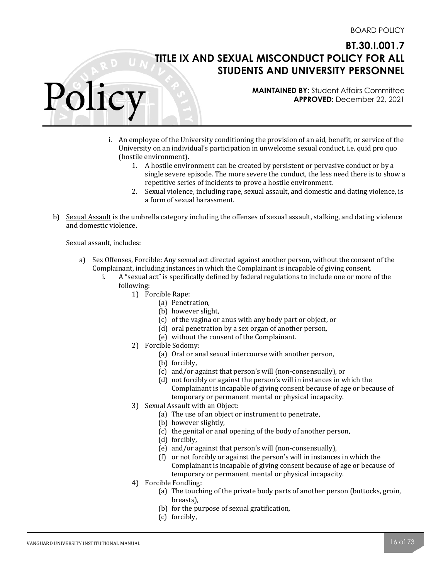**MAINTAINED BY**: Student Affairs Committee **APPROVED:** December 22, 2021

- i. An employee of the University conditioning the provision of an aid, benefit, or service of the University on an individual's participation in unwelcome sexual conduct, i.e. quid pro quo (hostile environment).
	- 1. A hostile environment can be created by persistent or pervasive conduct or by a single severe episode. The more severe the conduct, the less need there is to show a repetitive series of incidents to prove a hostile environment.
	- 2. Sexual violence, including rape, sexual assault, and domestic and dating violence, is a form of sexual harassment.
- b) Sexual Assault is the umbrella category including the offenses of sexual assault, stalking, and dating violence and domestic violence.

Sexual assault, includes:

Polic

- a) Sex Offenses, Forcible: Any sexual act directed against another person, without the consent of the Complainant, including instances in which the Complainant is incapable of giving consent.
	- i. A "sexual act" is specifically defined by federal regulations to include one or more of the following:
		- 1) Forcible Rape:
			- (a) Penetration,
			- (b) however slight,
			- (c) of the vagina or anus with any body part or object, or
			- $(d)$  oral penetration by a sex organ of another person,
			- (e) without the consent of the Complainant.
		- 2) Forcible Sodomy:
			- (a) Oral or anal sexual intercourse with another person,
			- (b) forcibly,
			- (c) and/or against that person's will (non-consensually), or
			- (d) not forcibly or against the person's will in instances in which the Complainant is incapable of giving consent because of age or because of temporary or permanent mental or physical incapacity.
		- 3) Sexual Assault with an Object:
			- (a) The use of an object or instrument to penetrate,
			- (b) however slightly,
			- (c) the genital or anal opening of the body of another person,
			- (d) forcibly,
			- (e) and/or against that person's will (non-consensually),
			- (f) or not forcibly or against the person's will in instances in which the Complainant is incapable of giving consent because of age or because of temporary or permanent mental or physical incapacity.
		- 4) Forcible Fondling:
			- (a) The touching of the private body parts of another person (buttocks, groin, breasts),
			- (b) for the purpose of sexual gratification,
			- (c) forcibly,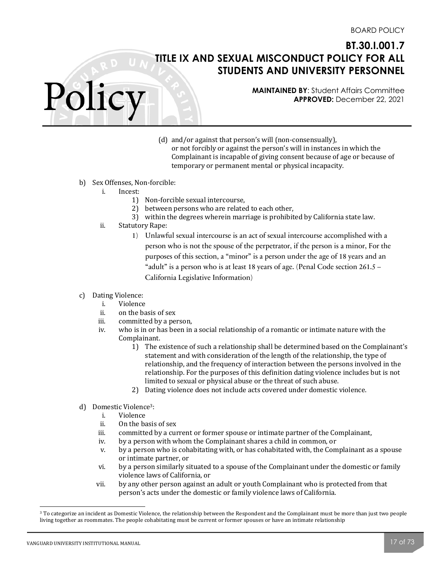**MAINTAINED BY**: Student Affairs Committee **APPROVED:** December 22, 2021

- (d) and/or against that person's will (non-consensually), or not forcibly or against the person's will in instances in which the Complainant is incapable of giving consent because of age or because of temporary or permanent mental or physical incapacity.
- b) Sex Offenses, Non-forcible:
	- i. Incest:

Policy

- 1) Non-forcible sexual intercourse,
- 2) between persons who are related to each other,
- 3) within the degrees wherein marriage is prohibited by California state law.
- ii. Statutory Rape:
	- 1) Unlawful sexual intercourse is an act of sexual intercourse accomplished with a person who is not the spouse of the perpetrator, if the person is a minor, For the purposes of this section, a "minor" is a person under the age of 18 years and an "adult" is a person who is at least 18 years of age. (Penal Code section  $261.5 -$ California Legislative Information)
- c) Dating Violence:
	- i. Violence
	- ii. on the basis of sex
	- iii. committed by a person,
	- iv. who is in or has been in a social relationship of a romantic or intimate nature with the Complainant.
		- 1) The existence of such a relationship shall be determined based on the Complainant's statement and with consideration of the length of the relationship, the type of relationship, and the frequency of interaction between the persons involved in the relationship. For the purposes of this definition dating violence includes but is not limited to sexual or physical abuse or the threat of such abuse.
		- 2) Dating violence does not include acts covered under domestic violence.
- d) Domestic Violence<sup>3</sup>:
	- i. Violence
	- ii. On the basis of sex
	- iii. committed by a current or former spouse or intimate partner of the Complainant,
	- iv. by a person with whom the Complainant shares a child in common, or
	- v. by a person who is cohabitating with, or has cohabitated with, the Complainant as a spouse or intimate partner, or
	- vi. by a person similarly situated to a spouse of the Complainant under the domestic or family violence laws of California, or
	- vii. by any other person against an adult or youth Complainant who is protected from that person's acts under the domestic or family violence laws of California.

<sup>&</sup>lt;sup>3</sup> To categorize an incident as Domestic Violence, the relationship between the Respondent and the Complainant must be more than just two people living together as roommates. The people cohabitating must be current or former spouses or have an intimate relationship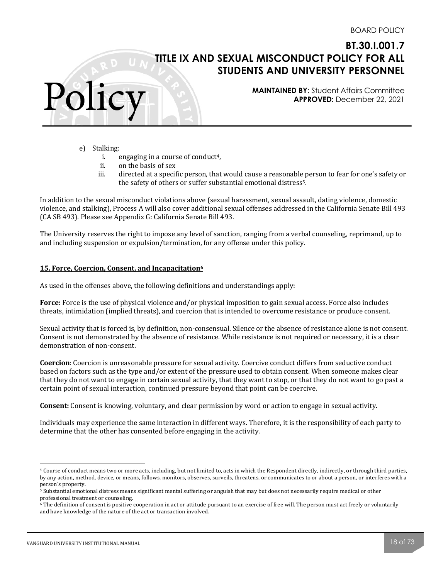**MAINTAINED BY**: Student Affairs Committee **APPROVED:** December 22, 2021

e) Stalking:

Polic

- i. engaging in a course of conduct<sup>4</sup>,
- ii. on the basis of sex
- iii. directed at a specific person, that would cause a reasonable person to fear for one's safety or the safety of others or suffer substantial emotional distress<sup>5</sup>.

In addition to the sexual misconduct violations above (sexual harassment, sexual assault, dating violence, domestic violence, and stalking), Process A will also cover additional sexual offenses addressed in the California Senate Bill 493 (CA SB 493). Please see Appendix G: California Senate Bill 493.

The University reserves the right to impose any level of sanction, ranging from a verbal counseling, reprimand, up to and including suspension or expulsion/termination, for any offense under this policy.

#### **15. Force, Coercion, Consent, and Incapacitation**<sup>6</sup>

As used in the offenses above, the following definitions and understandings apply:

**Force:** Force is the use of physical violence and/or physical imposition to gain sexual access. Force also includes threats, intimidation (implied threats), and coercion that is intended to overcome resistance or produce consent.

Sexual activity that is forced is, by definition, non-consensual. Silence or the absence of resistance alone is not consent. Consent is not demonstrated by the absence of resistance. While resistance is not required or necessary, it is a clear demonstration of non-consent.

**Coercion**: Coercion is unreasonable pressure for sexual activity. Coercive conduct differs from seductive conduct based on factors such as the type and/or extent of the pressure used to obtain consent. When someone makes clear that they do not want to engage in certain sexual activity, that they want to stop, or that they do not want to go past a certain point of sexual interaction, continued pressure beyond that point can be coercive.

**Consent:** Consent is knowing, voluntary, and clear permission by word or action to engage in sexual activity.

Individuals may experience the same interaction in different ways. Therefore, it is the responsibility of each party to determine that the other has consented before engaging in the activity.

<sup>&</sup>lt;sup>4</sup> Course of conduct means two or more acts, including, but not limited to, acts in which the Respondent directly, indirectly, or through third parties, by any action, method, device, or means, follows, monitors, observes, surveils, threatens, or communicates to or about a person, or interferes with a person's property.

<sup>&</sup>lt;sup>5</sup> Substantial emotional distress means significant mental suffering or anguish that may but does not necessarily require medical or other professional treatment or counseling.

 $6$  The definition of consent is positive cooperation in act or attitude pursuant to an exercise of free will. The person must act freely or voluntarily and have knowledge of the nature of the act or transaction involved.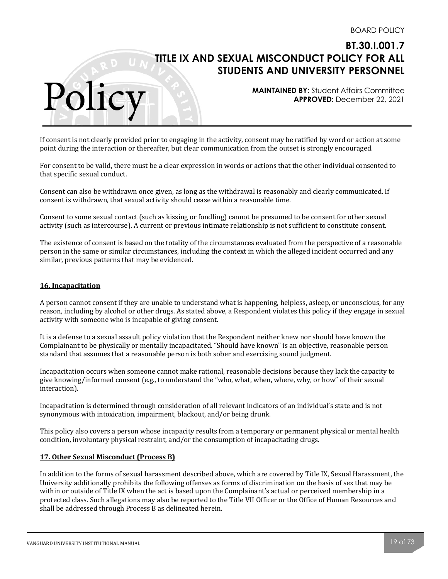**MAINTAINED BY**: Student Affairs Committee **APPROVED:** December 22, 2021

If consent is not clearly provided prior to engaging in the activity, consent may be ratified by word or action at some point during the interaction or thereafter, but clear communication from the outset is strongly encouraged.

For consent to be valid, there must be a clear expression in words or actions that the other individual consented to that specific sexual conduct.

Consent can also be withdrawn once given, as long as the withdrawal is reasonably and clearly communicated. If consent is withdrawn, that sexual activity should cease within a reasonable time.

Consent to some sexual contact (such as kissing or fondling) cannot be presumed to be consent for other sexual activity (such as intercourse). A current or previous intimate relationship is not sufficient to constitute consent.

The existence of consent is based on the totality of the circumstances evaluated from the perspective of a reasonable person in the same or similar circumstances, including the context in which the alleged incident occurred and any similar, previous patterns that may be evidenced.

## **16. Incapacitation**

Polic

A person cannot consent if they are unable to understand what is happening, helpless, asleep, or unconscious, for any reason, including by alcohol or other drugs. As stated above, a Respondent violates this policy if they engage in sexual activity with someone who is incapable of giving consent.

It is a defense to a sexual assault policy violation that the Respondent neither knew nor should have known the Complainant to be physically or mentally incapacitated. "Should have known" is an objective, reasonable person standard that assumes that a reasonable person is both sober and exercising sound judgment.

Incapacitation occurs when someone cannot make rational, reasonable decisions because they lack the capacity to give knowing/informed consent  $(e.g., to understand the "who, what, when, where, why, or how" of their sexual$ interaction). 

Incapacitation is determined through consideration of all relevant indicators of an individual's state and is not synonymous with intoxication, impairment, blackout, and/or being drunk.

This policy also covers a person whose incapacity results from a temporary or permanent physical or mental health condition, involuntary physical restraint, and/or the consumption of incapacitating drugs.

#### **17. Other Sexual Misconduct (Process B)**

In addition to the forms of sexual harassment described above, which are covered by Title IX, Sexual Harassment, the University additionally prohibits the following offenses as forms of discrimination on the basis of sex that may be within or outside of Title IX when the act is based upon the Complainant's actual or perceived membership in a protected class. Such allegations may also be reported to the Title VII Officer or the Office of Human Resources and shall be addressed through Process B as delineated herein.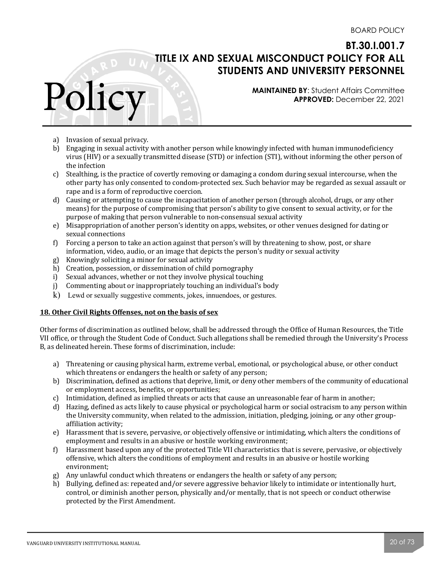**MAINTAINED BY**: Student Affairs Committee **APPROVED:** December 22, 2021

a) Invasion of sexual privacy.

Polic

- b) Engaging in sexual activity with another person while knowingly infected with human immunodeficiency virus (HIV) or a sexually transmitted disease (STD) or infection (STI), without informing the other person of the infection
- c) Stealthing, is the practice of covertly removing or damaging a condom during sexual intercourse, when the other party has only consented to condom-protected sex. Such behavior may be regarded as sexual assault or rape and is a form of reproductive coercion.
- d) Causing or attempting to cause the incapacitation of another person (through alcohol, drugs, or any other means) for the purpose of compromising that person's ability to give consent to sexual activity, or for the purpose of making that person vulnerable to non-consensual sexual activity
- e) Misappropriation of another person's identity on apps, websites, or other venues designed for dating or sexual connections
- f) Forcing a person to take an action against that person's will by threatening to show, post, or share information, video, audio, or an image that depicts the person's nudity or sexual activity
- g) Knowingly soliciting a minor for sexual activity
- h) Creation, possession, or dissemination of child pornography
- i) Sexual advances, whether or not they involve physical touching
- j) Commenting about or inappropriately touching an individual's body
- k) Lewd or sexually suggestive comments, jokes, innuendoes, or gestures.

#### **18. Other Civil Rights Offenses, not on the basis of sex**

Other forms of discrimination as outlined below, shall be addressed through the Office of Human Resources, the Title VII office, or through the Student Code of Conduct. Such allegations shall be remedied through the University's Process B, as delineated herein. These forms of discrimination, include:

- a) Threatening or causing physical harm, extreme verbal, emotional, or psychological abuse, or other conduct which threatens or endangers the health or safety of any person;
- b) Discrimination, defined as actions that deprive, limit, or deny other members of the community of educational or employment access, benefits, or opportunities;
- c) Intimidation, defined as implied threats or acts that cause an unreasonable fear of harm in another;
- d) Hazing, defined as acts likely to cause physical or psychological harm or social ostracism to any person within the University community, when related to the admission, initiation, pledging, joining, or any other groupaffiliation activity;
- e) Harassment that is severe, pervasive, or objectively offensive or intimidating, which alters the conditions of employment and results in an abusive or hostile working environment;
- f) Harassment based upon any of the protected Title VII characteristics that is severe, pervasive, or objectively offensive, which alters the conditions of employment and results in an abusive or hostile working environment;
- g) Any unlawful conduct which threatens or endangers the health or safety of any person;
- h) Bullying, defined as: repeated and/or severe aggressive behavior likely to intimidate or intentionally hurt, control, or diminish another person, physically and/or mentally, that is not speech or conduct otherwise protected by the First Amendment.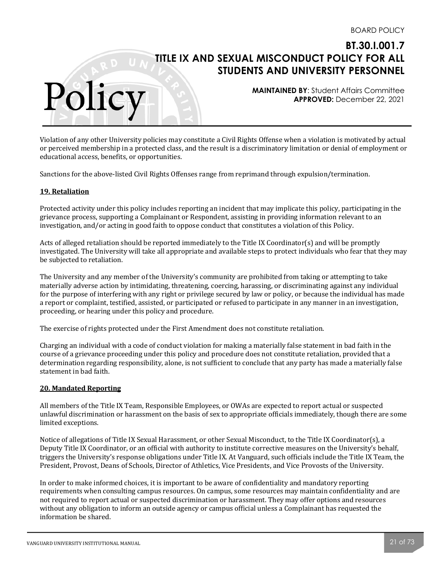**MAINTAINED BY**: Student Affairs Committee **APPROVED:** December 22, 2021

Violation of any other University policies may constitute a Civil Rights Offense when a violation is motivated by actual or perceived membership in a protected class, and the result is a discriminatory limitation or denial of employment or educational access, benefits, or opportunities.

Sanctions for the above-listed Civil Rights Offenses range from reprimand through expulsion/termination.

#### **19. Retaliation**

Polic

Protected activity under this policy includes reporting an incident that may implicate this policy, participating in the grievance process, supporting a Complainant or Respondent, assisting in providing information relevant to an investigation, and/or acting in good faith to oppose conduct that constitutes a violation of this Policy.

Acts of alleged retaliation should be reported immediately to the Title IX Coordinator(s) and will be promptly investigated. The University will take all appropriate and available steps to protect individuals who fear that they may be subjected to retaliation.

The University and any member of the University's community are prohibited from taking or attempting to take materially adverse action by intimidating, threatening, coercing, harassing, or discriminating against any individual for the purpose of interfering with any right or privilege secured by law or policy, or because the individual has made a report or complaint, testified, assisted, or participated or refused to participate in any manner in an investigation, proceeding, or hearing under this policy and procedure.

The exercise of rights protected under the First Amendment does not constitute retaliation.

Charging an individual with a code of conduct violation for making a materially false statement in bad faith in the course of a grievance proceeding under this policy and procedure does not constitute retaliation, provided that a determination regarding responsibility, alone, is not sufficient to conclude that any party has made a materially false statement in bad faith.

#### **20. Mandated Reporting**

All members of the Title IX Team, Responsible Employees, or OWAs are expected to report actual or suspected unlawful discrimination or harassment on the basis of sex to appropriate officials immediately, though there are some limited exceptions.

Notice of allegations of Title IX Sexual Harassment, or other Sexual Misconduct, to the Title IX Coordinator(s), a Deputy Title IX Coordinator, or an official with authority to institute corrective measures on the University's behalf, triggers the University's response obligations under Title IX. At Vanguard, such officials include the Title IX Team, the President, Provost, Deans of Schools, Director of Athletics, Vice Presidents, and Vice Provosts of the University.

In order to make informed choices, it is important to be aware of confidentiality and mandatory reporting requirements when consulting campus resources. On campus, some resources may maintain confidentiality and are not required to report actual or suspected discrimination or harassment. They may offer options and resources without any obligation to inform an outside agency or campus official unless a Complainant has requested the information be shared.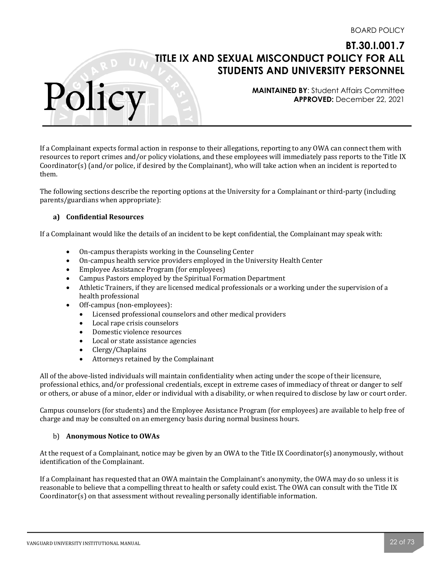**MAINTAINED BY**: Student Affairs Committee **APPROVED:** December 22, 2021

If a Complainant expects formal action in response to their allegations, reporting to any OWA can connect them with resources to report crimes and/or policy violations, and these employees will immediately pass reports to the Title IX Coordinator(s) (and/or police, if desired by the Complainant), who will take action when an incident is reported to them. 

The following sections describe the reporting options at the University for a Complainant or third-party (including parents/guardians when appropriate):

## **a) Confidential Resources**

Polic

If a Complainant would like the details of an incident to be kept confidential, the Complainant may speak with:

- On-campus therapists working in the Counseling Center
- On-campus health service providers employed in the University Health Center
- Employee Assistance Program (for employees)
- Campus Pastors employed by the Spiritual Formation Department
- Athletic Trainers, if they are licensed medical professionals or a working under the supervision of a health professional
- Off-campus (non-employees):
	- Licensed professional counselors and other medical providers
	- Local rape crisis counselors
	- Domestic violence resources
	- Local or state assistance agencies
	- Clergy/Chaplains
	- Attorneys retained by the Complainant

All of the above-listed individuals will maintain confidentiality when acting under the scope of their licensure, professional ethics, and/or professional credentials, except in extreme cases of immediacy of threat or danger to self or others, or abuse of a minor, elder or individual with a disability, or when required to disclose by law or court order.

Campus counselors (for students) and the Employee Assistance Program (for employees) are available to help free of charge and may be consulted on an emergency basis during normal business hours.

#### b) **Anonymous Notice to OWAs**

At the request of a Complainant, notice may be given by an OWA to the Title IX Coordinator(s) anonymously, without identification of the Complainant.

If a Complainant has requested that an OWA maintain the Complainant's anonymity, the OWA may do so unless it is reasonable to believe that a compelling threat to health or safety could exist. The OWA can consult with the Title IX  $Coordinator(s)$  on that assessment without revealing personally identifiable information.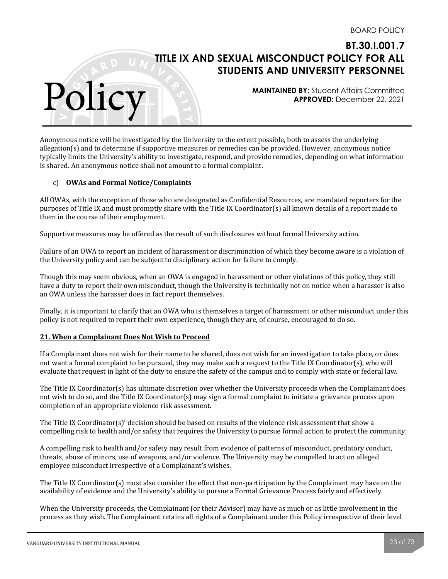**MAINTAINED BY**: Student Affairs Committee **APPROVED:** December 22, 2021

Anonymous notice will be investigated by the University to the extent possible, both to assess the underlying allegation(s) and to determine if supportive measures or remedies can be provided. However, anonymous notice typically limits the University's ability to investigate, respond, and provide remedies, depending on what information is shared. An anonymous notice shall not amount to a formal complaint.

## c) **OWAs and Formal Notice/Complaints**

Polic

All OWAs, with the exception of those who are designated as Confidential Resources, are mandated reporters for the purposes of Title IX and must promptly share with the Title IX Coordinator(s) all known details of a report made to them in the course of their employment.

Supportive measures may be offered as the result of such disclosures without formal University action.

Failure of an OWA to report an incident of harassment or discrimination of which they become aware is a violation of the University policy and can be subject to disciplinary action for failure to comply.

Though this may seem obvious, when an OWA is engaged in harassment or other violations of this policy, they still have a duty to report their own misconduct, though the University is technically not on notice when a harasser is also an OWA unless the harasser does in fact report themselves.

Finally, it is important to clarify that an OWA who is themselves a target of harassment or other misconduct under this policy is not required to report their own experience, though they are, of course, encouraged to do so.

#### **21. When a Complainant Does Not Wish to Proceed**

If a Complainant does not wish for their name to be shared, does not wish for an investigation to take place, or does not want a formal complaint to be pursued, they may make such a request to the Title IX Coordinator(s), who will evaluate that request in light of the duty to ensure the safety of the campus and to comply with state or federal law.

The Title IX Coordinator(s) has ultimate discretion over whether the University proceeds when the Complainant does not wish to do so, and the Title IX Coordinator(s) may sign a formal complaint to initiate a grievance process upon completion of an appropriate violence risk assessment.

The Title IX Coordinator(s)' decision should be based on results of the violence risk assessment that show a compelling risk to health and/or safety that requires the University to pursue formal action to protect the community.

A compelling risk to health and/or safety may result from evidence of patterns of misconduct, predatory conduct, threats, abuse of minors, use of weapons, and/or violence. The University may be compelled to act on alleged employee misconduct irrespective of a Complainant's wishes.

The Title IX Coordinator(s) must also consider the effect that non-participation by the Complainant may have on the availability of evidence and the University's ability to pursue a Formal Grievance Process fairly and effectively.

When the University proceeds, the Complainant (or their Advisor) may have as much or as little involvement in the process as they wish. The Complainant retains all rights of a Complainant under this Policy irrespective of their level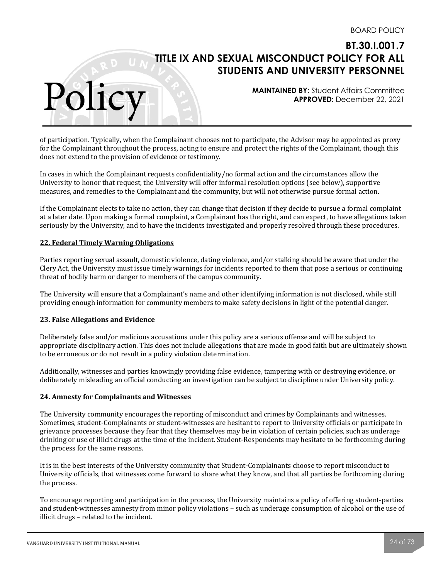**MAINTAINED BY**: Student Affairs Committee **APPROVED:** December 22, 2021

of participation. Typically, when the Complainant chooses not to participate, the Advisor may be appointed as proxy for the Complainant throughout the process, acting to ensure and protect the rights of the Complainant, though this does not extend to the provision of evidence or testimony.

In cases in which the Complainant requests confidentiality/no formal action and the circumstances allow the University to honor that request, the University will offer informal resolution options (see below), supportive measures, and remedies to the Complainant and the community, but will not otherwise pursue formal action.

If the Complainant elects to take no action, they can change that decision if they decide to pursue a formal complaint at a later date. Upon making a formal complaint, a Complainant has the right, and can expect, to have allegations taken seriously by the University, and to have the incidents investigated and properly resolved through these procedures.

## **22. Federal Timely Warning Obligations**

Polic

Parties reporting sexual assault, domestic violence, dating violence, and/or stalking should be aware that under the Clery Act, the University must issue timely warnings for incidents reported to them that pose a serious or continuing threat of bodily harm or danger to members of the campus community.

The University will ensure that a Complainant's name and other identifying information is not disclosed, while still providing enough information for community members to make safety decisions in light of the potential danger.

#### **23. False Allegations and Evidence**

Deliberately false and/or malicious accusations under this policy are a serious offense and will be subject to appropriate disciplinary action. This does not include allegations that are made in good faith but are ultimately shown to be erroneous or do not result in a policy violation determination.

Additionally, witnesses and parties knowingly providing false evidence, tampering with or destroying evidence, or deliberately misleading an official conducting an investigation can be subject to discipline under University policy.

#### **24. Amnesty for Complainants and Witnesses**

The University community encourages the reporting of misconduct and crimes by Complainants and witnesses. Sometimes, student-Complainants or student-witnesses are hesitant to report to University officials or participate in grievance processes because they fear that they themselves may be in violation of certain policies, such as underage drinking or use of illicit drugs at the time of the incident. Student-Respondents may hesitate to be forthcoming during the process for the same reasons.

It is in the best interests of the University community that Student-Complainants choose to report misconduct to University officials, that witnesses come forward to share what they know, and that all parties be forthcoming during the process.

To encourage reporting and participation in the process, the University maintains a policy of offering student-parties and student-witnesses amnesty from minor policy violations - such as underage consumption of alcohol or the use of illicit drugs - related to the incident.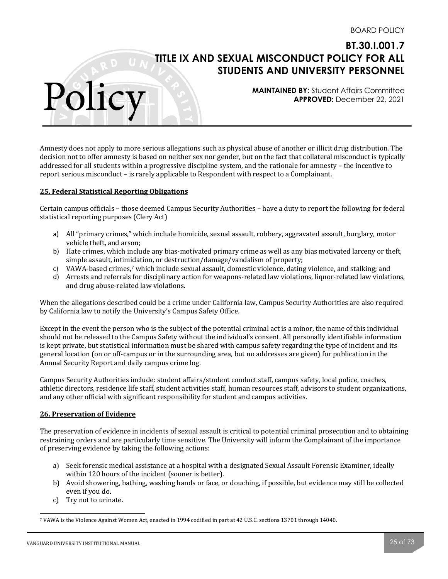**MAINTAINED BY**: Student Affairs Committee **APPROVED:** December 22, 2021

Amnesty does not apply to more serious allegations such as physical abuse of another or illicit drug distribution. The decision not to offer amnesty is based on neither sex nor gender, but on the fact that collateral misconduct is typically addressed for all students within a progressive discipline system, and the rationale for amnesty – the incentive to report serious misconduct – is rarely applicable to Respondent with respect to a Complainant.

## **25. Federal Statistical Reporting Obligations**

Polic

Certain campus officials – those deemed Campus Security Authorities – have a duty to report the following for federal statistical reporting purposes (Clery Act)

- a) All "primary crimes," which include homicide, sexual assault, robbery, aggravated assault, burglary, motor vehicle theft, and arson;
- b) Hate crimes, which include any bias-motivated primary crime as well as any bias motivated larceny or theft, simple assault, intimidation, or destruction/damage/vandalism of property;
- c) VAWA-based crimes,<sup>7</sup> which include sexual assault, domestic violence, dating violence, and stalking; and
- d) Arrests and referrals for disciplinary action for weapons-related law violations, liquor-related law violations, and drug abuse-related law violations.

When the allegations described could be a crime under California law, Campus Security Authorities are also required by California law to notify the University's Campus Safety Office.

Except in the event the person who is the subject of the potential criminal act is a minor, the name of this individual should not be released to the Campus Safety without the individual's consent. All personally identifiable information is kept private, but statistical information must be shared with campus safety regarding the type of incident and its general location (on or off-campus or in the surrounding area, but no addresses are given) for publication in the Annual Security Report and daily campus crime log.

Campus Security Authorities include: student affairs/student conduct staff, campus safety, local police, coaches, athletic directors, residence life staff, student activities staff, human resources staff, advisors to student organizations, and any other official with significant responsibility for student and campus activities.

#### **26. Preservation of Evidence**

The preservation of evidence in incidents of sexual assault is critical to potential criminal prosecution and to obtaining restraining orders and are particularly time sensitive. The University will inform the Complainant of the importance of preserving evidence by taking the following actions:

- a) Seek forensic medical assistance at a hospital with a designated Sexual Assault Forensic Examiner, ideally within 120 hours of the incident (sooner is better).
- b) Avoid showering, bathing, washing hands or face, or douching, if possible, but evidence may still be collected even if you do.
- c) Try not to urinate.

<sup>&</sup>lt;sup>7</sup> VAWA is the Violence Against Women Act, enacted in 1994 codified in part at 42 U.S.C. sections 13701 through 14040.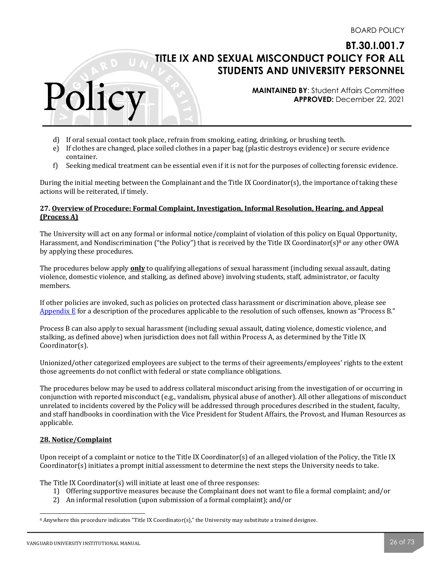**MAINTAINED BY**: Student Affairs Committee **APPROVED:** December 22, 2021

- d) If oral sexual contact took place, refrain from smoking, eating, drinking, or brushing teeth.
- e) If clothes are changed, place soiled clothes in a paper bag (plastic destroys evidence) or secure evidence container.
- f) Seeking medical treatment can be essential even if it is not for the purposes of collecting forensic evidence.

During the initial meeting between the Complainant and the Title IX Coordinator(s), the importance of taking these actions will be reiterated, if timely.

## 27. Overview of Procedure: Formal Complaint, Investigation, Informal Resolution, Hearing, and Appeal **(Process A)**

The University will act on any formal or informal notice/complaint of violation of this policy on Equal Opportunity, Harassment, and Nondiscrimination ("the Policy") that is received by the Title IX Coordinator(s)<sup>8</sup> or any other OWA by applying these procedures.

The procedures below apply **only** to qualifying allegations of sexual harassment (including sexual assault, dating violence, domestic violence, and stalking, as defined above) involving students, staff, administrator, or faculty members. 

If other policies are invoked, such as policies on protected class harassment or discrimination above, please see Appendix  $E$  for a description of the procedures applicable to the resolution of such offenses, known as "Process B."

Process B can also apply to sexual harassment (including sexual assault, dating violence, domestic violence, and stalking, as defined above) when jurisdiction does not fall within Process A, as determined by the Title IX Coordinator(s). 

Unionized/other categorized employees are subject to the terms of their agreements/employees' rights to the extent those agreements do not conflict with federal or state compliance obligations.

The procedures below may be used to address collateral misconduct arising from the investigation of or occurring in conjunction with reported misconduct (e.g., vandalism, physical abuse of another). All other allegations of misconduct unrelated to incidents covered by the Policy will be addressed through procedures described in the student, faculty, and staff handbooks in coordination with the Vice President for Student Affairs, the Provost, and Human Resources as applicable. 

## **28. Notice/Complaint**

Polic

Upon receipt of a complaint or notice to the Title IX Coordinator(s) of an alleged violation of the Policy, the Title IX  $Coordinator(s)$  initiates a prompt initial assessment to determine the next steps the University needs to take.

The Title IX Coordinator(s) will initiate at least one of three responses:

- 1) Offering supportive measures because the Complainant does not want to file a formal complaint; and/or
- 2) An informal resolution (upon submission of a formal complaint); and/or

 $8$  Anywhere this procedure indicates "Title IX Coordinator(s)," the University may substitute a trained designee.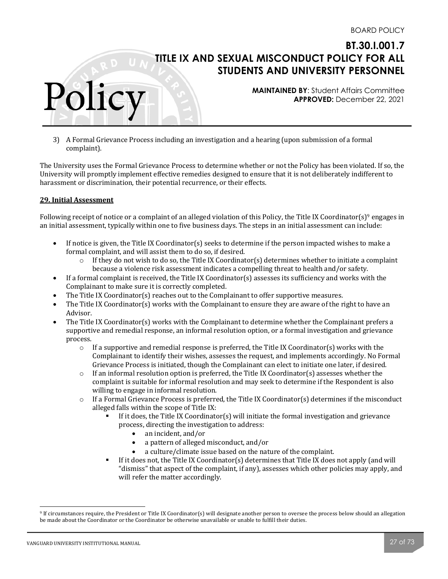**MAINTAINED BY**: Student Affairs Committee **APPROVED:** December 22, 2021

3) A Formal Grievance Process including an investigation and a hearing (upon submission of a formal complaint). 

The University uses the Formal Grievance Process to determine whether or not the Policy has been violated. If so, the University will promptly implement effective remedies designed to ensure that it is not deliberately indifferent to harassment or discrimination, their potential recurrence, or their effects.

## **29. Initial Assessment**

Polic

Following receipt of notice or a complaint of an alleged violation of this Policy, the Title IX Coordinator(s)<sup>9</sup> engages in an initial assessment, typically within one to five business days. The steps in an initial assessment can include:

- If notice is given, the Title IX Coordinator(s) seeks to determine if the person impacted wishes to make a formal complaint, and will assist them to do so, if desired.
	- $\circ$  If they do not wish to do so, the Title IX Coordinator(s) determines whether to initiate a complaint because a violence risk assessment indicates a compelling threat to health and/or safety.
- If a formal complaint is received, the Title IX Coordinator(s) assesses its sufficiency and works with the Complainant to make sure it is correctly completed.
- The Title IX Coordinator(s) reaches out to the Complainant to offer supportive measures.
- The Title IX Coordinator(s) works with the Complainant to ensure they are aware of the right to have an Advisor.
- The Title IX Coordinator(s) works with the Complainant to determine whether the Complainant prefers a supportive and remedial response, an informal resolution option, or a formal investigation and grievance process.
	- $\circ$  If a supportive and remedial response is preferred, the Title IX Coordinator(s) works with the Complainant to identify their wishes, assesses the request, and implements accordingly. No Formal Grievance Process is initiated, though the Complainant can elect to initiate one later, if desired.
	- $\circ$  If an informal resolution option is preferred, the Title IX Coordinator(s) assesses whether the complaint is suitable for informal resolution and may seek to determine if the Respondent is also willing to engage in informal resolution.
	- $\circ$  If a Formal Grievance Process is preferred, the Title IX Coordinator(s) determines if the misconduct alleged falls within the scope of Title IX:
		- If it does, the Title IX Coordinator(s) will initiate the formal investigation and grievance process, directing the investigation to address:
			- an incident, and/or
			- a pattern of alleged misconduct, and/or
			- a culture/climate issue based on the nature of the complaint.
		- **•** If it does not, the Title IX Coordinator(s) determines that Title IX does not apply (and will "dismiss" that aspect of the complaint, if any), assesses which other policies may apply, and will refer the matter accordingly.

<sup>&</sup>lt;sup>9</sup> If circumstances require, the President or Title IX Coordinator(s) will designate another person to oversee the process below should an allegation be made about the Coordinator or the Coordinator be otherwise unavailable or unable to fulfill their duties.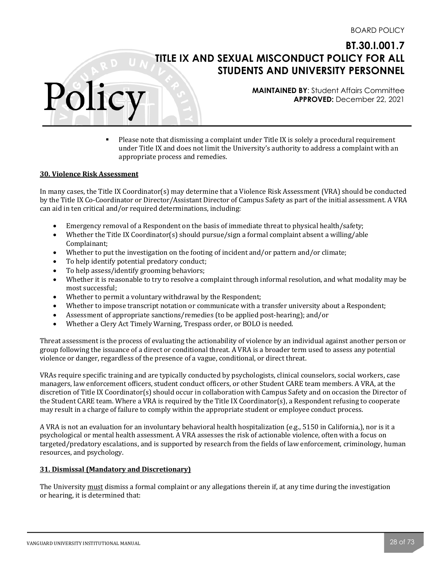**MAINTAINED BY**: Student Affairs Committee **APPROVED:** December 22, 2021

• Please note that dismissing a complaint under Title IX is solely a procedural requirement under Title IX and does not limit the University's authority to address a complaint with an appropriate process and remedies.

#### **30. Violence Risk Assessment**

Polic

In many cases, the Title IX Coordinator(s) may determine that a Violence Risk Assessment (VRA) should be conducted by the Title IX Co-Coordinator or Director/Assistant Director of Campus Safety as part of the initial assessment. A VRA can aid in ten critical and/or required determinations, including:

- Emergency removal of a Respondent on the basis of immediate threat to physical health/safety;
- Whether the Title IX Coordinator(s) should pursue/sign a formal complaint absent a willing/able Complainant;
- Whether to put the investigation on the footing of incident and/or pattern and/or climate;
- To help identify potential predatory conduct;
- To help assess/identify grooming behaviors;
- Whether it is reasonable to try to resolve a complaint through informal resolution, and what modality may be most successful:
- Whether to permit a voluntary withdrawal by the Respondent;
- Whether to impose transcript notation or communicate with a transfer university about a Respondent;
- Assessment of appropriate sanctions/remedies (to be applied post-hearing); and/or
- Whether a Clery Act Timely Warning, Trespass order, or BOLO is needed.

Threat assessment is the process of evaluating the actionability of violence by an individual against another person or group following the issuance of a direct or conditional threat. A VRA is a broader term used to assess any potential violence or danger, regardless of the presence of a vague, conditional, or direct threat.

VRAs require specific training and are typically conducted by psychologists, clinical counselors, social workers, case managers, law enforcement officers, student conduct officers, or other Student CARE team members. A VRA, at the discretion of Title IX Coordinator(s) should occur in collaboration with Campus Safety and on occasion the Director of the Student CARE team. Where a VRA is required by the Title IX Coordinator(s), a Respondent refusing to cooperate may result in a charge of failure to comply within the appropriate student or employee conduct process.

A VRA is not an evaluation for an involuntary behavioral health hospitalization  $(e.g., 5150$  in California,), nor is it a psychological or mental health assessment. A VRA assesses the risk of actionable violence, often with a focus on targeted/predatory escalations, and is supported by research from the fields of law enforcement, criminology, human resources, and psychology.

#### **31. Dismissal (Mandatory and Discretionary)**

The University must dismiss a formal complaint or any allegations therein if, at any time during the investigation or hearing, it is determined that: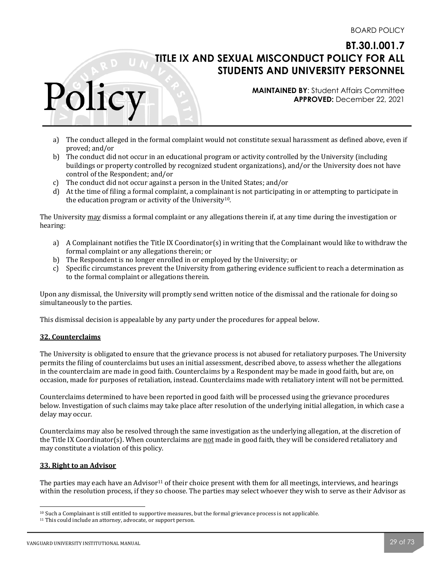**MAINTAINED BY**: Student Affairs Committee **APPROVED:** December 22, 2021

- a) The conduct alleged in the formal complaint would not constitute sexual harassment as defined above, even if proved; and/or
- b) The conduct did not occur in an educational program or activity controlled by the University (including buildings or property controlled by recognized student organizations), and/or the University does not have control of the Respondent: and/or
- c) The conduct did not occur against a person in the United States; and/or
- d) At the time of filing a formal complaint, a complainant is not participating in or attempting to participate in the education program or activity of the University<sup>10</sup>.

The University may dismiss a formal complaint or any allegations therein if, at any time during the investigation or hearing: 

- a) A Complainant notifies the Title IX Coordinator(s) in writing that the Complainant would like to withdraw the formal complaint or any allegations therein; or
- b) The Respondent is no longer enrolled in or employed by the University; or
- c) Specific circumstances prevent the University from gathering evidence sufficient to reach a determination as to the formal complaint or allegations therein.

Upon any dismissal, the University will promptly send written notice of the dismissal and the rationale for doing so simultaneously to the parties.

This dismissal decision is appealable by any party under the procedures for appeal below.

#### **32. Counterclaims**

Polic

The University is obligated to ensure that the grievance process is not abused for retaliatory purposes. The University permits the filing of counterclaims but uses an initial assessment, described above, to assess whether the allegations in the counterclaim are made in good faith. Counterclaims by a Respondent may be made in good faith, but are, on occasion, made for purposes of retaliation, instead. Counterclaims made with retaliatory intent will not be permitted.

Counterclaims determined to have been reported in good faith will be processed using the grievance procedures below. Investigation of such claims may take place after resolution of the underlying initial allegation, in which case a delay may occur.

Counterclaims may also be resolved through the same investigation as the underlying allegation, at the discretion of the Title IX Coordinator(s). When counterclaims are not made in good faith, they will be considered retaliatory and may constitute a violation of this policy.

#### **33. Right to an Advisor**

The parties may each have an Advisor<sup>11</sup> of their choice present with them for all meetings, interviews, and hearings within the resolution process, if they so choose. The parties may select whoever they wish to serve as their Advisor as

 $10$  Such a Complainant is still entitled to supportive measures, but the formal grievance process is not applicable.

<sup>&</sup>lt;sup>11</sup> This could include an attorney, advocate, or support person.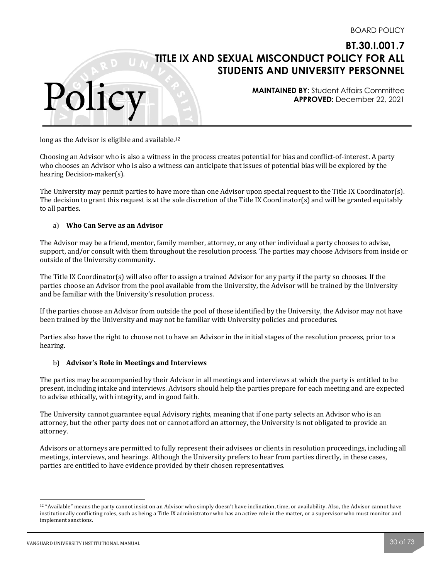**MAINTAINED BY**: Student Affairs Committee **APPROVED:** December 22, 2021

long as the Advisor is eligible and available.<sup>12</sup>

Polic

Choosing an Advisor who is also a witness in the process creates potential for bias and conflict-of-interest. A party who chooses an Advisor who is also a witness can anticipate that issues of potential bias will be explored by the hearing Decision-maker(s).

The University may permit parties to have more than one Advisor upon special request to the Title IX Coordinator(s). The decision to grant this request is at the sole discretion of the Title IX Coordinator(s) and will be granted equitably to all parties.

#### a) **Who Can Serve as an Advisor**

The Advisor may be a friend, mentor, family member, attorney, or any other individual a party chooses to advise, support, and/or consult with them throughout the resolution process. The parties may choose Advisors from inside or outside of the University community.

The Title IX Coordinator(s) will also offer to assign a trained Advisor for any party if the party so chooses. If the parties choose an Advisor from the pool available from the University, the Advisor will be trained by the University and be familiar with the University's resolution process.

If the parties choose an Advisor from outside the pool of those identified by the University, the Advisor may not have been trained by the University and may not be familiar with University policies and procedures.

Parties also have the right to choose not to have an Advisor in the initial stages of the resolution process, prior to a hearing. 

#### b) Advisor's Role in Meetings and Interviews

The parties may be accompanied by their Advisor in all meetings and interviews at which the party is entitled to be present, including intake and interviews. Advisors should help the parties prepare for each meeting and are expected to advise ethically, with integrity, and in good faith.

The University cannot guarantee equal Advisory rights, meaning that if one party selects an Advisor who is an attorney, but the other party does not or cannot afford an attorney, the University is not obligated to provide an attorney. 

Advisors or attorneys are permitted to fully represent their advisees or clients in resolution proceedings, including all meetings, interviews, and hearings. Although the University prefers to hear from parties directly, in these cases, parties are entitled to have evidence provided by their chosen representatives.

<sup>&</sup>lt;sup>12</sup> "Available" means the party cannot insist on an Advisor who simply doesn't have inclination, time, or availability. Also, the Advisor cannot have institutionally conflicting roles, such as being a Title IX administrator who has an active role in the matter, or a supervisor who must monitor and implement sanctions.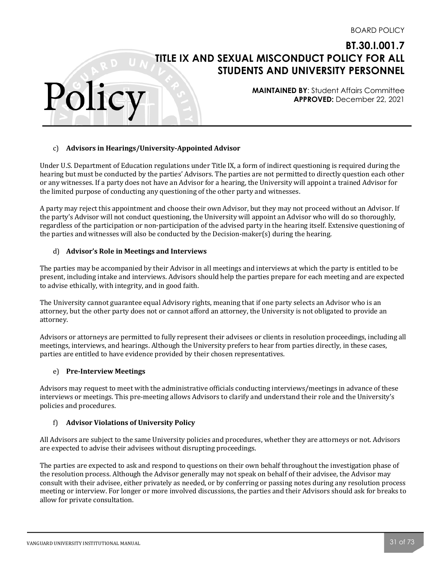**MAINTAINED BY**: Student Affairs Committee **APPROVED:** December 22, 2021

## c) Advisors in Hearings/University-Appointed Advisor

Under U.S. Department of Education regulations under Title IX, a form of indirect questioning is required during the hearing but must be conducted by the parties' Advisors. The parties are not permitted to directly question each other or any witnesses. If a party does not have an Advisor for a hearing, the University will appoint a trained Advisor for the limited purpose of conducting any questioning of the other party and witnesses.

A party may reject this appointment and choose their own Advisor, but they may not proceed without an Advisor. If the party's Advisor will not conduct questioning, the University will appoint an Advisor who will do so thoroughly, regardless of the participation or non-participation of the advised party in the hearing itself. Extensive questioning of the parties and witnesses will also be conducted by the Decision-maker(s) during the hearing.

#### d) Advisor's Role in Meetings and Interviews

The parties may be accompanied by their Advisor in all meetings and interviews at which the party is entitled to be present, including intake and interviews. Advisors should help the parties prepare for each meeting and are expected to advise ethically, with integrity, and in good faith.

The University cannot guarantee equal Advisory rights, meaning that if one party selects an Advisor who is an attorney, but the other party does not or cannot afford an attorney, the University is not obligated to provide an attorney. 

Advisors or attorneys are permitted to fully represent their advisees or clients in resolution proceedings, including all meetings, interviews, and hearings. Although the University prefers to hear from parties directly, in these cases, parties are entitled to have evidence provided by their chosen representatives.

#### e) **Pre-Interview Meetings**

Polic

Advisors may request to meet with the administrative officials conducting interviews/meetings in advance of these interviews or meetings. This pre-meeting allows Advisors to clarify and understand their role and the University's policies and procedures.

#### f) **Advisor Violations of University Policy**

All Advisors are subject to the same University policies and procedures, whether they are attorneys or not. Advisors are expected to advise their advisees without disrupting proceedings.

The parties are expected to ask and respond to questions on their own behalf throughout the investigation phase of the resolution process. Although the Advisor generally may not speak on behalf of their advisee, the Advisor may consult with their advisee, either privately as needed, or by conferring or passing notes during any resolution process meeting or interview. For longer or more involved discussions, the parties and their Advisors should ask for breaks to allow for private consultation.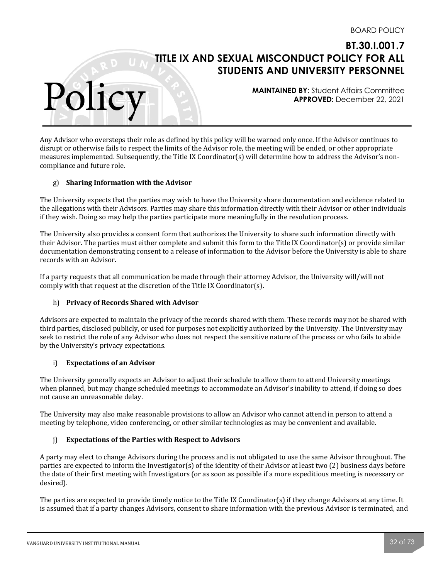**MAINTAINED BY**: Student Affairs Committee **APPROVED:** December 22, 2021

Any Advisor who oversteps their role as defined by this policy will be warned only once. If the Advisor continues to disrupt or otherwise fails to respect the limits of the Advisor role, the meeting will be ended, or other appropriate measures implemented. Subsequently, the Title IX Coordinator(s) will determine how to address the Advisor's noncompliance and future role.

## g) **Sharing Information with the Advisor**

Polic

The University expects that the parties may wish to have the University share documentation and evidence related to the allegations with their Advisors. Parties may share this information directly with their Advisor or other individuals if they wish. Doing so may help the parties participate more meaningfully in the resolution process.

The University also provides a consent form that authorizes the University to share such information directly with their Advisor. The parties must either complete and submit this form to the Title IX Coordinator(s) or provide similar documentation demonstrating consent to a release of information to the Advisor before the University is able to share records with an Advisor.

If a party requests that all communication be made through their attorney Advisor, the University will/will not comply with that request at the discretion of the Title IX Coordinator(s).

#### h) **Privacy of Records Shared with Advisor**

Advisors are expected to maintain the privacy of the records shared with them. These records may not be shared with third parties, disclosed publicly, or used for purposes not explicitly authorized by the University. The University may seek to restrict the role of any Advisor who does not respect the sensitive nature of the process or who fails to abide by the University's privacy expectations.

#### i) **Expectations of an Advisor**

The University generally expects an Advisor to adjust their schedule to allow them to attend University meetings when planned, but may change scheduled meetings to accommodate an Advisor's inability to attend, if doing so does not cause an unreasonable delay.

The University may also make reasonable provisions to allow an Advisor who cannot attend in person to attend a meeting by telephone, video conferencing, or other similar technologies as may be convenient and available.

#### i) Expectations of the Parties with Respect to Advisors

A party may elect to change Advisors during the process and is not obligated to use the same Advisor throughout. The parties are expected to inform the Investigator(s) of the identity of their Advisor at least two (2) business days before the date of their first meeting with Investigators (or as soon as possible if a more expeditious meeting is necessary or desired). 

The parties are expected to provide timely notice to the Title IX Coordinator(s) if they change Advisors at any time. It is assumed that if a party changes Advisors, consent to share information with the previous Advisor is terminated, and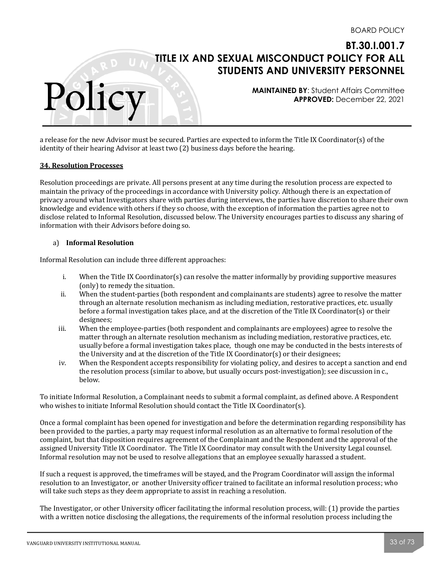**MAINTAINED BY**: Student Affairs Committee **APPROVED:** December 22, 2021

a release for the new Advisor must be secured. Parties are expected to inform the Title IX Coordinator(s) of the identity of their hearing Advisor at least two  $(2)$  business days before the hearing.

#### **34. Resolution Processes**

Polic

Resolution proceedings are private. All persons present at any time during the resolution process are expected to maintain the privacy of the proceedings in accordance with University policy. Although there is an expectation of privacy around what Investigators share with parties during interviews, the parties have discretion to share their own knowledge and evidence with others if they so choose, with the exception of information the parties agree not to disclose related to Informal Resolution, discussed below. The University encourages parties to discuss any sharing of information with their Advisors before doing so.

#### a) **Informal Resolution**

Informal Resolution can include three different approaches:

- i. When the Title IX Coordinator(s) can resolve the matter informally by providing supportive measures (only) to remedy the situation.
- ii. When the student-parties (both respondent and complainants are students) agree to resolve the matter through an alternate resolution mechanism as including mediation, restorative practices, etc. usually before a formal investigation takes place, and at the discretion of the Title IX Coordinator(s) or their designees;
- iii. When the employee-parties (both respondent and complainants are employees) agree to resolve the matter through an alternate resolution mechanism as including mediation, restorative practices, etc. usually before a formal investigation takes place, though one may be conducted in the bests interests of the University and at the discretion of the Title IX Coordinator(s) or their designees;
- iv. When the Respondent accepts responsibility for violating policy, and desires to accept a sanction and end the resolution process (similar to above, but usually occurs post-investigation); see discussion in c., below.

To initiate Informal Resolution, a Complainant needs to submit a formal complaint, as defined above. A Respondent who wishes to initiate Informal Resolution should contact the Title IX Coordinator(s).

Once a formal complaint has been opened for investigation and before the determination regarding responsibility has been provided to the parties, a party may request informal resolution as an alternative to formal resolution of the complaint, but that disposition requires agreement of the Complainant and the Respondent and the approval of the assigned University Title IX Coordinator. The Title IX Coordinator may consult with the University Legal counsel. Informal resolution may not be used to resolve allegations that an employee sexually harassed a student.

If such a request is approved, the timeframes will be stayed, and the Program Coordinator will assign the informal resolution to an Investigator, or another University officer trained to facilitate an informal resolution process; who will take such steps as they deem appropriate to assist in reaching a resolution.

The Investigator, or other University officer facilitating the informal resolution process, will:  $(1)$  provide the parties with a written notice disclosing the allegations, the requirements of the informal resolution process including the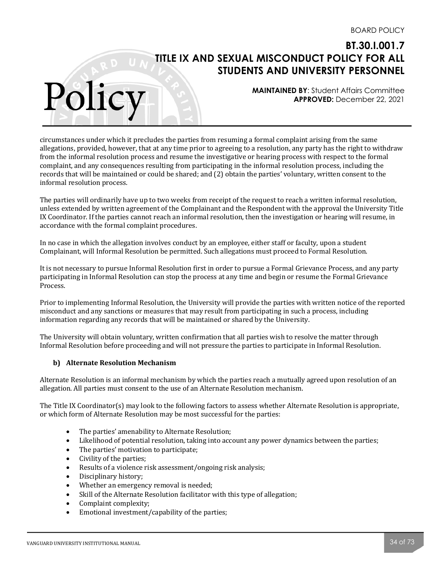**MAINTAINED BY**: Student Affairs Committee **APPROVED:** December 22, 2021

circumstances under which it precludes the parties from resuming a formal complaint arising from the same allegations, provided, however, that at any time prior to agreeing to a resolution, any party has the right to withdraw from the informal resolution process and resume the investigative or hearing process with respect to the formal complaint, and any consequences resulting from participating in the informal resolution process, including the records that will be maintained or could be shared; and (2) obtain the parties' voluntary, written consent to the informal resolution process.

The parties will ordinarily have up to two weeks from receipt of the request to reach a written informal resolution, unless extended by written agreement of the Complainant and the Respondent with the approval the University Title IX Coordinator. If the parties cannot reach an informal resolution, then the investigation or hearing will resume, in accordance with the formal complaint procedures.

In no case in which the allegation involves conduct by an employee, either staff or faculty, upon a student Complainant, will Informal Resolution be permitted. Such allegations must proceed to Formal Resolution.

It is not necessary to pursue Informal Resolution first in order to pursue a Formal Grievance Process, and any party participating in Informal Resolution can stop the process at any time and begin or resume the Formal Grievance Process. 

Prior to implementing Informal Resolution, the University will provide the parties with written notice of the reported misconduct and any sanctions or measures that may result from participating in such a process, including information regarding any records that will be maintained or shared by the University.

The University will obtain voluntary, written confirmation that all parties wish to resolve the matter through Informal Resolution before proceeding and will not pressure the parties to participate in Informal Resolution.

## **b) Alternate Resolution Mechanism**

Polic

Alternate Resolution is an informal mechanism by which the parties reach a mutually agreed upon resolution of an allegation. All parties must consent to the use of an Alternate Resolution mechanism.

The Title IX Coordinator(s) may look to the following factors to assess whether Alternate Resolution is appropriate, or which form of Alternate Resolution may be most successful for the parties:

- The parties' amenability to Alternate Resolution;
- Likelihood of potential resolution, taking into account any power dynamics between the parties;
- The parties' motivation to participate;
- Civility of the parties;
- Results of a violence risk assessment/ongoing risk analysis;
- Disciplinary history;
- Whether an emergency removal is needed;
- Skill of the Alternate Resolution facilitator with this type of allegation;
- Complaint complexity;
- Emotional investment/capability of the parties;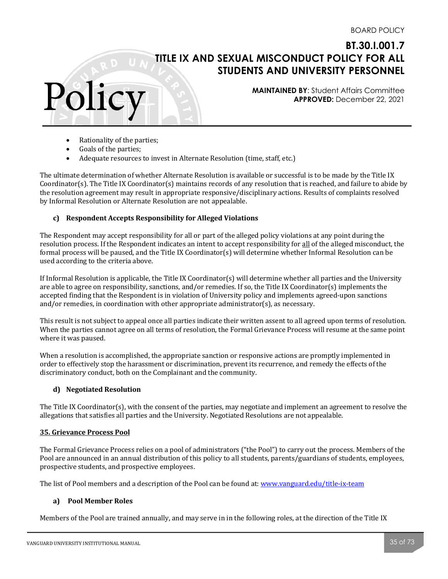**MAINTAINED BY**: Student Affairs Committee **APPROVED:** December 22, 2021

- $\bullet$  Rationality of the parties;
- Goals of the parties;

Polic

Adequate resources to invest in Alternate Resolution (time, staff, etc.)

The ultimate determination of whether Alternate Resolution is available or successful is to be made by the Title IX Coordinator(s). The Title IX Coordinator(s) maintains records of any resolution that is reached, and failure to abide by the resolution agreement may result in appropriate responsive/disciplinary actions. Results of complaints resolved by Informal Resolution or Alternate Resolution are not appealable.

## **c) Respondent Accepts Responsibility for Alleged Violations**

The Respondent may accept responsibility for all or part of the alleged policy violations at any point during the resolution process. If the Respondent indicates an intent to accept responsibility for all of the alleged misconduct, the formal process will be paused, and the Title IX Coordinator(s) will determine whether Informal Resolution can be used according to the criteria above.

If Informal Resolution is applicable, the Title IX Coordinator(s) will determine whether all parties and the University are able to agree on responsibility, sanctions, and/or remedies. If so, the Title IX Coordinator(s) implements the accepted finding that the Respondent is in violation of University policy and implements agreed-upon sanctions and/or remedies, in coordination with other appropriate administrator $(s)$ , as necessary.

This result is not subject to appeal once all parties indicate their written assent to all agreed upon terms of resolution. When the parties cannot agree on all terms of resolution, the Formal Grievance Process will resume at the same point where it was paused.

When a resolution is accomplished, the appropriate sanction or responsive actions are promptly implemented in order to effectively stop the harassment or discrimination, prevent its recurrence, and remedy the effects of the discriminatory conduct, both on the Complainant and the community.

## **d) Negotiated Resolution**

The Title IX Coordinator(s), with the consent of the parties, may negotiate and implement an agreement to resolve the allegations that satisfies all parties and the University. Negotiated Resolutions are not appealable.

## **35. Grievance Process Pool**

The Formal Grievance Process relies on a pool of administrators ("the Pool") to carry out the process. Members of the Pool are announced in an annual distribution of this policy to all students, parents/guardians of students, employees, prospective students, and prospective employees.

The list of Pool members and a description of the Pool can be found at: www.vanguard.edu/title-ix-team

## **a) Pool Member Roles**

Members of the Pool are trained annually, and may serve in in the following roles, at the direction of the Title IX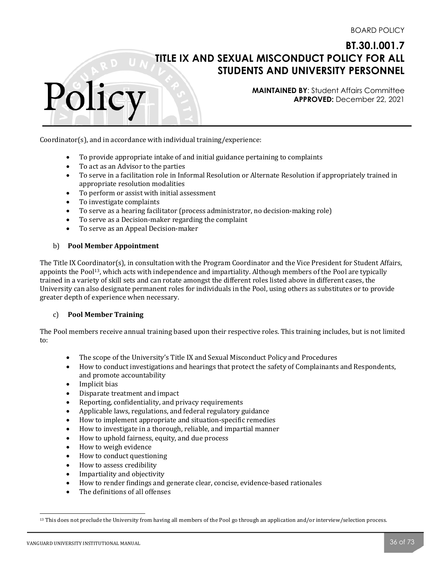**MAINTAINED BY**: Student Affairs Committee **APPROVED:** December 22, 2021

Coordinator(s), and in accordance with individual training/experience:

- To provide appropriate intake of and initial guidance pertaining to complaints
- To act as an Advisor to the parties
- To serve in a facilitation role in Informal Resolution or Alternate Resolution if appropriately trained in appropriate resolution modalities
- To perform or assist with initial assessment
- To investigate complaints

Polic

- To serve as a hearing facilitator (process administrator, no decision-making role)
- To serve as a Decision-maker regarding the complaint
- To serve as an Appeal Decision-maker

#### b) **Pool Member Appointment**

The Title IX Coordinator(s), in consultation with the Program Coordinator and the Vice President for Student Affairs, appoints the Pool<sup>13</sup>, which acts with independence and impartiality. Although members of the Pool are typically trained in a variety of skill sets and can rotate amongst the different roles listed above in different cases, the University can also designate permanent roles for individuals in the Pool, using others as substitutes or to provide greater depth of experience when necessary.

#### c) **Pool Member Training**

The Pool members receive annual training based upon their respective roles. This training includes, but is not limited to:

- The scope of the University's Title IX and Sexual Misconduct Policy and Procedures
- How to conduct investigations and hearings that protect the safety of Complainants and Respondents, and promote accountability
- Implicit bias
- Disparate treatment and impact
- Reporting, confidentiality, and privacy requirements
- Applicable laws, regulations, and federal regulatory guidance
- How to implement appropriate and situation-specific remedies
- How to investigate in a thorough, reliable, and impartial manner
- How to uphold fairness, equity, and due process
- How to weigh evidence
- How to conduct questioning
- How to assess credibility
- Impartiality and objectivity
- How to render findings and generate clear, concise, evidence-based rationales
- The definitions of all offenses

<sup>&</sup>lt;sup>13</sup> This does not preclude the University from having all members of the Pool go through an application and/or interview/selection process.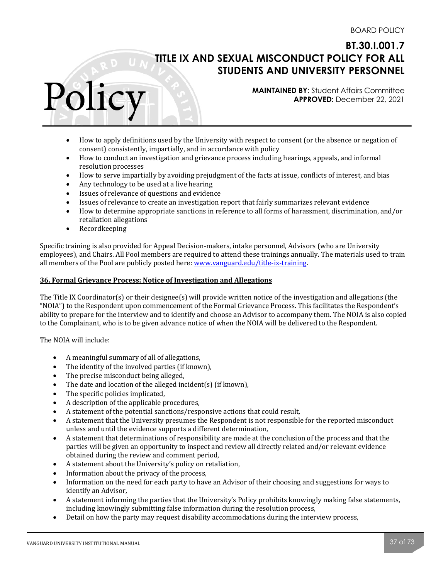**MAINTAINED BY**: Student Affairs Committee **APPROVED:** December 22, 2021

- How to apply definitions used by the University with respect to consent (or the absence or negation of consent) consistently, impartially, and in accordance with policy
- How to conduct an investigation and grievance process including hearings, appeals, and informal resolution processes
- How to serve impartially by avoiding prejudgment of the facts at issue, conflicts of interest, and bias
- Any technology to be used at a live hearing
- Issues of relevance of questions and evidence
- Issues of relevance to create an investigation report that fairly summarizes relevant evidence
- How to determine appropriate sanctions in reference to all forms of harassment, discrimination, and/or retaliation allegations
- Recordkeeping

Polic

Specific training is also provided for Appeal Decision-makers, intake personnel, Advisors (who are University employees), and Chairs. All Pool members are required to attend these trainings annually. The materials used to train all members of the Pool are publicly posted here: www.vanguard.edu/title-ix-training.

#### **36. Formal Grievance Process: Notice of Investigation and Allegations**

The Title IX Coordinator(s) or their designee(s) will provide written notice of the investigation and allegations (the "NOIA") to the Respondent upon commencement of the Formal Grievance Process. This facilitates the Respondent's ability to prepare for the interview and to identify and choose an Advisor to accompany them. The NOIA is also copied to the Complainant, who is to be given advance notice of when the NOIA will be delivered to the Respondent.

The NOIA will include:

- A meaningful summary of all of allegations,
- The identity of the involved parties (if known),
- The precise misconduct being alleged,
- The date and location of the alleged incident(s) (if known),
- The specific policies implicated,
- A description of the applicable procedures,
- A statement of the potential sanctions/responsive actions that could result,
- A statement that the University presumes the Respondent is not responsible for the reported misconduct unless and until the evidence supports a different determination,
- A statement that determinations of responsibility are made at the conclusion of the process and that the parties will be given an opportunity to inspect and review all directly related and/or relevant evidence obtained during the review and comment period,
- A statement about the University's policy on retaliation,
- Information about the privacy of the process,
- Information on the need for each party to have an Advisor of their choosing and suggestions for ways to identify an Advisor,
- A statement informing the parties that the University's Policy prohibits knowingly making false statements, including knowingly submitting false information during the resolution process,
- Detail on how the party may request disability accommodations during the interview process,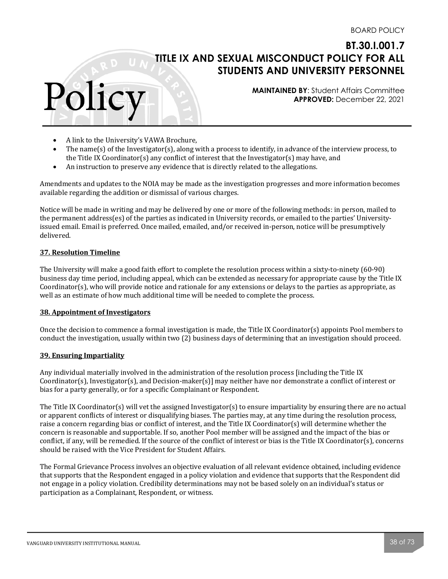**MAINTAINED BY**: Student Affairs Committee **APPROVED:** December 22, 2021

- A link to the University's VAWA Brochure,
- The name(s) of the Investigator(s), along with a process to identify, in advance of the interview process, to the Title IX Coordinator(s) any conflict of interest that the Investigator(s) may have, and
- An instruction to preserve any evidence that is directly related to the allegations.

Amendments and updates to the NOIA may be made as the investigation progresses and more information becomes available regarding the addition or dismissal of various charges.

Notice will be made in writing and may be delivered by one or more of the following methods: in person, mailed to the permanent address(es) of the parties as indicated in University records, or emailed to the parties' Universityissued email. Email is preferred. Once mailed, emailed, and/or received in-person, notice will be presumptively delivered. 

#### **37. Resolution Timeline**

Polic

The University will make a good faith effort to complete the resolution process within a sixty-to-ninety (60-90) business day time period, including appeal, which can be extended as necessary for appropriate cause by the Title IX Coordinator(s), who will provide notice and rationale for any extensions or delays to the parties as appropriate, as well as an estimate of how much additional time will be needed to complete the process.

#### **38. Appointment of Investigators**

Once the decision to commence a formal investigation is made, the Title IX Coordinator(s) appoints Pool members to conduct the investigation, usually within two (2) business days of determining that an investigation should proceed.

#### **39. Ensuring Impartiality**

Any individual materially involved in the administration of the resolution process [including the Title IX Coordinator(s), Investigator(s), and Decision-maker(s)] may neither have nor demonstrate a conflict of interest or bias for a party generally, or for a specific Complainant or Respondent.

The Title IX Coordinator(s) will vet the assigned Investigator(s) to ensure impartiality by ensuring there are no actual or apparent conflicts of interest or disqualifying biases. The parties may, at any time during the resolution process, raise a concern regarding bias or conflict of interest, and the Title IX Coordinator(s) will determine whether the concern is reasonable and supportable. If so, another Pool member will be assigned and the impact of the bias or conflict, if any, will be remedied. If the source of the conflict of interest or bias is the Title IX Coordinator(s), concerns should be raised with the Vice President for Student Affairs.

The Formal Grievance Process involves an objective evaluation of all relevant evidence obtained, including evidence that supports that the Respondent engaged in a policy violation and evidence that supports that the Respondent did not engage in a policy violation. Credibility determinations may not be based solely on an individual's status or participation as a Complainant, Respondent, or witness.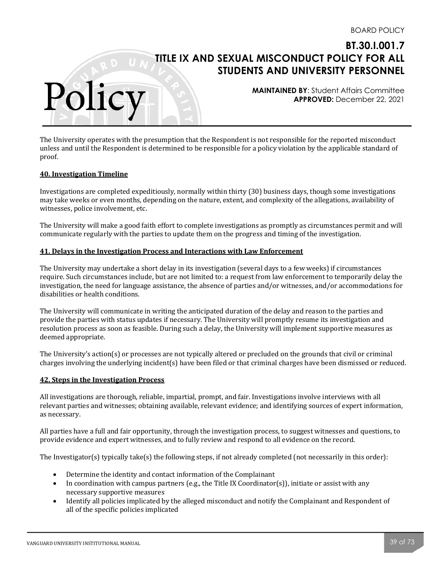**MAINTAINED BY**: Student Affairs Committee **APPROVED:** December 22, 2021

The University operates with the presumption that the Respondent is not responsible for the reported misconduct unless and until the Respondent is determined to be responsible for a policy violation by the applicable standard of proof. 

#### **40. Investigation Timeline**

Polic

Investigations are completed expeditiously, normally within thirty  $(30)$  business days, though some investigations may take weeks or even months, depending on the nature, extent, and complexity of the allegations, availability of witnesses, police involvement, etc.

The University will make a good faith effort to complete investigations as promptly as circumstances permit and will communicate regularly with the parties to update them on the progress and timing of the investigation.

#### **41. Delays in the Investigation Process and Interactions with Law Enforcement**

The University may undertake a short delay in its investigation (several days to a few weeks) if circumstances require. Such circumstances include, but are not limited to: a request from law enforcement to temporarily delay the investigation, the need for language assistance, the absence of parties and/or witnesses, and/or accommodations for disabilities or health conditions.

The University will communicate in writing the anticipated duration of the delay and reason to the parties and provide the parties with status updates if necessary. The University will promptly resume its investigation and resolution process as soon as feasible. During such a delay, the University will implement supportive measures as deemed appropriate.

The University's action(s) or processes are not typically altered or precluded on the grounds that civil or criminal charges involving the underlying incident(s) have been filed or that criminal charges have been dismissed or reduced.

#### **42. Steps in the Investigation Process**

All investigations are thorough, reliable, impartial, prompt, and fair. Investigations involve interviews with all relevant parties and witnesses; obtaining available, relevant evidence; and identifying sources of expert information, as necessary.

All parties have a full and fair opportunity, through the investigation process, to suggest witnesses and questions, to provide evidence and expert witnesses, and to fully review and respond to all evidence on the record.

The Investigator(s) typically take(s) the following steps, if not already completed (not necessarily in this order):

- Determine the identity and contact information of the Complainant
- In coordination with campus partners (e.g., the Title IX Coordinator(s)), initiate or assist with any necessary supportive measures
- Identify all policies implicated by the alleged misconduct and notify the Complainant and Respondent of all of the specific policies implicated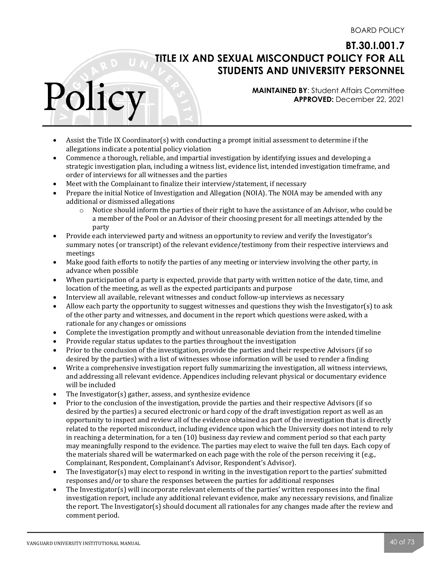**MAINTAINED BY**: Student Affairs Committee **APPROVED:** December 22, 2021

- Assist the Title IX Coordinator(s) with conducting a prompt initial assessment to determine if the allegations indicate a potential policy violation
- Commence a thorough, reliable, and impartial investigation by identifying issues and developing a strategic investigation plan, including a witness list, evidence list, intended investigation timeframe, and order of interviews for all witnesses and the parties
- Meet with the Complainant to finalize their interview/statement, if necessary
- Prepare the initial Notice of Investigation and Allegation (NOIA). The NOIA may be amended with any additional or dismissed allegations
	- $\circ$  Notice should inform the parties of their right to have the assistance of an Advisor, who could be a member of the Pool or an Advisor of their choosing present for all meetings attended by the party
- Provide each interviewed party and witness an opportunity to review and verify the Investigator's summary notes (or transcript) of the relevant evidence/testimony from their respective interviews and meetings
- Make good faith efforts to notify the parties of any meeting or interview involving the other party, in advance when possible
- When participation of a party is expected, provide that party with written notice of the date, time, and location of the meeting, as well as the expected participants and purpose
- Interview all available, relevant witnesses and conduct follow-up interviews as necessary
- Allow each party the opportunity to suggest witnesses and questions they wish the Investigator(s) to ask of the other party and witnesses, and document in the report which questions were asked, with a rationale for any changes or omissions
- Complete the investigation promptly and without unreasonable deviation from the intended timeline
- Provide regular status updates to the parties throughout the investigation
- Prior to the conclusion of the investigation, provide the parties and their respective Advisors (if so desired by the parties) with a list of witnesses whose information will be used to render a finding
- Write a comprehensive investigation report fully summarizing the investigation, all witness interviews, and addressing all relevant evidence. Appendices including relevant physical or documentary evidence will be included
- The Investigator(s) gather, assess, and synthesize evidence
- Prior to the conclusion of the investigation, provide the parties and their respective Advisors (if so desired by the parties) a secured electronic or hard copy of the draft investigation report as well as an opportunity to inspect and review all of the evidence obtained as part of the investigation that is directly related to the reported misconduct, including evidence upon which the University does not intend to rely in reaching a determination, for a ten  $(10)$  business day review and comment period so that each party may meaningfully respond to the evidence. The parties may elect to waive the full ten days. Each copy of the materials shared will be watermarked on each page with the role of the person receiving it (e.g., Complainant, Respondent, Complainant's Advisor, Respondent's Advisor).
- The Investigator(s) may elect to respond in writing in the investigation report to the parties' submitted responses and/or to share the responses between the parties for additional responses
- The Investigator(s) will incorporate relevant elements of the parties' written responses into the final investigation report, include any additional relevant evidence, make any necessary revisions, and finalize the report. The Investigator(s) should document all rationales for any changes made after the review and comment period.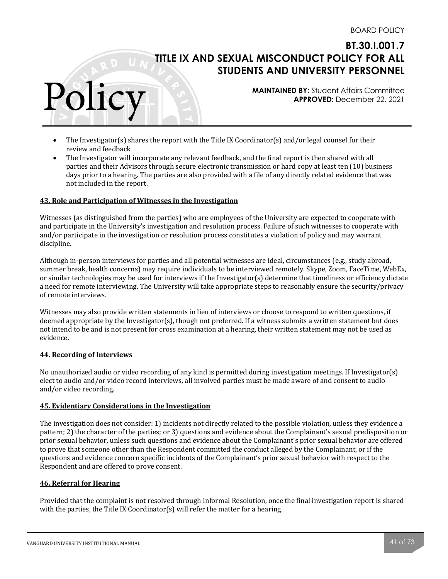**MAINTAINED BY**: Student Affairs Committee **APPROVED:** December 22, 2021

- The Investigator(s) shares the report with the Title IX Coordinator(s) and/or legal counsel for their review and feedback
- The Investigator will incorporate any relevant feedback, and the final report is then shared with all parties and their Advisors through secure electronic transmission or hard copy at least ten (10) business days prior to a hearing. The parties are also provided with a file of any directly related evidence that was not included in the report.

### **43. Role and Participation of Witnesses in the Investigation**

Witnesses (as distinguished from the parties) who are employees of the University are expected to cooperate with and participate in the University's investigation and resolution process. Failure of such witnesses to cooperate with and/or participate in the investigation or resolution process constitutes a violation of policy and may warrant discipline. 

Although in-person interviews for parties and all potential witnesses are ideal, circumstances  $(e.g.,$  study abroad, summer break, health concerns) may require individuals to be interviewed remotely. Skype, Zoom, FaceTime, WebEx, or similar technologies may be used for interviews if the Investigator(s) determine that timeliness or efficiency dictate a need for remote interviewing. The University will take appropriate steps to reasonably ensure the security/privacy of remote interviews.

Witnesses may also provide written statements in lieu of interviews or choose to respond to written questions, if deemed appropriate by the Investigator(s), though not preferred. If a witness submits a written statement but does not intend to be and is not present for cross examination at a hearing, their written statement may not be used as evidence.

#### **44. Recording of Interviews**

Polic

No unauthorized audio or video recording of any kind is permitted during investigation meetings. If Investigator(s) elect to audio and/or video record interviews, all involved parties must be made aware of and consent to audio and/or video recording.

#### **45. Evidentiary Considerations in the Investigation**

The investigation does not consider: 1) incidents not directly related to the possible violation, unless they evidence a pattern; 2) the character of the parties; or 3) questions and evidence about the Complainant's sexual predisposition or prior sexual behavior, unless such questions and evidence about the Complainant's prior sexual behavior are offered to prove that someone other than the Respondent committed the conduct alleged by the Complainant, or if the questions and evidence concern specific incidents of the Complainant's prior sexual behavior with respect to the Respondent and are offered to prove consent.

#### **46. Referral for Hearing**

Provided that the complaint is not resolved through Informal Resolution, once the final investigation report is shared with the parties, the Title IX Coordinator(s) will refer the matter for a hearing.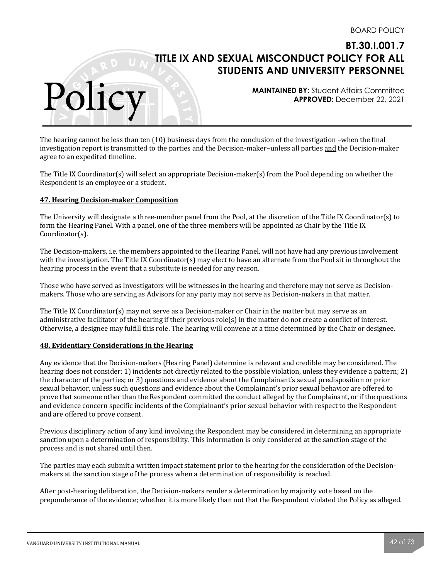**MAINTAINED BY**: Student Affairs Committee **APPROVED:** December 22, 2021

The hearing cannot be less than ten  $(10)$  business days from the conclusion of the investigation –when the final investigation report is transmitted to the parties and the Decision-maker–unless all parties and the Decision-maker agree to an expedited timeline.

The Title IX Coordinator(s) will select an appropriate Decision-maker(s) from the Pool depending on whether the Respondent is an employee or a student.

#### **47. Hearing Decision-maker Composition**

Polic

The University will designate a three-member panel from the Pool, at the discretion of the Title IX Coordinator(s) to form the Hearing Panel. With a panel, one of the three members will be appointed as Chair by the Title IX Coordinator(s). 

The Decision-makers, i.e. the members appointed to the Hearing Panel, will not have had any previous involvement with the investigation. The Title IX Coordinator(s) may elect to have an alternate from the Pool sit in throughout the hearing process in the event that a substitute is needed for any reason.

Those who have served as Investigators will be witnesses in the hearing and therefore may not serve as Decisionmakers. Those who are serving as Advisors for any party may not serve as Decision-makers in that matter.

The Title IX Coordinator(s) may not serve as a Decision-maker or Chair in the matter but may serve as an administrative facilitator of the hearing if their previous  $role(s)$  in the matter do not create a conflict of interest. Otherwise, a designee may fulfill this role. The hearing will convene at a time determined by the Chair or designee.

#### **48. Evidentiary Considerations in the Hearing**

Any evidence that the Decision-makers (Hearing Panel) determine is relevant and credible may be considered. The hearing does not consider: 1) incidents not directly related to the possible violation, unless they evidence a pattern; 2) the character of the parties; or 3) questions and evidence about the Complainant's sexual predisposition or prior sexual behavior, unless such questions and evidence about the Complainant's prior sexual behavior are offered to prove that someone other than the Respondent committed the conduct alleged by the Complainant, or if the questions and evidence concern specific incidents of the Complainant's prior sexual behavior with respect to the Respondent and are offered to prove consent.

Previous disciplinary action of any kind involving the Respondent may be considered in determining an appropriate sanction upon a determination of responsibility. This information is only considered at the sanction stage of the process and is not shared until then.

The parties may each submit a written impact statement prior to the hearing for the consideration of the Decisionmakers at the sanction stage of the process when a determination of responsibility is reached.

After post-hearing deliberation, the Decision-makers render a determination by majority vote based on the preponderance of the evidence; whether it is more likely than not that the Respondent violated the Policy as alleged.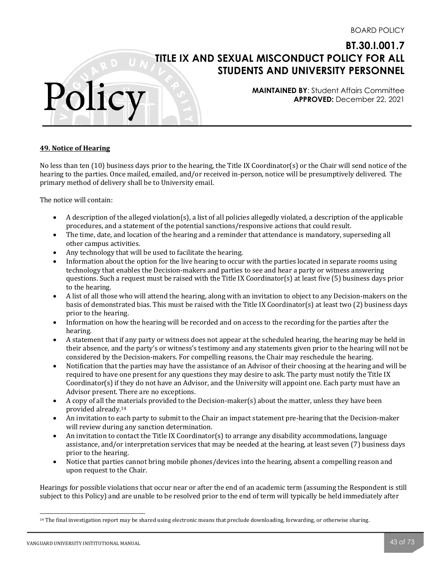**MAINTAINED BY**: Student Affairs Committee **APPROVED:** December 22, 2021

### **49. Notice of Hearing**

Polic

No less than ten  $(10)$  business days prior to the hearing, the Title IX Coordinator(s) or the Chair will send notice of the hearing to the parties. Once mailed, emailed, and/or received in-person, notice will be presumptively delivered. The primary method of delivery shall be to University email.

The notice will contain:

- A description of the alleged violation(s), a list of all policies allegedly violated, a description of the applicable procedures, and a statement of the potential sanctions/responsive actions that could result.
- The time, date, and location of the hearing and a reminder that attendance is mandatory, superseding all other campus activities.
- Any technology that will be used to facilitate the hearing.
- Information about the option for the live hearing to occur with the parties located in separate rooms using technology that enables the Decision-makers and parties to see and hear a party or witness answering questions. Such a request must be raised with the Title IX Coordinator(s) at least five  $(5)$  business days prior to the hearing.
- A list of all those who will attend the hearing, along with an invitation to object to any Decision-makers on the basis of demonstrated bias. This must be raised with the Title IX Coordinator(s) at least two (2) business days prior to the hearing.
- Information on how the hearing will be recorded and on access to the recording for the parties after the hearing.
- A statement that if any party or witness does not appear at the scheduled hearing, the hearing may be held in their absence, and the party's or witness's testimony and any statements given prior to the hearing will not be considered by the Decision-makers. For compelling reasons, the Chair may reschedule the hearing.
- Notification that the parties may have the assistance of an Advisor of their choosing at the hearing and will be required to have one present for any questions they may desire to ask. The party must notify the Title IX Coordinator(s) if they do not have an Advisor, and the University will appoint one. Each party must have an Advisor present. There are no exceptions.
- A copy of all the materials provided to the Decision-maker(s) about the matter, unless they have been provided already.<sup>14</sup>
- An invitation to each party to submit to the Chair an impact statement pre-hearing that the Decision-maker will review during any sanction determination.
- An invitation to contact the Title IX Coordinator(s) to arrange any disability accommodations, language assistance, and/or interpretation services that may be needed at the hearing, at least seven (7) business days prior to the hearing.
- Notice that parties cannot bring mobile phones/devices into the hearing, absent a compelling reason and upon request to the Chair.

Hearings for possible violations that occur near or after the end of an academic term (assuming the Respondent is still subject to this Policy) and are unable to be resolved prior to the end of term will typically be held immediately after

 $14$  The final investigation report may be shared using electronic means that preclude downloading, forwarding, or otherwise sharing.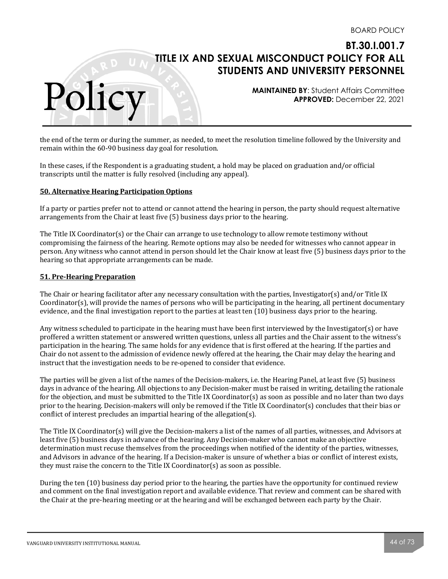**MAINTAINED BY**: Student Affairs Committee **APPROVED:** December 22, 2021

the end of the term or during the summer, as needed, to meet the resolution timeline followed by the University and remain within the 60-90 business day goal for resolution.

In these cases, if the Respondent is a graduating student, a hold may be placed on graduation and/or official transcripts until the matter is fully resolved (including any appeal).

### **50. Alternative Hearing Participation Options**

If a party or parties prefer not to attend or cannot attend the hearing in person, the party should request alternative arrangements from the Chair at least five (5) business days prior to the hearing.

The Title IX Coordinator(s) or the Chair can arrange to use technology to allow remote testimony without compromising the fairness of the hearing. Remote options may also be needed for witnesses who cannot appear in person. Any witness who cannot attend in person should let the Chair know at least five (5) business days prior to the hearing so that appropriate arrangements can be made.

#### **51. Pre-Hearing Preparation**

Polic

The Chair or hearing facilitator after any necessary consultation with the parties, Investigator(s) and/or Title IX Coordinator(s), will provide the names of persons who will be participating in the hearing, all pertinent documentary evidence, and the final investigation report to the parties at least ten (10) business days prior to the hearing.

Any witness scheduled to participate in the hearing must have been first interviewed by the Investigator(s) or have proffered a written statement or answered written questions, unless all parties and the Chair assent to the witness's participation in the hearing. The same holds for any evidence that is first offered at the hearing. If the parties and Chair do not assent to the admission of evidence newly offered at the hearing, the Chair may delay the hearing and instruct that the investigation needs to be re-opened to consider that evidence.

The parties will be given a list of the names of the Decision-makers, i.e. the Hearing Panel, at least five (5) business days in advance of the hearing. All objections to any Decision-maker must be raised in writing, detailing the rationale for the objection, and must be submitted to the Title IX Coordinator(s) as soon as possible and no later than two days prior to the hearing. Decision-makers will only be removed if the Title IX Coordinator(s) concludes that their bias or conflict of interest precludes an impartial hearing of the allegation(s).

The Title IX Coordinator(s) will give the Decision-makers a list of the names of all parties, witnesses, and Advisors at least five (5) business days in advance of the hearing. Any Decision-maker who cannot make an objective determination must recuse themselves from the proceedings when notified of the identity of the parties, witnesses, and Advisors in advance of the hearing. If a Decision-maker is unsure of whether a bias or conflict of interest exists, they must raise the concern to the Title IX Coordinator(s) as soon as possible.

During the ten (10) business day period prior to the hearing, the parties have the opportunity for continued review and comment on the final investigation report and available evidence. That review and comment can be shared with the Chair at the pre-hearing meeting or at the hearing and will be exchanged between each party by the Chair.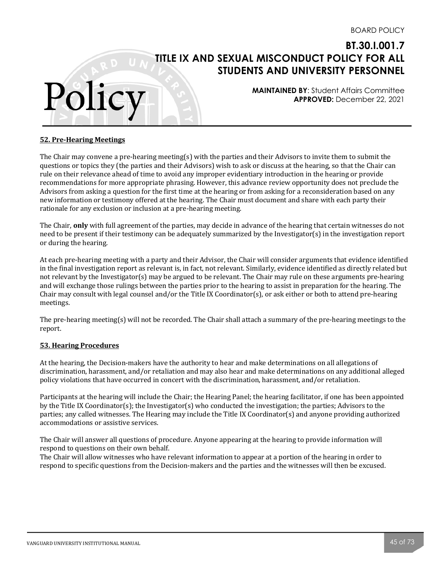**MAINTAINED BY**: Student Affairs Committee **APPROVED:** December 22, 2021

#### **52. Pre-Hearing Meetings**

Polic

The Chair may convene a pre-hearing meeting(s) with the parties and their Advisors to invite them to submit the questions or topics they (the parties and their Advisors) wish to ask or discuss at the hearing, so that the Chair can rule on their relevance ahead of time to avoid any improper evidentiary introduction in the hearing or provide recommendations for more appropriate phrasing. However, this advance review opportunity does not preclude the Advisors from asking a question for the first time at the hearing or from asking for a reconsideration based on any new information or testimony offered at the hearing. The Chair must document and share with each party their rationale for any exclusion or inclusion at a pre-hearing meeting.

The Chair, **only** with full agreement of the parties, may decide in advance of the hearing that certain witnesses do not need to be present if their testimony can be adequately summarized by the Investigator(s) in the investigation report or during the hearing.

At each pre-hearing meeting with a party and their Advisor, the Chair will consider arguments that evidence identified in the final investigation report as relevant is, in fact, not relevant. Similarly, evidence identified as directly related but not relevant by the Investigator(s) may be argued to be relevant. The Chair may rule on these arguments pre-hearing and will exchange those rulings between the parties prior to the hearing to assist in preparation for the hearing. The Chair may consult with legal counsel and/or the Title IX Coordinator(s), or ask either or both to attend pre-hearing meetings.

The pre-hearing meeting(s) will not be recorded. The Chair shall attach a summary of the pre-hearing meetings to the report. 

#### **53. Hearing Procedures**

At the hearing, the Decision-makers have the authority to hear and make determinations on all allegations of discrimination, harassment, and/or retaliation and may also hear and make determinations on any additional alleged policy violations that have occurred in concert with the discrimination, harassment, and/or retaliation.

Participants at the hearing will include the Chair; the Hearing Panel; the hearing facilitator, if one has been appointed by the Title IX Coordinator(s); the Investigator(s) who conducted the investigation; the parties; Advisors to the parties; any called witnesses. The Hearing may include the Title IX Coordinator(s) and anyone providing authorized accommodations or assistive services.

The Chair will answer all questions of procedure. Anyone appearing at the hearing to provide information will respond to questions on their own behalf.

The Chair will allow witnesses who have relevant information to appear at a portion of the hearing in order to respond to specific questions from the Decision-makers and the parties and the witnesses will then be excused.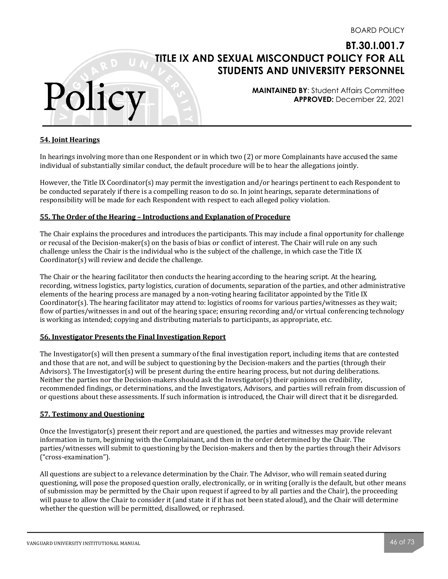**MAINTAINED BY**: Student Affairs Committee **APPROVED:** December 22, 2021

#### **54. Joint Hearings**

Polic

In hearings involving more than one Respondent or in which two (2) or more Complainants have accused the same individual of substantially similar conduct, the default procedure will be to hear the allegations jointly.

However, the Title IX Coordinator(s) may permit the investigation and/or hearings pertinent to each Respondent to be conducted separately if there is a compelling reason to do so. In joint hearings, separate determinations of responsibility will be made for each Respondent with respect to each alleged policy violation.

### **55.** The Order of the Hearing - Introductions and Explanation of Procedure

The Chair explains the procedures and introduces the participants. This may include a final opportunity for challenge or recusal of the Decision-maker(s) on the basis of bias or conflict of interest. The Chair will rule on any such challenge unless the Chair is the individual who is the subject of the challenge, in which case the Title IX  $Coordinate(s)$  will review and decide the challenge.

The Chair or the hearing facilitator then conducts the hearing according to the hearing script. At the hearing, recording, witness logistics, party logistics, curation of documents, separation of the parties, and other administrative elements of the hearing process are managed by a non-voting hearing facilitator appointed by the Title IX Coordinator(s). The hearing facilitator may attend to: logistics of rooms for various parties/witnesses as they wait; flow of parties/witnesses in and out of the hearing space; ensuring recording and/or virtual conferencing technology is working as intended; copying and distributing materials to participants, as appropriate, etc.

#### **56. Investigator Presents the Final Investigation Report**

The Investigator(s) will then present a summary of the final investigation report, including items that are contested and those that are not, and will be subject to questioning by the Decision-makers and the parties (through their Advisors). The Investigator(s) will be present during the entire hearing process, but not during deliberations. Neither the parties nor the Decision-makers should ask the Investigator(s) their opinions on credibility, recommended findings, or determinations, and the Investigators, Advisors, and parties will refrain from discussion of or questions about these assessments. If such information is introduced, the Chair will direct that it be disregarded.

#### **57. Testimony and Questioning**

Once the Investigator(s) present their report and are questioned, the parties and witnesses may provide relevant information in turn, beginning with the Complainant, and then in the order determined by the Chair. The parties/witnesses will submit to questioning by the Decision-makers and then by the parties through their Advisors ("cross-examination"). 

All questions are subject to a relevance determination by the Chair. The Advisor, who will remain seated during questioning, will pose the proposed question orally, electronically, or in writing (orally is the default, but other means of submission may be permitted by the Chair upon request if agreed to by all parties and the Chair), the proceeding will pause to allow the Chair to consider it (and state it if it has not been stated aloud), and the Chair will determine whether the question will be permitted, disallowed, or rephrased.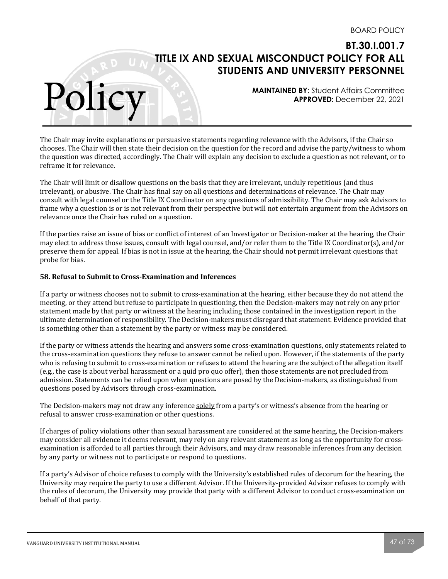**MAINTAINED BY**: Student Affairs Committee **APPROVED:** December 22, 2021

The Chair may invite explanations or persuasive statements regarding relevance with the Advisors, if the Chair so chooses. The Chair will then state their decision on the question for the record and advise the party/witness to whom the question was directed, accordingly. The Chair will explain any decision to exclude a question as not relevant, or to reframe it for relevance.

The Chair will limit or disallow questions on the basis that they are irrelevant, unduly repetitious (and thus irrelevant), or abusive. The Chair has final say on all questions and determinations of relevance. The Chair may consult with legal counsel or the Title IX Coordinator on any questions of admissibility. The Chair may ask Advisors to frame why a question is or is not relevant from their perspective but will not entertain argument from the Advisors on relevance once the Chair has ruled on a question.

If the parties raise an issue of bias or conflict of interest of an Investigator or Decision-maker at the hearing, the Chair may elect to address those issues, consult with legal counsel, and/or refer them to the Title IX Coordinator(s), and/or preserve them for appeal. If bias is not in issue at the hearing, the Chair should not permit irrelevant questions that probe for bias.

### **58. Refusal to Submit to Cross-Examination and Inferences**

Polic

If a party or witness chooses not to submit to cross-examination at the hearing, either because they do not attend the meeting, or they attend but refuse to participate in questioning, then the Decision-makers may not rely on any prior statement made by that party or witness at the hearing including those contained in the investigation report in the ultimate determination of responsibility. The Decision-makers must disregard that statement. Evidence provided that is something other than a statement by the party or witness may be considered.

If the party or witness attends the hearing and answers some cross-examination questions, only statements related to the cross-examination questions they refuse to answer cannot be relied upon. However, if the statements of the party who is refusing to submit to cross-examination or refuses to attend the hearing are the subject of the allegation itself (e.g., the case is about verbal harassment or a quid pro quo offer), then those statements are not precluded from admission. Statements can be relied upon when questions are posed by the Decision-makers, as distinguished from questions posed by Advisors through cross-examination.

The Decision-makers may not draw any inference solely from a party's or witness's absence from the hearing or refusal to answer cross-examination or other questions.

If charges of policy violations other than sexual harassment are considered at the same hearing, the Decision-makers may consider all evidence it deems relevant, may rely on any relevant statement as long as the opportunity for crossexamination is afforded to all parties through their Advisors, and may draw reasonable inferences from any decision by any party or witness not to participate or respond to questions.

If a party's Advisor of choice refuses to comply with the University's established rules of decorum for the hearing, the University may require the party to use a different Advisor. If the University-provided Advisor refuses to comply with the rules of decorum, the University may provide that party with a different Advisor to conduct cross-examination on behalf of that party.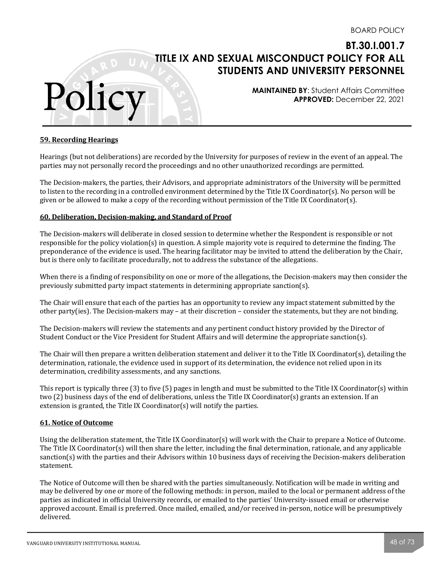**MAINTAINED BY**: Student Affairs Committee **APPROVED:** December 22, 2021

#### **59. Recording Hearings**

Polic

Hearings (but not deliberations) are recorded by the University for purposes of review in the event of an appeal. The parties may not personally record the proceedings and no other unauthorized recordings are permitted.

The Decision-makers, the parties, their Advisors, and appropriate administrators of the University will be permitted to listen to the recording in a controlled environment determined by the Title IX Coordinator(s). No person will be given or be allowed to make a copy of the recording without permission of the Title IX Coordinator(s).

### **60. Deliberation, Decision-making, and Standard of Proof**

The Decision-makers will deliberate in closed session to determine whether the Respondent is responsible or not responsible for the policy violation(s) in question. A simple majority vote is required to determine the finding. The preponderance of the evidence is used. The hearing facilitator may be invited to attend the deliberation by the Chair, but is there only to facilitate procedurally, not to address the substance of the allegations.

When there is a finding of responsibility on one or more of the allegations, the Decision-makers may then consider the previously submitted party impact statements in determining appropriate sanction(s).

The Chair will ensure that each of the parties has an opportunity to review any impact statement submitted by the other party(ies). The Decision-makers may – at their discretion – consider the statements, but they are not binding.

The Decision-makers will review the statements and any pertinent conduct history provided by the Director of Student Conduct or the Vice President for Student Affairs and will determine the appropriate sanction(s).

The Chair will then prepare a written deliberation statement and deliver it to the Title IX Coordinator(s), detailing the determination, rationale, the evidence used in support of its determination, the evidence not relied upon in its determination, credibility assessments, and any sanctions.

This report is typically three  $(3)$  to five  $(5)$  pages in length and must be submitted to the Title IX Coordinator $(s)$  within two  $(2)$  business days of the end of deliberations, unless the Title IX Coordinator(s) grants an extension. If an extension is granted, the Title IX Coordinator(s) will notify the parties.

#### **61. Notice of Outcome**

Using the deliberation statement, the Title IX Coordinator(s) will work with the Chair to prepare a Notice of Outcome. The Title IX Coordinator(s) will then share the letter, including the final determination, rationale, and any applicable sanction(s) with the parties and their Advisors within 10 business days of receiving the Decision-makers deliberation statement.

The Notice of Outcome will then be shared with the parties simultaneously. Notification will be made in writing and may be delivered by one or more of the following methods: in person, mailed to the local or permanent address of the parties as indicated in official University records, or emailed to the parties' University-issued email or otherwise approved account. Email is preferred. Once mailed, emailed, and/or received in-person, notice will be presumptively delivered.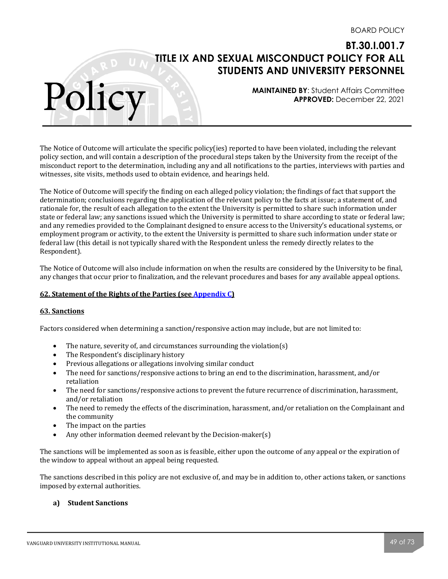**MAINTAINED BY**: Student Affairs Committee **APPROVED:** December 22, 2021

The Notice of Outcome will articulate the specific policy(ies) reported to have been violated, including the relevant policy section, and will contain a description of the procedural steps taken by the University from the receipt of the misconduct report to the determination, including any and all notifications to the parties, interviews with parties and witnesses, site visits, methods used to obtain evidence, and hearings held.

The Notice of Outcome will specify the finding on each alleged policy violation; the findings of fact that support the determination; conclusions regarding the application of the relevant policy to the facts at issue; a statement of, and rationale for, the result of each allegation to the extent the University is permitted to share such information under state or federal law; any sanctions issued which the University is permitted to share according to state or federal law; and any remedies provided to the Complainant designed to ensure access to the University's educational systems, or employment program or activity, to the extent the University is permitted to share such information under state or federal law (this detail is not typically shared with the Respondent unless the remedy directly relates to the Respondent). 

The Notice of Outcome will also include information on when the results are considered by the University to be final, any changes that occur prior to finalization, and the relevant procedures and bases for any available appeal options.

#### **<u>62. Statement of the Rights of the Parties (see Appendix C)</u>**

#### **63. Sanctions**

Polic

Factors considered when determining a sanction/responsive action may include, but are not limited to:

- The nature, severity of, and circumstances surrounding the violation(s)
- The Respondent's disciplinary history
- Previous allegations or allegations involving similar conduct
- The need for sanctions/responsive actions to bring an end to the discrimination, harassment, and/or retaliation
- The need for sanctions/responsive actions to prevent the future recurrence of discrimination, harassment, and/or retaliation
- The need to remedy the effects of the discrimination, harassment, and/or retaliation on the Complainant and the community
- $\bullet$  The impact on the parties
- Any other information deemed relevant by the Decision-maker(s)

The sanctions will be implemented as soon as is feasible, either upon the outcome of any appeal or the expiration of the window to appeal without an appeal being requested.

The sanctions described in this policy are not exclusive of, and may be in addition to, other actions taken, or sanctions imposed by external authorities.

### **a) Student Sanctions**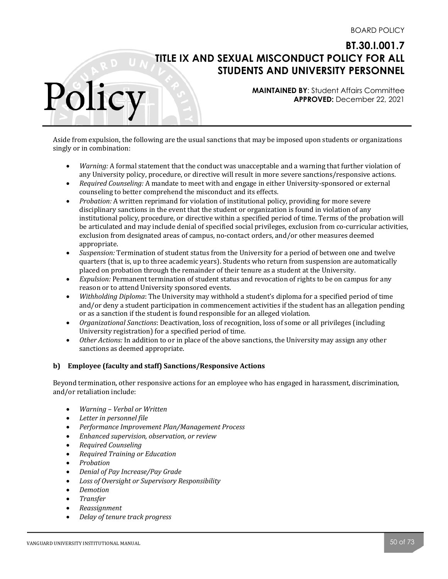**MAINTAINED BY**: Student Affairs Committee **APPROVED:** December 22, 2021

Aside from expulsion, the following are the usual sanctions that may be imposed upon students or organizations singly or in combination:

- *Warning:* A formal statement that the conduct was unacceptable and a warning that further violation of any University policy, procedure, or directive will result in more severe sanctions/responsive actions.
- *Required Counseling:* A mandate to meet with and engage in either University-sponsored or external counseling to better comprehend the misconduct and its effects.
- *Probation:* A written reprimand for violation of institutional policy, providing for more severe disciplinary sanctions in the event that the student or organization is found in violation of any institutional policy, procedure, or directive within a specified period of time. Terms of the probation will be articulated and may include denial of specified social privileges, exclusion from co-curricular activities, exclusion from designated areas of campus, no-contact orders, and/or other measures deemed appropriate.
- *Suspension:* Termination of student status from the University for a period of between one and twelve quarters (that is, up to three academic years). Students who return from suspension are automatically placed on probation through the remainder of their tenure as a student at the University.
- *Expulsion:* Permanent termination of student status and revocation of rights to be on campus for any reason or to attend University sponsored events.
- *Withholding Diploma*: The University may withhold a student's diploma for a specified period of time and/or deny a student participation in commencement activities if the student has an allegation pending or as a sanction if the student is found responsible for an alleged violation.
- *Organizational Sanctions*: Deactivation, loss of recognition, loss of some or all privileges (including University registration) for a specified period of time.
- *Other Actions:* In addition to or in place of the above sanctions, the University may assign any other sanctions as deemed appropriate.

### **b) Employee (faculty and staff) Sanctions/Responsive Actions**

Beyond termination, other responsive actions for an employee who has engaged in harassment, discrimination, and/or retaliation include:

- *Warning – Verbal or Written*
- *Letter in personnel file*
- *Performance Improvement Plan/Management Process*
- *Enhanced supervision, observation, or review*
- *Required Counseling*
- *Required Training or Education*
- *Probation*

- *Denial of Pay Increase/Pay Grade*
- Loss of Oversight or Supervisory Responsibility
- *Demotion*
- *Transfer*
- *Reassignment*
- *Delay of tenure track progress*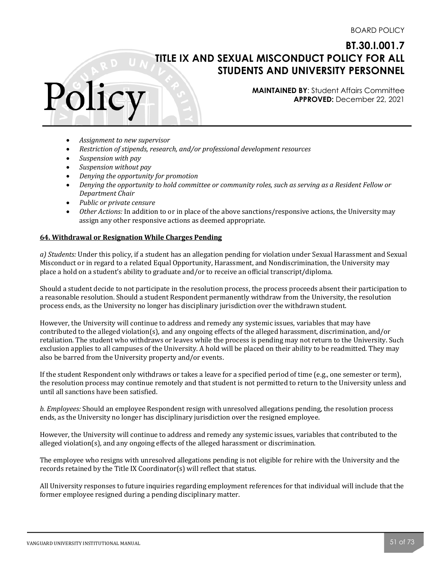**MAINTAINED BY**: Student Affairs Committee **APPROVED:** December 22, 2021

- Assignment to new supervisor
- *Restriction of stipends, research, and/or professional development resources*
- *Suspension with pay*

Polic

- *Suspension* without pay
- *Denying the opportunity for promotion*
- *Denying the opportunity to hold committee or community roles, such as serving as a Resident Fellow or Department Chair*
- *Public or private censure*
- Other Actions: In addition to or in place of the above sanctions/responsive actions, the University may assign any other responsive actions as deemed appropriate.

### **64. Withdrawal or Resignation While Charges Pending**

*a)* Students: Under this policy, if a student has an allegation pending for violation under Sexual Harassment and Sexual Misconduct or in regard to a related Equal Opportunity, Harassment, and Nondiscrimination, the University may place a hold on a student's ability to graduate and/or to receive an official transcript/diploma.

Should a student decide to not participate in the resolution process, the process proceeds absent their participation to a reasonable resolution. Should a student Respondent permanently withdraw from the University, the resolution process ends, as the University no longer has disciplinary jurisdiction over the withdrawn student.

However, the University will continue to address and remedy any systemic issues, variables that may have contributed to the alleged violation(s), and any ongoing effects of the alleged harassment, discrimination, and/or retaliation. The student who withdraws or leaves while the process is pending may not return to the University. Such exclusion applies to all campuses of the University. A hold will be placed on their ability to be readmitted. They may also be barred from the University property and/or events.

If the student Respondent only withdraws or takes a leave for a specified period of time (e.g., one semester or term), the resolution process may continue remotely and that student is not permitted to return to the University unless and until all sanctions have been satisfied.

*b.* Employees: Should an employee Respondent resign with unresolved allegations pending, the resolution process ends, as the University no longer has disciplinary jurisdiction over the resigned employee.

However, the University will continue to address and remedy any systemic issues, variables that contributed to the alleged violation(s), and any ongoing effects of the alleged harassment or discrimination.

The employee who resigns with unresolved allegations pending is not eligible for rehire with the University and the  $r$ ecords retained by the Title IX Coordinator(s) will reflect that status.

All University responses to future inquiries regarding employment references for that individual will include that the former employee resigned during a pending disciplinary matter.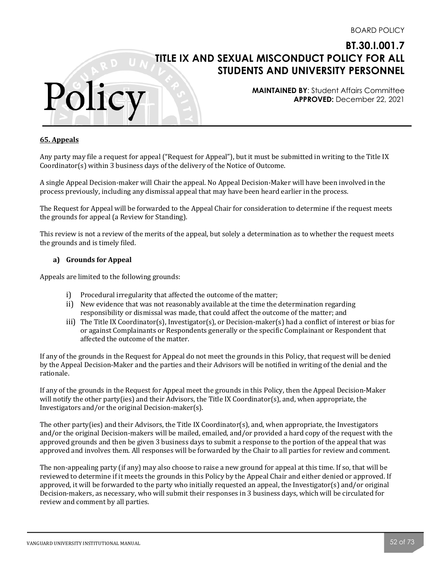

#### **65. Appeals**

Polic

Any party may file a request for appeal ("Request for Appeal"), but it must be submitted in writing to the Title IX Coordinator(s) within 3 business days of the delivery of the Notice of Outcome.

A single Appeal Decision-maker will Chair the appeal. No Appeal Decision-Maker will have been involved in the process previously, including any dismissal appeal that may have been heard earlier in the process.

The Request for Appeal will be forwarded to the Appeal Chair for consideration to determine if the request meets the grounds for appeal (a Review for Standing).

This review is not a review of the merits of the appeal, but solely a determination as to whether the request meets the grounds and is timely filed.

### **a) Grounds for Appeal**

Appeals are limited to the following grounds:

- i) Procedural irregularity that affected the outcome of the matter;
- ii) New evidence that was not reasonably available at the time the determination regarding responsibility or dismissal was made, that could affect the outcome of the matter; and
- iii) The Title IX Coordinator(s), Investigator(s), or Decision-maker(s) had a conflict of interest or bias for or against Complainants or Respondents generally or the specific Complainant or Respondent that affected the outcome of the matter.

If any of the grounds in the Request for Appeal do not meet the grounds in this Policy, that request will be denied by the Appeal Decision-Maker and the parties and their Advisors will be notified in writing of the denial and the rationale. 

If any of the grounds in the Request for Appeal meet the grounds in this Policy, then the Appeal Decision-Maker will notify the other party(ies) and their Advisors, the Title IX Coordinator(s), and, when appropriate, the Investigators and/or the original Decision-maker(s).

The other party(ies) and their Advisors, the Title IX Coordinator(s), and, when appropriate, the Investigators and/or the original Decision-makers will be mailed, emailed, and/or provided a hard copy of the request with the approved grounds and then be given 3 business days to submit a response to the portion of the appeal that was approved and involves them. All responses will be forwarded by the Chair to all parties for review and comment.

The non-appealing party (if any) may also choose to raise a new ground for appeal at this time. If so, that will be reviewed to determine if it meets the grounds in this Policy by the Appeal Chair and either denied or approved. If approved, it will be forwarded to the party who initially requested an appeal, the Investigator(s) and/or original Decision-makers, as necessary, who will submit their responses in 3 business days, which will be circulated for review and comment by all parties.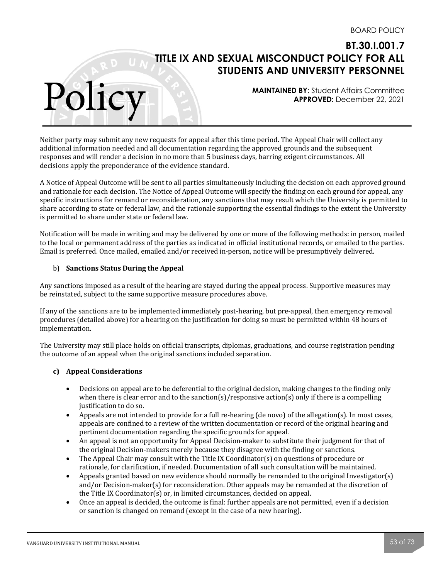**MAINTAINED BY**: Student Affairs Committee **APPROVED:** December 22, 2021

Neither party may submit any new requests for appeal after this time period. The Appeal Chair will collect any additional information needed and all documentation regarding the approved grounds and the subsequent responses and will render a decision in no more than 5 business days, barring exigent circumstances. All decisions apply the preponderance of the evidence standard.

A Notice of Appeal Outcome will be sent to all parties simultaneously including the decision on each approved ground and rationale for each decision. The Notice of Appeal Outcome will specify the finding on each ground for appeal, any specific instructions for remand or reconsideration, any sanctions that may result which the University is permitted to share according to state or federal law, and the rationale supporting the essential findings to the extent the University is permitted to share under state or federal law.

Notification will be made in writing and may be delivered by one or more of the following methods: in person, mailed to the local or permanent address of the parties as indicated in official institutional records, or emailed to the parties. Email is preferred. Once mailed, emailed and/or received in-person, notice will be presumptively delivered.

### b) **Sanctions Status During the Appeal**

Any sanctions imposed as a result of the hearing are stayed during the appeal process. Supportive measures may be reinstated, subject to the same supportive measure procedures above.

If any of the sanctions are to be implemented immediately post-hearing, but pre-appeal, then emergency removal procedures (detailed above) for a hearing on the justification for doing so must be permitted within 48 hours of implementation. 

The University may still place holds on official transcripts, diplomas, graduations, and course registration pending the outcome of an appeal when the original sanctions included separation.

#### **c) Appeal Considerations**

- Decisions on appeal are to be deferential to the original decision, making changes to the finding only when there is clear error and to the sanction(s)/responsive action(s) only if there is a compelling justification to do so.
- Appeals are not intended to provide for a full re-hearing  $(de novo)$  of the allegation $(s)$ . In most cases, appeals are confined to a review of the written documentation or record of the original hearing and pertinent documentation regarding the specific grounds for appeal.
- An appeal is not an opportunity for Appeal Decision-maker to substitute their judgment for that of the original Decision-makers merely because they disagree with the finding or sanctions.
- The Appeal Chair may consult with the Title IX Coordinator(s) on questions of procedure or rationale, for clarification, if needed. Documentation of all such consultation will be maintained.
- Appeals granted based on new evidence should normally be remanded to the original Investigator(s) and/or Decision-maker(s) for reconsideration. Other appeals may be remanded at the discretion of the Title IX Coordinator(s) or, in limited circumstances, decided on appeal.
- Once an appeal is decided, the outcome is final: further appeals are not permitted, even if a decision or sanction is changed on remand (except in the case of a new hearing).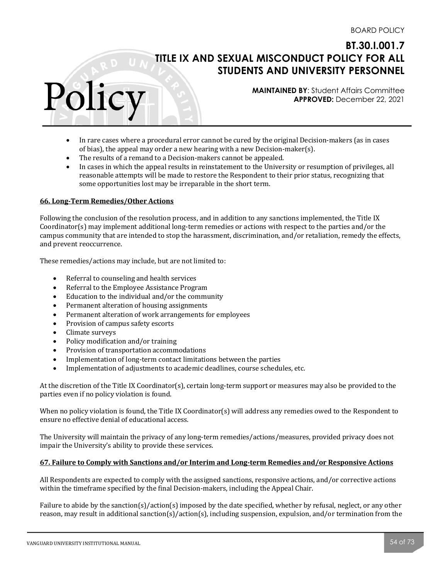**MAINTAINED BY**: Student Affairs Committee **APPROVED:** December 22, 2021

- In rare cases where a procedural error cannot be cured by the original Decision-makers (as in cases of bias), the appeal may order a new hearing with a new Decision-maker(s).
- The results of a remand to a Decision-makers cannot be appealed.
- In cases in which the appeal results in reinstatement to the University or resumption of privileges, all reasonable attempts will be made to restore the Respondent to their prior status, recognizing that some opportunities lost may be irreparable in the short term.

#### **66. Long-Term Remedies/Other Actions**

Polic

Following the conclusion of the resolution process, and in addition to any sanctions implemented, the Title IX Coordinator(s) may implement additional long-term remedies or actions with respect to the parties and/or the campus community that are intended to stop the harassment, discrimination, and/or retaliation, remedy the effects, and prevent reoccurrence.

These remedies/actions may include, but are not limited to:

- Referral to counseling and health services
- Referral to the Employee Assistance Program
- $\bullet$  Education to the individual and/or the community
- Permanent alteration of housing assignments
- Permanent alteration of work arrangements for employees
- Provision of campus safety escorts
- Climate surveys
- Policy modification and/or training
- Provision of transportation accommodations
- Implementation of long-term contact limitations between the parties
- Implementation of adjustments to academic deadlines, course schedules, etc.

At the discretion of the Title IX Coordinator(s), certain long-term support or measures may also be provided to the parties even if no policy violation is found.

When no policy violation is found, the Title IX Coordinator(s) will address any remedies owed to the Respondent to ensure no effective denial of educational access.

The University will maintain the privacy of any long-term remedies/actions/measures, provided privacy does not impair the University's ability to provide these services.

### 67. Failure to Comply with Sanctions and/or Interim and Long-term Remedies and/or Responsive Actions

All Respondents are expected to comply with the assigned sanctions, responsive actions, and/or corrective actions within the timeframe specified by the final Decision-makers, including the Appeal Chair.

Failure to abide by the sanction(s)/action(s) imposed by the date specified, whether by refusal, neglect, or any other reason, may result in additional sanction(s)/action(s), including suspension, expulsion, and/or termination from the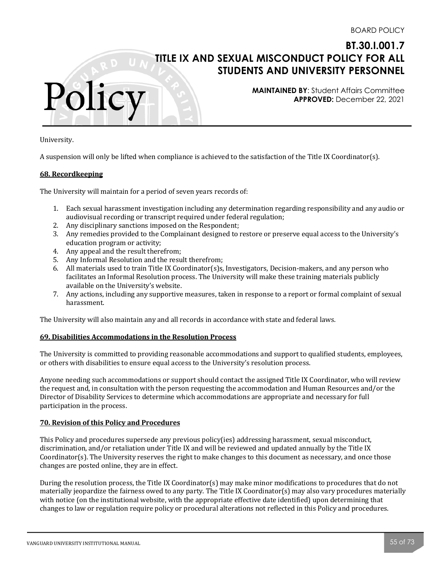**MAINTAINED BY**: Student Affairs Committee **APPROVED:** December 22, 2021

University.

A suspension will only be lifted when compliance is achieved to the satisfaction of the Title IX Coordinator(s).

#### **68. Recordkeeping**

Polic

The University will maintain for a period of seven years records of:

- 1. Each sexual harassment investigation including any determination regarding responsibility and any audio or audiovisual recording or transcript required under federal regulation;
- 2. Any disciplinary sanctions imposed on the Respondent;
- 3. Any remedies provided to the Complainant designed to restore or preserve equal access to the University's education program or activity;
- 4. Any appeal and the result therefrom:
- 5. Any Informal Resolution and the result therefrom;
- 6. All materials used to train Title IX Coordinator(s)s, Investigators, Decision-makers, and any person who facilitates an Informal Resolution process. The University will make these training materials publicly available on the University's website.
- 7. Any actions, including any supportive measures, taken in response to a report or formal complaint of sexual harassment.

The University will also maintain any and all records in accordance with state and federal laws.

#### **69. Disabilities Accommodations in the Resolution Process**

The University is committed to providing reasonable accommodations and support to qualified students, employees, or others with disabilities to ensure equal access to the University's resolution process.

Anyone needing such accommodations or support should contact the assigned Title IX Coordinator, who will review the request and, in consultation with the person requesting the accommodation and Human Resources and/or the Director of Disability Services to determine which accommodations are appropriate and necessary for full participation in the process.

#### **70. Revision of this Policy and Procedures**

This Policy and procedures supersede any previous policy(ies) addressing harassment, sexual misconduct, discrimination, and/or retaliation under Title IX and will be reviewed and updated annually by the Title IX Coordinator(s). The University reserves the right to make changes to this document as necessary, and once those changes are posted online, they are in effect.

During the resolution process, the Title IX Coordinator(s) may make minor modifications to procedures that do not  $m$ aterially jeopardize the fairness owed to any party. The Title IX Coordinator(s) may also vary procedures materially with notice (on the institutional website, with the appropriate effective date identified) upon determining that changes to law or regulation require policy or procedural alterations not reflected in this Policy and procedures.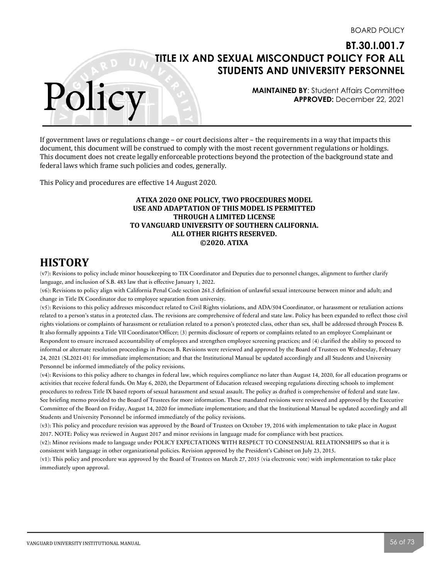**MAINTAINED BY**: Student Affairs Committee **APPROVED:** December 22, 2021

If government laws or regulations change - or court decisions alter - the requirements in a way that impacts this document, this document will be construed to comply with the most recent government regulations or holdings. This document does not create legally enforceable protections beyond the protection of the background state and federal laws which frame such policies and codes, generally.

This Policy and procedures are effective 14 August 2020.

### **ATIXA 2020 ONE POLICY, TWO PROCEDURES MODEL USE AND ADAPTATION OF THIS MODEL IS PERMITTED THROUGH A LIMITED LICENSE TO VANGUARD UNIVERSITY OF SOUTHERN CALIFORNIA. ALL OTHER RIGHTS RESERVED. ©2020. ATIXA**

### **HISTORY**

Polic

(v7): Revisions to policy include minor housekeeping to TIX Coordinator and Deputies due to personnel changes, alignment to further clarify language, and inclusion of S.B. 483 law that is effective January 1, 2022.

(v6): Revisions to policy align with California Penal Code section 261.5 definition of unlawful sexual intercourse between minor and adult; and change in Title IX Coordinator due to employee separation from university.

(v5): Revisions to this policy addresses misconduct related to Civil Rights violations, and ADA/504 Coordinator, or harassment or retaliation actions related to a person's status in a protected class. The revisions are comprehensive of federal and state law. Policy has been expanded to reflect those civil rights violations or complaints of harassment or retaliation related to a person's protected class, other than sex, shall be addressed through Process B. It also formally appoints a Title VII Coordinator/Officer; (3) permits disclosure of reports or complaints related to an employee Complainant or Respondent to ensure increased accountability of employees and strengthen employee screening practices; and (4) clarified the ability to proceed to informal or alternate resolution proceedings in Process B. Revisions were reviewed and approved by the Board of Trustees on Wednesday, February 24, 2021 (SL2021-01) for immediate implementation; and that the Institutional Manual be updated accordingly and all Students and University Personnel be informed immediately of the policy revisions.

(v4): Revisions to this policy adhere to changes in federal law, which requires compliance no later than August 14, 2020, for all education programs or activities that receive federal funds. On May 6, 2020, the Department of Education released sweeping regulations directing schools to implement procedures to redress Title IX based reports of sexual harassment and sexual assault. The policy as drafted is comprehensive of federal and state law. See briefing memo provided to the Board of Trustees for more information. These mandated revisions were reviewed and approved by the Executive Committee of the Board on Friday, August 14, 2020 for immediate implementation; and that the Institutional Manual be updated accordingly and all Students and University Personnel be informed immediately of the policy revisions.

(v3): This policy and procedure revision was approved by the Board of Trustees on October 19, 2016 with implementation to take place in August 2017. NOTE: Policy was reviewed in August 2017 and minor revisions in language made for compliance with best practices.

(v2): Minor revisions made to language under POLICY EXPECTATIONS WITH RESPECT TO CONSENSUAL RELATIONSHIPS so that it is consistent with language in other organizational policies. Revision approved by the President's Cabinet on July 23, 2015.

(v1): This policy and procedure was approved by the Board of Trustees on March 27, 2015 (via electronic vote) with implementation to take place immediately upon approval.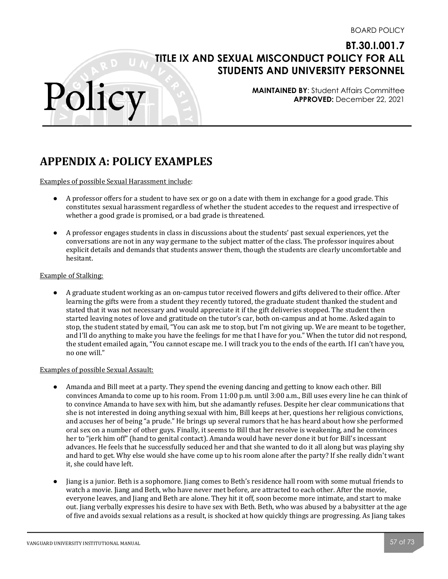**MAINTAINED BY**: Student Affairs Committee **APPROVED:** December 22, 2021

# **APPENDIX A: POLICY EXAMPLES**

Examples of possible Sexual Harassment include:

Polic

- A professor offers for a student to have sex or go on a date with them in exchange for a good grade. This constitutes sexual harassment regardless of whether the student accedes to the request and irrespective of whether a good grade is promised, or a bad grade is threatened.
- A professor engages students in class in discussions about the students' past sexual experiences, yet the conversations are not in any way germane to the subject matter of the class. The professor inquires about explicit details and demands that students answer them, though the students are clearly uncomfortable and hesitant.

#### Example of Stalking:

● A graduate student working as an on-campus tutor received flowers and gifts delivered to their office. After learning the gifts were from a student they recently tutored, the graduate student thanked the student and stated that it was not necessary and would appreciate it if the gift deliveries stopped. The student then started leaving notes of love and gratitude on the tutor's car, both on-campus and at home. Asked again to stop, the student stated by email, "You can ask me to stop, but I'm not giving up. We are meant to be together, and I'll do anything to make you have the feelings for me that I have for you." When the tutor did not respond, the student emailed again, "You cannot escape me. I will track you to the ends of the earth. If I can't have you, no one will."

### Examples of possible Sexual Assault:

- Amanda and Bill meet at a party. They spend the evening dancing and getting to know each other. Bill convinces Amanda to come up to his room. From 11:00 p.m. until 3:00 a.m., Bill uses every line he can think of to convince Amanda to have sex with him, but she adamantly refuses. Despite her clear communications that she is not interested in doing anything sexual with him, Bill keeps at her, questions her religious convictions, and accuses her of being "a prude." He brings up several rumors that he has heard about how she performed oral sex on a number of other guys. Finally, it seems to Bill that her resolve is weakening, and he convinces her to "jerk him off" (hand to genital contact). Amanda would have never done it but for Bill's incessant advances. He feels that he successfully seduced her and that she wanted to do it all along but was playing shy and hard to get. Why else would she have come up to his room alone after the party? If she really didn't want it, she could have left.
- Jiang is a junior. Beth is a sophomore. Jiang comes to Beth's residence hall room with some mutual friends to watch a movie. Jiang and Beth, who have never met before, are attracted to each other. After the movie, everyone leaves, and Jiang and Beth are alone. They hit it off, soon become more intimate, and start to make out. Jiang verbally expresses his desire to have sex with Beth. Beth, who was abused by a babysitter at the age of five and avoids sexual relations as a result, is shocked at how quickly things are progressing. As Jiang takes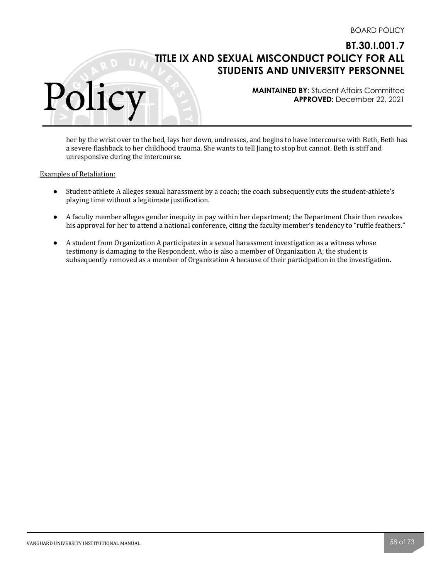**MAINTAINED BY**: Student Affairs Committee **APPROVED:** December 22, 2021

her by the wrist over to the bed, lays her down, undresses, and begins to have intercourse with Beth, Beth has a severe flashback to her childhood trauma. She wants to tell Jiang to stop but cannot. Beth is stiff and unresponsive during the intercourse.

Examples of Retaliation:

- Student-athlete A alleges sexual harassment by a coach; the coach subsequently cuts the student-athlete's playing time without a legitimate justification.
- A faculty member alleges gender inequity in pay within her department; the Department Chair then revokes his approval for her to attend a national conference, citing the faculty member's tendency to "ruffle feathers."
- A student from Organization A participates in a sexual harassment investigation as a witness whose testimony is damaging to the Respondent, who is also a member of Organization A; the student is subsequently removed as a member of Organization A because of their participation in the investigation.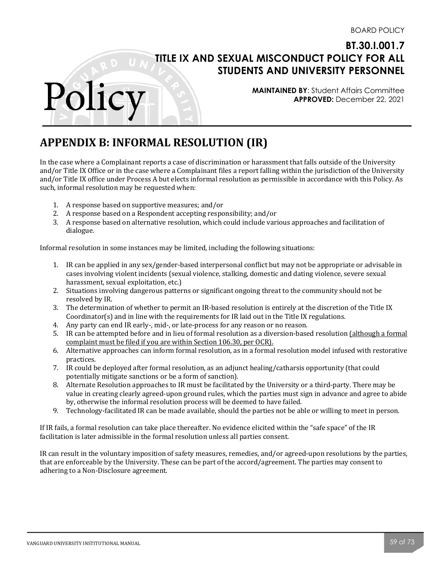**MAINTAINED BY**: Student Affairs Committee **APPROVED:** December 22, 2021

# **APPENDIX B: INFORMAL RESOLUTION (IR)**

In the case where a Complainant reports a case of discrimination or harassment that falls outside of the University and/or Title IX Office or in the case where a Complainant files a report falling within the jurisdiction of the University and/or Title IX office under Process A but elects informal resolution as permissible in accordance with this Policy. As such, informal resolution may be requested when:

1. A response based on supportive measures; and/or

Polic

- 2. A response based on a Respondent accepting responsibility; and/or
- 3. A response based on alternative resolution, which could include various approaches and facilitation of dialogue.

Informal resolution in some instances may be limited, including the following situations:

- 1. IR can be applied in any sex/gender-based interpersonal conflict but may not be appropriate or advisable in cases involving violent incidents (sexual violence, stalking, domestic and dating violence, severe sexual harassment, sexual exploitation, etc.)
- 2. Situations involving dangerous patterns or significant ongoing threat to the community should not be resolved by IR.
- 3. The determination of whether to permit an IR-based resolution is entirely at the discretion of the Title IX Coordinator( $s$ ) and in line with the requirements for IR laid out in the Title IX regulations.
- 4. Any party can end IR early-, mid-, or late-process for any reason or no reason.
- 5. IR can be attempted before and in lieu of formal resolution as a diversion-based resolution (although a formal complaint must be filed if you are within Section 106.30, per OCR).
- 6. Alternative approaches can inform formal resolution, as in a formal resolution model infused with restorative practices.
- 7. IR could be deployed after formal resolution, as an adjunct healing/catharsis opportunity (that could potentially mitigate sanctions or be a form of sanction).
- 8. Alternate Resolution approaches to IR must be facilitated by the University or a third-party. There may be value in creating clearly agreed-upon ground rules, which the parties must sign in advance and agree to abide by, otherwise the informal resolution process will be deemed to have failed.
- 9. Technology-facilitated IR can be made available, should the parties not be able or willing to meet in person.

If IR fails, a formal resolution can take place thereafter. No evidence elicited within the "safe space" of the IR facilitation is later admissible in the formal resolution unless all parties consent.

IR can result in the voluntary imposition of safety measures, remedies, and/or agreed-upon resolutions by the parties, that are enforceable by the University. These can be part of the accord/agreement. The parties may consent to adhering to a Non-Disclosure agreement.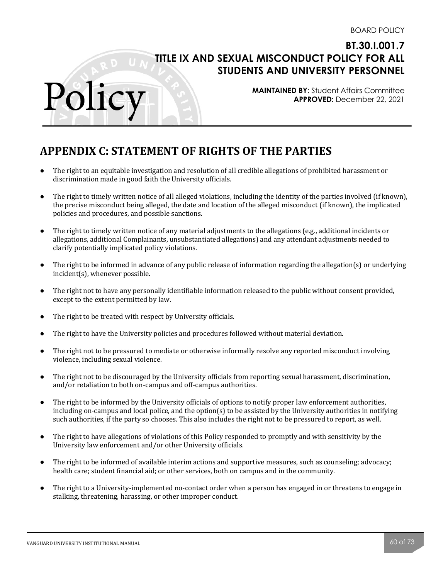**MAINTAINED BY**: Student Affairs Committee **APPROVED:** December 22, 2021

# **APPENDIX C: STATEMENT OF RIGHTS OF THE PARTIES**

- The right to an equitable investigation and resolution of all credible allegations of prohibited harassment or discrimination made in good faith the University officials.
- The right to timely written notice of all alleged violations, including the identity of the parties involved (if known), the precise misconduct being alleged, the date and location of the alleged misconduct (if known), the implicated policies and procedures, and possible sanctions.
- $\bullet$  The right to timely written notice of any material adjustments to the allegations (e.g., additional incidents or allegations, additional Complainants, unsubstantiated allegations) and any attendant adjustments needed to clarify potentially implicated policy violations.
- The right to be informed in advance of any public release of information regarding the allegation(s) or underlying  $incident(s)$ , whenever possible.
- The right not to have any personally identifiable information released to the public without consent provided, except to the extent permitted by law.
- The right to be treated with respect by University officials.
- The right to have the University policies and procedures followed without material deviation.
- The right not to be pressured to mediate or otherwise informally resolve any reported misconduct involving violence, including sexual violence.
- The right not to be discouraged by the University officials from reporting sexual harassment, discrimination, and/or retaliation to both on-campus and off-campus authorities.
- The right to be informed by the University officials of options to notify proper law enforcement authorities, including on-campus and local police, and the option(s) to be assisted by the University authorities in notifying such authorities, if the party so chooses. This also includes the right not to be pressured to report, as well.
- The right to have allegations of violations of this Policy responded to promptly and with sensitivity by the University law enforcement and/or other University officials.
- The right to be informed of available interim actions and supportive measures, such as counseling; advocacy; health care; student financial aid; or other services, both on campus and in the community.
- The right to a University-implemented no-contact order when a person has engaged in or threatens to engage in stalking, threatening, harassing, or other improper conduct.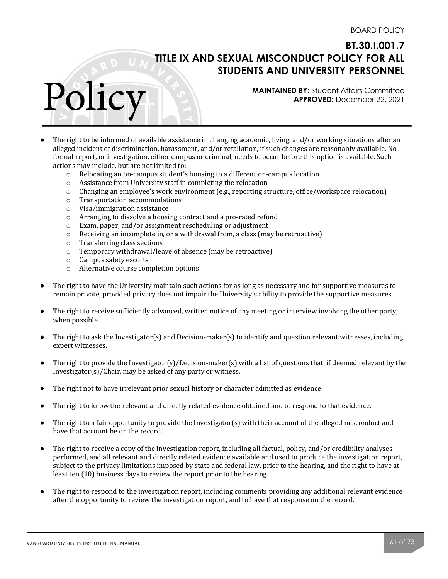**MAINTAINED BY**: Student Affairs Committee **APPROVED:** December 22, 2021

- The right to be informed of available assistance in changing academic, living, and/or working situations after an alleged incident of discrimination, harassment, and/or retaliation, if such changes are reasonably available. No formal report, or investigation, either campus or criminal, needs to occur before this option is available. Such actions may include, but are not limited to:
	- $\circ$  Relocating an on-campus student's housing to a different on-campus location
	- $\circ$  Assistance from University staff in completing the relocation
	- $\circ$  Changing an employee's work environment (e.g., reporting structure, office/workspace relocation)
	- $o$  Transportation accommodations
	- $\circ$  Visa/immigration assistance

- o Arranging to dissolve a housing contract and a pro-rated refund
- $\circ$  Exam, paper, and/or assignment rescheduling or adjustment
- $\circ$  Receiving an incomplete in, or a withdrawal from, a class (may be retroactive)
- $\circ$  Transferring class sections
- $\circ$  Temporary withdrawal/leave of absence (may be retroactive)
- $\circ$  Campus safety escorts
- $\circ$  Alternative course completion options
- The right to have the University maintain such actions for as long as necessary and for supportive measures to remain private, provided privacy does not impair the University's ability to provide the supportive measures.
- The right to receive sufficiently advanced, written notice of any meeting or interview involving the other party, when possible.
- The right to ask the Investigator(s) and Decision-maker(s) to identify and question relevant witnesses, including expert witnesses.
- The right to provide the Investigator(s)/Decision-maker(s) with a list of questions that, if deemed relevant by the  $Investigator(s)/Chair$ , may be asked of any party or witness.
- The right not to have irrelevant prior sexual history or character admitted as evidence.
- The right to know the relevant and directly related evidence obtained and to respond to that evidence.
- The right to a fair opportunity to provide the Investigator(s) with their account of the alleged misconduct and have that account be on the record.
- The right to receive a copy of the investigation report, including all factual, policy, and/or credibility analyses performed, and all relevant and directly related evidence available and used to produce the investigation report, subject to the privacy limitations imposed by state and federal law, prior to the hearing, and the right to have at least ten (10) business days to review the report prior to the hearing.
- The right to respond to the investigation report, including comments providing any additional relevant evidence after the opportunity to review the investigation report, and to have that response on the record.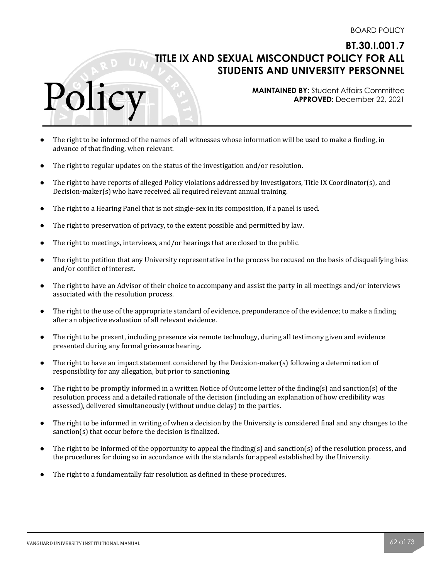**MAINTAINED BY**: Student Affairs Committee **APPROVED:** December 22, 2021

- The right to be informed of the names of all witnesses whose information will be used to make a finding, in advance of that finding, when relevant.
- The right to regular updates on the status of the investigation and/or resolution.
- The right to have reports of alleged Policy violations addressed by Investigators, Title IX Coordinator(s), and Decision-maker(s) who have received all required relevant annual training.
- The right to a Hearing Panel that is not single-sex in its composition, if a panel is used.
- The right to preservation of privacy, to the extent possible and permitted by law.
- The right to meetings, interviews, and/or hearings that are closed to the public.
- The right to petition that any University representative in the process be recused on the basis of disqualifying bias and/or conflict of interest.
- The right to have an Advisor of their choice to accompany and assist the party in all meetings and/or interviews associated with the resolution process.
- The right to the use of the appropriate standard of evidence, preponderance of the evidence; to make a finding after an objective evaluation of all relevant evidence.
- The right to be present, including presence via remote technology, during all testimony given and evidence presented during any formal grievance hearing.
- The right to have an impact statement considered by the Decision-maker(s) following a determination of responsibility for any allegation, but prior to sanctioning.
- The right to be promptly informed in a written Notice of Outcome letter of the finding(s) and sanction(s) of the resolution process and a detailed rationale of the decision (including an explanation of how credibility was assessed), delivered simultaneously (without undue delay) to the parties.
- The right to be informed in writing of when a decision by the University is considered final and any changes to the sanction(s) that occur before the decision is finalized.
- The right to be informed of the opportunity to appeal the finding(s) and sanction(s) of the resolution process, and the procedures for doing so in accordance with the standards for appeal established by the University.
- The right to a fundamentally fair resolution as defined in these procedures.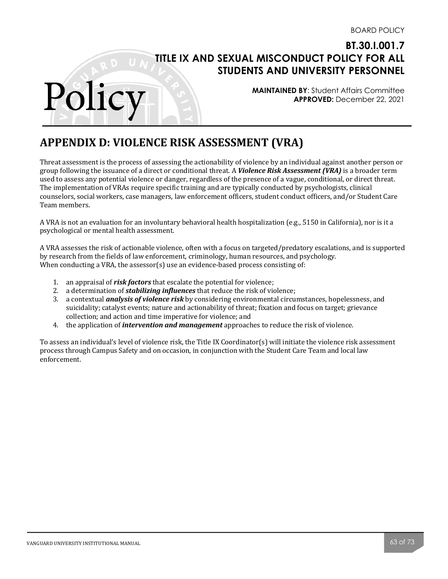**MAINTAINED BY**: Student Affairs Committee **APPROVED:** December 22, 2021

# **APPENDIX D: VIOLENCE RISK ASSESSMENT (VRA)**

Threat assessment is the process of assessing the actionability of violence by an individual against another person or group following the issuance of a direct or conditional threat. A *Violence Risk Assessment (VRA)* is a broader term used to assess any potential violence or danger, regardless of the presence of a vague, conditional, or direct threat. The implementation of VRAs require specific training and are typically conducted by psychologists, clinical counselors, social workers, case managers, law enforcement officers, student conduct officers, and/or Student Care Team members. 

A VRA is not an evaluation for an involuntary behavioral health hospitalization (e.g., 5150 in California), nor is it a psychological or mental health assessment.

A VRA assesses the risk of actionable violence, often with a focus on targeted/predatory escalations, and is supported by research from the fields of law enforcement, criminology, human resources, and psychology. When conducting a VRA, the assessor(s) use an evidence-based process consisting of:

- 1. an appraisal of *risk factors* that escalate the potential for violence;
- 2. a determination of **stabilizing influences** that reduce the risk of violence;
- 3. a contextual **analysis of violence risk** by considering environmental circumstances, hopelessness, and suicidality; catalyst events; nature and actionability of threat; fixation and focus on target; grievance collection; and action and time imperative for violence; and
- 4. the application of *intervention and management* approaches to reduce the risk of violence.

To assess an individual's level of violence risk, the Title IX Coordinator(s) will initiate the violence risk assessment process through Campus Safety and on occasion, in conjunction with the Student Care Team and local law enforcement.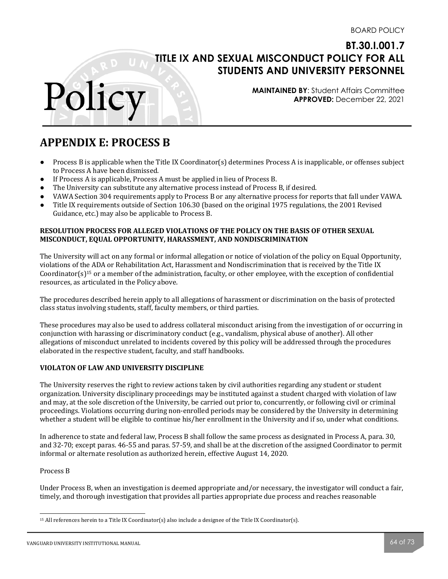**MAINTAINED BY**: Student Affairs Committee **APPROVED:** December 22, 2021

# **APPENDIX E: PROCESS B**

Polic

- Process B is applicable when the Title IX Coordinator(s) determines Process A is inapplicable, or offenses subject to Process A have been dismissed.
- If Process A is applicable, Process A must be applied in lieu of Process B.
- The University can substitute any alternative process instead of Process B, if desired.
- VAWA Section 304 requirements apply to Process B or any alternative process for reports that fall under VAWA.
- Title IX requirements outside of Section 106.30 (based on the original 1975 regulations, the 2001 Revised Guidance, etc.) may also be applicable to Process B.

### **RESOLUTION PROCESS FOR ALLEGED VIOLATIONS OF THE POLICY ON THE BASIS OF OTHER SEXUAL MISCONDUCT, EQUAL OPPORTUNITY, HARASSMENT, AND NONDISCRIMINATION**

The University will act on any formal or informal allegation or notice of violation of the policy on Equal Opportunity, violations of the ADA or Rehabilitation Act, Harassment and Nondiscrimination that is received by the Title IX Coordinator(s)<sup>15</sup> or a member of the administration, faculty, or other employee, with the exception of confidential resources, as articulated in the Policy above.

The procedures described herein apply to all allegations of harassment or discrimination on the basis of protected class status involving students, staff, faculty members, or third parties.

These procedures may also be used to address collateral misconduct arising from the investigation of or occurring in conjunction with harassing or discriminatory conduct (e.g., vandalism, physical abuse of another). All other allegations of misconduct unrelated to incidents covered by this policy will be addressed through the procedures elaborated in the respective student, faculty, and staff handbooks.

### **VIOLATON OF LAW AND UNIVERSITY DISCIPLINE**

The University reserves the right to review actions taken by civil authorities regarding any student or student organization. University disciplinary proceedings may be instituted against a student charged with violation of law and may, at the sole discretion of the University, be carried out prior to, concurrently, or following civil or criminal proceedings. Violations occurring during non-enrolled periods may be considered by the University in determining whether a student will be eligible to continue his/her enrollment in the University and if so, under what conditions.

In adherence to state and federal law, Process B shall follow the same process as designated in Process A, para. 30, and 32-70; except paras. 46-55 and paras. 57-59, and shall be at the discretion of the assigned Coordinator to permit informal or alternate resolution as authorized herein, effective August 14, 2020.

#### Process **B**

Under Process B, when an investigation is deemed appropriate and/or necessary, the investigator will conduct a fair, timely, and thorough investigation that provides all parties appropriate due process and reaches reasonable

<sup>&</sup>lt;sup>15</sup> All references herein to a Title IX Coordinator(s) also include a designee of the Title IX Coordinator(s).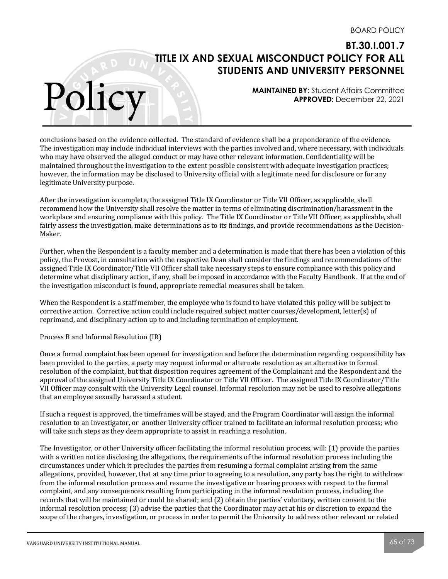**MAINTAINED BY**: Student Affairs Committee **APPROVED:** December 22, 2021

conclusions based on the evidence collected. The standard of evidence shall be a preponderance of the evidence. The investigation may include individual interviews with the parties involved and, where necessary, with individuals who may have observed the alleged conduct or may have other relevant information. Confidentiality will be maintained throughout the investigation to the extent possible consistent with adequate investigation practices; however, the information may be disclosed to University official with a legitimate need for disclosure or for any legitimate University purpose.

After the investigation is complete, the assigned Title IX Coordinator or Title VII Officer, as applicable, shall recommend how the University shall resolve the matter in terms of eliminating discrimination/harassment in the workplace and ensuring compliance with this policy. The Title IX Coordinator or Title VII Officer, as applicable, shall fairly assess the investigation, make determinations as to its findings, and provide recommendations as the Decision-Maker. 

Further, when the Respondent is a faculty member and a determination is made that there has been a violation of this policy, the Provost, in consultation with the respective Dean shall consider the findings and recommendations of the assigned Title IX Coordinator/Title VII Officer shall take necessary steps to ensure compliance with this policy and determine what disciplinary action, if any, shall be imposed in accordance with the Faculty Handbook. If at the end of the investigation misconduct is found, appropriate remedial measures shall be taken.

When the Respondent is a staff member, the employee who is found to have violated this policy will be subject to corrective action. Corrective action could include required subject matter courses/development, letter(s) of reprimand, and disciplinary action up to and including termination of employment.

Process B and Informal Resolution (IR)

Polic

Once a formal complaint has been opened for investigation and before the determination regarding responsibility has been provided to the parties, a party may request informal or alternate resolution as an alternative to formal resolution of the complaint, but that disposition requires agreement of the Complainant and the Respondent and the approval of the assigned University Title IX Coordinator or Title VII Officer. The assigned Title IX Coordinator/Title VII Officer may consult with the University Legal counsel. Informal resolution may not be used to resolve allegations that an employee sexually harassed a student.

If such a request is approved, the timeframes will be stayed, and the Program Coordinator will assign the informal resolution to an Investigator, or another University officer trained to facilitate an informal resolution process; who will take such steps as they deem appropriate to assist in reaching a resolution.

The Investigator, or other University officer facilitating the informal resolution process, will: (1) provide the parties with a written notice disclosing the allegations, the requirements of the informal resolution process including the circumstances under which it precludes the parties from resuming a formal complaint arising from the same allegations, provided, however, that at any time prior to agreeing to a resolution, any party has the right to withdraw from the informal resolution process and resume the investigative or hearing process with respect to the formal complaint, and any consequences resulting from participating in the informal resolution process, including the records that will be maintained or could be shared; and (2) obtain the parties' voluntary, written consent to the informal resolution process; (3) advise the parties that the Coordinator may act at his or discretion to expand the scope of the charges, investigation, or process in order to permit the University to address other relevant or related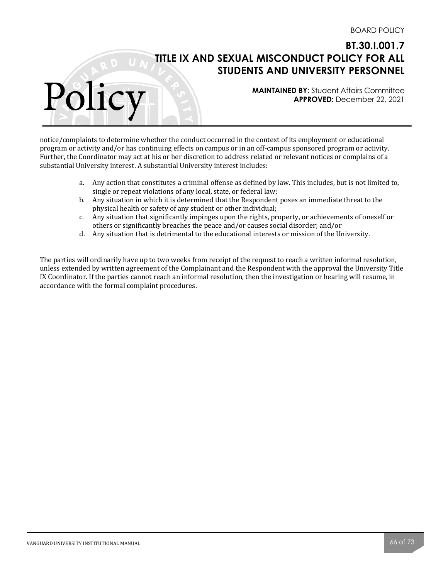**MAINTAINED BY**: Student Affairs Committee **APPROVED:** December 22, 2021

notice/complaints to determine whether the conduct occurred in the context of its employment or educational program or activity and/or has continuing effects on campus or in an off-campus sponsored program or activity. Further, the Coordinator may act at his or her discretion to address related or relevant notices or complains of a substantial University interest. A substantial University interest includes:

- a. Any action that constitutes a criminal offense as defined by law. This includes, but is not limited to, single or repeat violations of any local, state, or federal law;
- b. Any situation in which it is determined that the Respondent poses an immediate threat to the physical health or safety of any student or other individual;
- c. Any situation that significantly impinges upon the rights, property, or achievements of oneself or others or significantly breaches the peace and/or causes social disorder; and/or
- d. Any situation that is detrimental to the educational interests or mission of the University.

The parties will ordinarily have up to two weeks from receipt of the request to reach a written informal resolution, unless extended by written agreement of the Complainant and the Respondent with the approval the University Title IX Coordinator. If the parties cannot reach an informal resolution, then the investigation or hearing will resume, in accordance with the formal complaint procedures.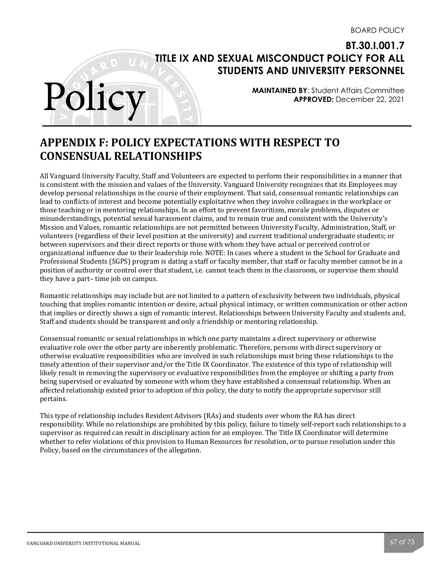**MAINTAINED BY**: Student Affairs Committee **APPROVED:** December 22, 2021

# **APPENDIX F: POLICY EXPECTATIONS WITH RESPECT TO CONSENSUAL RELATIONSHIPS**

All Vanguard University Faculty, Staff and Volunteers are expected to perform their responsibilities in a manner that is consistent with the mission and values of the University. Vanguard University recognizes that its Employees may develop personal relationships in the course of their employment. That said, consensual romantic relationships can lead to conflicts of interest and become potentially exploitative when they involve colleagues in the workplace or those teaching or in mentoring relationships. In an effort to prevent favoritism, morale problems, disputes or misunderstandings, potential sexual harassment claims, and to remain true and consistent with the University's Mission and Values, romantic relationships are not permitted between University Faculty, Administration, Staff, or volunteers (regardless of their level position at the university) and current traditional undergraduate students; or between supervisors and their direct reports or those with whom they have actual or perceived control or organizational influence due to their leadership role. NOTE: In cases where a student in the School for Graduate and Professional Students (SGPS) program is dating a staff or faculty member, that staff or faculty member cannot be in a position of authority or control over that student, i.e. cannot teach them in the classroom, or supervise them should they have a part– time job on campus.

Romantic relationships may include but are not limited to a pattern of exclusivity between two individuals, physical touching that implies romantic intention or desire, actual physical intimacy, or written communication or other action that implies or directly shows a sign of romantic interest. Relationships between University Faculty and students and, Staff and students should be transparent and only a friendship or mentoring relationship.

Consensual romantic or sexual relationships in which one party maintains a direct supervisory or otherwise evaluative role over the other party are inherently problematic. Therefore, persons with direct supervisory or otherwise evaluative responsibilities who are involved in such relationships must bring these relationships to the timely attention of their supervisor and/or the Title IX Coordinator. The existence of this type of relationship will likely result in removing the supervisory or evaluative responsibilities from the employee or shifting a party from being supervised or evaluated by someone with whom they have established a consensual relationship. When an affected relationship existed prior to adoption of this policy, the duty to notify the appropriate supervisor still pertains.

This type of relationship includes Resident Advisors (RAs) and students over whom the RA has direct responsibility. While no relationships are prohibited by this policy, failure to timely self-report such relationships to a supervisor as required can result in disciplinary action for an employee. The Title IX Coordinator will determine whether to refer violations of this provision to Human Resources for resolution, or to pursue resolution under this Policy, based on the circumstances of the allegation.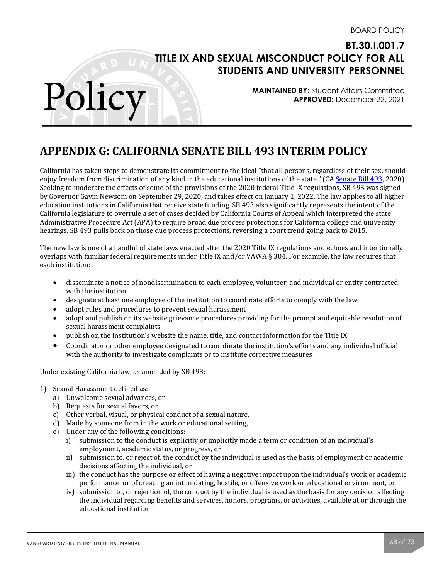**MAINTAINED BY**: Student Affairs Committee **APPROVED:** December 22, 2021

# **APPENDIX G: CALIFORNIA SENATE BILL 493 INTERIM POLICY**

California has taken steps to demonstrate its commitment to the ideal "that all persons, regardless of their sex, should enjoy freedom from discrimination of any kind in the educational institutions of the state." (CA Senate Bill 493, 2020). Seeking to moderate the effects of some of the provisions of the 2020 federal Title IX regulations, SB 493 was signed by Governor Gavin Newsom on September 29, 2020, and takes effect on January 1, 2022. The law applies to all higher education institutions in California that receive state funding. SB 493 also significantly represents the intent of the California legislature to overrule a set of cases decided by California Courts of Appeal which interpreted the state Administrative Procedure Act (APA) to require broad due process protections for California college and university hearings. SB 493 pulls back on those due process protections, reversing a court trend going back to 2015.

The new law is one of a handful of state laws enacted after the 2020 Title IX regulations and echoes and intentionally overlaps with familiar federal requirements under Title IX and/or VAWA  $\S$  304. For example, the law requires that each institution:

- disseminate a notice of nondiscrimination to each employee, volunteer, and individual or entity contracted with the institution
- designate at least one employee of the institution to coordinate efforts to comply with the law,
- adopt rules and procedures to prevent sexual harassment
- adopt and publish on its website grievance procedures providing for the prompt and equitable resolution of sexual harassment complaints
- publish on the institution's website the name, title, and contact information for the Title IX
- Coordinator or other employee designated to coordinate the institution's efforts and any individual official with the authority to investigate complaints or to institute corrective measures

Under existing California law, as amended by SB 493:

1) Sexual Harassment defined as:

- a) Unwelcome sexual advances, or
- b) Requests for sexual favors, or
- c) Other verbal, visual, or physical conduct of a sexual nature,
- d) Made by someone from in the work or educational setting,
- e) Under any of the following conditions:
	- i) submission to the conduct is explicitly or implicitly made a term or condition of an individual's employment, academic status, or progress, or
	- ii) submission to, or reject of, the conduct by the individual is used as the basis of employment or academic decisions affecting the individual, or
	- iii) the conduct has the purpose or effect of having a negative impact upon the individual's work or academic performance, or of creating an intimidating, hostile, or offensive work or educational environment, or
	- $iv)$  submission to, or rejection of, the conduct by the individual is used as the basis for any decision affecting the individual regarding benefits and services, honors, programs, or activities, available at or through the educational institution.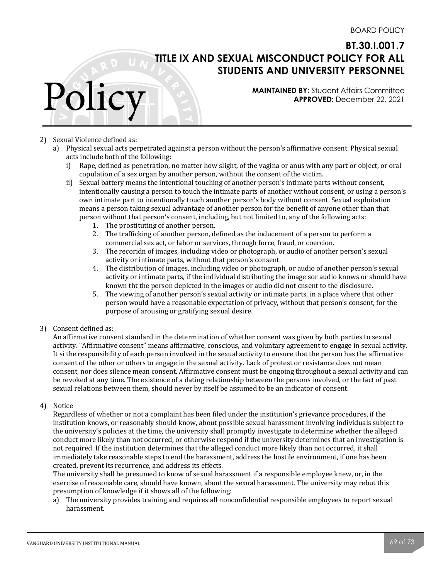**MAINTAINED BY**: Student Affairs Committee **APPROVED:** December 22, 2021

### 2) Sexual Violence defined as:

Polic

- a) Physical sexual acts perpetrated against a person without the person's affirmative consent. Physical sexual acts include both of the following:
	- i) Rape, defined as penetration, no matter how slight, of the vagina or anus with any part or object, or oral copulation of a sex organ by another person, without the consent of the victim.
	- ii) Sexual battery means the intentional touching of another person's intimate parts without consent, intentionally causing a person to touch the intimate parts of another without consent, or using a person's own intimate part to intentionally touch another person's body without consent. Sexual exploitation means a person taking sexual advantage of another person for the benefit of anyone other than that person without that person's consent, including, but not limited to, any of the following acts:
		- 1. The prostituting of another person.
		- 2. The trafficking of another person, defined as the inducement of a person to perform a commercial sex act, or labor or services, through force, fraud, or coercion.
		- 3. The recoridn of images, including video or photograph, or audio of another person's sexual activity or intimate parts, without that person's consent.
		- 4. The distribution of images, including video or photograph, or audio of another person's sexual activity or intimate parts, if the individual distributing the image sor audio knows or should have known tht the person depicted in the images or audio did not cnsent to the disclosure.
		- 5. The viewing of another person's sexual activity or intimate parts, in a place where that other person would have a reasonable expectation of privacy, without that person's consent, for the purpose of arousing or gratifying sexual desire.

#### 3) Consent defined as:

An affirmative consent standard in the determination of whether consent was given by both parties to sexual activity. "Affirmative consent" means affirmative, conscious, and voluntary agreement to engage in sexual activity. It si the responsibility of each person involved in the sexual activity to ensure that the person has the affirmative consent of the other or others to engage in the sexual activity. Lack of protest or resistance does not mean consent, nor does silence mean consent. Affirmative consent must be ongoing throughout a sexual activity and can be revoked at any time. The existence of a dating relationship between the persons involved, or the fact of past sexual relations between them, should never by itself be assumed to be an indicator of consent.

#### 4) Notice

Regardless of whether or not a complaint has been filed under the institution's grievance procedures, if the institution knows, or reasonably should know, about possible sexual harassment involving individuals subject to the university's policies at the time, the university shall promptly investigate to determine whether the alleged conduct more likely than not occurred, or otherwise respond if the university determines that an investigation is not required. If the institution determines that the alleged conduct more likely than not occurred, it shall immediately take reasonable steps to end the harassment, address the hostile environment, if one has been created, prevent its recurrence, and address its effects.

The university shall be presumed to know of sexual harassment if a responsible employee knew, or, in the exercise of reasonable care, should have known, about the sexual harassment. The university may rebut this presumption of knowledge if it shows all of the following:

a) The university provides training and requires all nonconfidential responsible employees to report sexual harassment.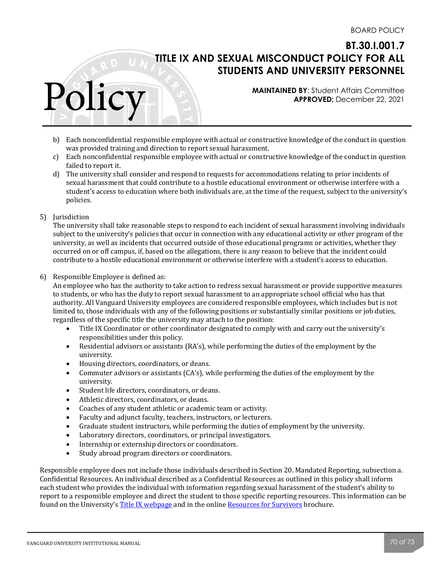**MAINTAINED BY**: Student Affairs Committee **APPROVED:** December 22, 2021

- b) Each nonconfidential responsible employee with actual or constructive knowledge of the conduct in question was provided training and direction to report sexual harassment.
- c) Each nonconfidential responsible employee with actual or constructive knowledge of the conduct in question failed to report it.
- d) The university shall consider and respond to requests for accommodations relating to prior incidents of sexual harassment that could contribute to a hostile educational environment or otherwise interfere with a student's access to education where both individuals are, at the time of the request, subject to the university's policies.
- 5) Jurisdiction

Polic

The university shall take reasonable steps to respond to each incident of sexual harassment involving individuals subject to the university's policies that occur in connection with any educational activity or other program of the university, as well as incidents that occurred outside of those educational programs or activities, whether they occurred on or off campus, if, based on the allegations, there is any reason to believe that the incident could contribute to a hostile educational environment or otherwise interfere with a student's access to education.

6) Responsible Employee is defined as:

An employee who has the authority to take action to redress sexual harassment or provide supportive measures to students, or who has the duty to report sexual harassment to an appropriate school official who has that authority. All Vanguard University employees are considered responsible employees, which includes but is not limited to, those individuals with any of the following positions or substantially similar positions or job duties, regardless of the specific title the university may attach to the position:

- Title IX Coordinator or other coordinator designated to comply with and carry out the university's responsibilities under this policy.
- Residential advisors or assistants  $(RA's)$ , while performing the duties of the employment by the university.
- Housing directors, coordinators, or deans.
- Commuter advisors or assistants  $(CA's)$ , while performing the duties of the employment by the university.
- Student life directors, coordinators, or deans.
- Athletic directors, coordinators, or deans.
- Coaches of any student athletic or academic team or activity.
- Faculty and adjunct faculty, teachers, instructors, or lecturers.
- Graduate student instructors, while performing the duties of employment by the university.
- Laboratory directors, coordinators, or principal investigators.
- Internship or externship directors or coordinators.
- Study abroad program directors or coordinators.

Responsible employee does not include those individuals described in Section 20. Mandated Reporting, subsection a. Confidential Resources. An individual described as a Confidential Resources as outlined in this policy shall inform each student who provides the individual with information regarding sexual harassment of the student's ability to report to a responsible employee and direct the student to those specific reporting resources. This information can be found on the University's Title IX webpage and in the online Resources for Survivors brochure.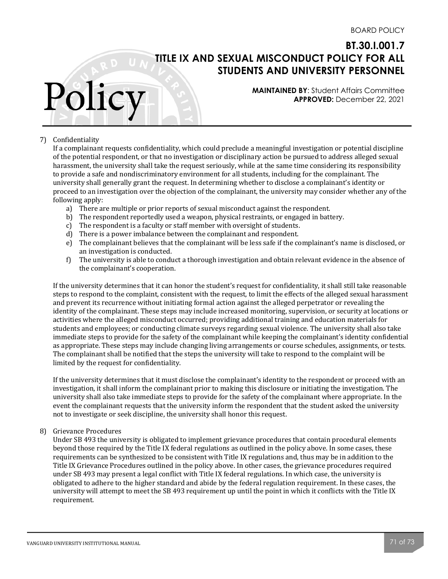**MAINTAINED BY**: Student Affairs Committee **APPROVED:** December 22, 2021

### 7) Confidentiality

Polic

If a complainant requests confidentiality, which could preclude a meaningful investigation or potential discipline of the potential respondent, or that no investigation or disciplinary action be pursued to address alleged sexual harassment, the university shall take the request seriously, while at the same time considering its responsibility to provide a safe and nondiscriminatory environment for all students, including for the complainant. The university shall generally grant the request. In determining whether to disclose a complainant's identity or proceed to an investigation over the objection of the complainant, the university may consider whether any of the following apply:

- a) There are multiple or prior reports of sexual misconduct against the respondent.
- b) The respondent reportedly used a weapon, physical restraints, or engaged in battery.
- c) The respondent is a faculty or staff member with oversight of students.
- d) There is a power imbalance between the complainant and respondent.
- e) The complainant believes that the complainant will be less safe if the complainant's name is disclosed, or an investigation is conducted.
- f) The university is able to conduct a thorough investigation and obtain relevant evidence in the absence of the complainant's cooperation.

If the university determines that it can honor the student's request for confidentiality, it shall still take reasonable steps to respond to the complaint, consistent with the request, to limit the effects of the alleged sexual harassment and prevent its recurrence without initiating formal action against the alleged perpetrator or revealing the identity of the complainant. These steps may include increased monitoring, supervision, or security at locations or activities where the alleged misconduct occurred; providing additional training and education materials for students and employees; or conducting climate surveys regarding sexual violence. The university shall also take immediate steps to provide for the safety of the complainant while keeping the complainant's identity confidential as appropriate. These steps may include changing living arrangements or course schedules, assignments, or tests. The complainant shall be notified that the steps the university will take to respond to the complaint will be limited by the request for confidentiality.

If the university determines that it must disclose the complainant's identity to the respondent or proceed with an investigation, it shall inform the complainant prior to making this disclosure or initiating the investigation. The university shall also take immediate steps to provide for the safety of the complainant where appropriate. In the event the complainant requests that the university inform the respondent that the student asked the university not to investigate or seek discipline, the university shall honor this request.

#### 8) Grievance Procedures

Under SB 493 the university is obligated to implement grievance procedures that contain procedural elements beyond those required by the Title IX federal regulations as outlined in the policy above. In some cases, these requirements can be synthesized to be consistent with Title IX regulations and, thus may be in addition to the Title IX Grievance Procedures outlined in the policy above. In other cases, the grievance procedures required under SB 493 may present a legal conflict with Title IX federal regulations. In which case, the university is obligated to adhere to the higher standard and abide by the federal regulation requirement. In these cases, the university will attempt to meet the SB 493 requirement up until the point in which it conflicts with the Title IX requirement.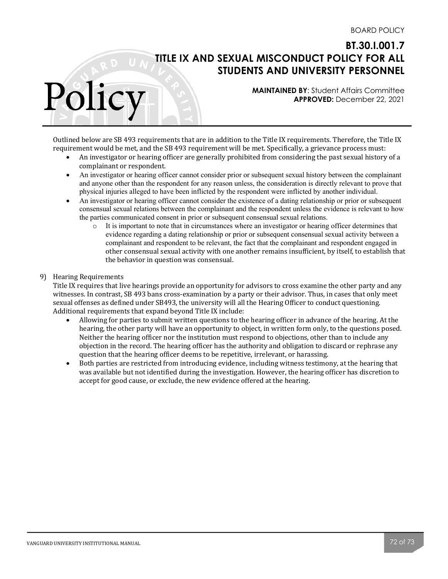**MAINTAINED BY**: Student Affairs Committee **APPROVED:** December 22, 2021

Outlined below are SB 493 requirements that are in addition to the Title IX requirements. Therefore, the Title IX requirement would be met, and the SB 493 requirement will be met. Specifically, a grievance process must:

- An investigator or hearing officer are generally prohibited from considering the past sexual history of a complainant or respondent.
- An investigator or hearing officer cannot consider prior or subsequent sexual history between the complainant and anyone other than the respondent for any reason unless, the consideration is directly relevant to prove that physical injuries alleged to have been inflicted by the respondent were inflicted by another individual.
- An investigator or hearing officer cannot consider the existence of a dating relationship or prior or subsequent consensual sexual relations between the complainant and the respondent unless the evidence is relevant to how the parties communicated consent in prior or subsequent consensual sexual relations.
	- o It is important to note that in circumstances where an investigator or hearing officer determines that evidence regarding a dating relationship or prior or subsequent consensual sexual activity between a complainant and respondent to be relevant, the fact that the complainant and respondent engaged in other consensual sexual activity with one another remains insufficient, by itself, to establish that the behavior in question was consensual.

### 9) Hearing Requirements

Polic

Title IX requires that live hearings provide an opportunity for advisors to cross examine the other party and any witnesses. In contrast, SB 493 bans cross-examination by a party or their advisor. Thus, in cases that only meet sexual offenses as defined under SB493, the university will all the Hearing Officer to conduct questioning. Additional requirements that expand beyond Title IX include:

- Allowing for parties to submit written questions to the hearing officer in advance of the hearing. At the hearing, the other party will have an opportunity to object, in written form only, to the questions posed. Neither the hearing officer nor the institution must respond to objections, other than to include any objection in the record. The hearing officer has the authority and obligation to discard or rephrase any question that the hearing officer deems to be repetitive, irrelevant, or harassing.
- Both parties are restricted from introducing evidence, including witness testimony, at the hearing that was available but not identified during the investigation. However, the hearing officer has discretion to accept for good cause, or exclude, the new evidence offered at the hearing.